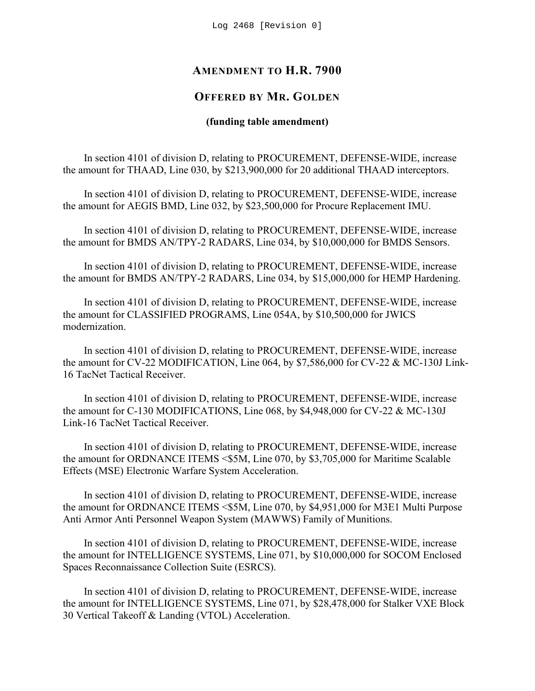### **AMENDMENT TO H.R. 7900**

### **OFFERED BY MR. GOLDEN**

#### **(funding table amendment)**

In section 4101 of division D, relating to PROCUREMENT, DEFENSE-WIDE, increase the amount for THAAD, Line 030, by \$213,900,000 for 20 additional THAAD interceptors.

In section 4101 of division D, relating to PROCUREMENT, DEFENSE-WIDE, increase the amount for AEGIS BMD, Line 032, by \$23,500,000 for Procure Replacement IMU.

In section 4101 of division D, relating to PROCUREMENT, DEFENSE-WIDE, increase the amount for BMDS AN/TPY-2 RADARS, Line 034, by \$10,000,000 for BMDS Sensors.

In section 4101 of division D, relating to PROCUREMENT, DEFENSE-WIDE, increase the amount for BMDS AN/TPY-2 RADARS, Line 034, by \$15,000,000 for HEMP Hardening.

In section 4101 of division D, relating to PROCUREMENT, DEFENSE-WIDE, increase the amount for CLASSIFIED PROGRAMS, Line 054A, by \$10,500,000 for JWICS modernization.

In section 4101 of division D, relating to PROCUREMENT, DEFENSE-WIDE, increase the amount for CV-22 MODIFICATION, Line 064, by \$7,586,000 for CV-22 & MC-130J Link-16 TacNet Tactical Receiver.

In section 4101 of division D, relating to PROCUREMENT, DEFENSE-WIDE, increase the amount for C-130 MODIFICATIONS, Line 068, by \$4,948,000 for CV-22 & MC-130J Link-16 TacNet Tactical Receiver.

In section 4101 of division D, relating to PROCUREMENT, DEFENSE-WIDE, increase the amount for ORDNANCE ITEMS <\$5M, Line 070, by \$3,705,000 for Maritime Scalable Effects (MSE) Electronic Warfare System Acceleration.

In section 4101 of division D, relating to PROCUREMENT, DEFENSE-WIDE, increase the amount for ORDNANCE ITEMS <\$5M, Line 070, by \$4,951,000 for M3E1 Multi Purpose Anti Armor Anti Personnel Weapon System (MAWWS) Family of Munitions.

In section 4101 of division D, relating to PROCUREMENT, DEFENSE-WIDE, increase the amount for INTELLIGENCE SYSTEMS, Line 071, by \$10,000,000 for SOCOM Enclosed Spaces Reconnaissance Collection Suite (ESRCS).

In section 4101 of division D, relating to PROCUREMENT, DEFENSE-WIDE, increase the amount for INTELLIGENCE SYSTEMS, Line 071, by \$28,478,000 for Stalker VXE Block 30 Vertical Takeoff & Landing (VTOL) Acceleration.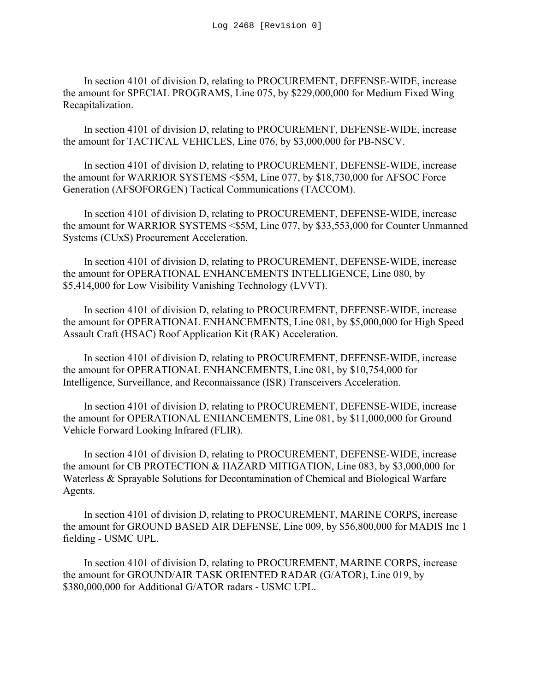In section 4101 of division D, relating to PROCUREMENT, DEFENSE-WIDE, increase the amount for SPECIAL PROGRAMS, Line 075, by \$229,000,000 for Medium Fixed Wing Recapitalization.

In section 4101 of division D, relating to PROCUREMENT, DEFENSE-WIDE, increase the amount for TACTICAL VEHICLES, Line 076, by \$3,000,000 for PB-NSCV.

In section 4101 of division D, relating to PROCUREMENT, DEFENSE-WIDE, increase the amount for WARRIOR SYSTEMS <\$5M, Line 077, by \$18,730,000 for AFSOC Force Generation (AFSOFORGEN) Tactical Communications (TACCOM).

In section 4101 of division D, relating to PROCUREMENT, DEFENSE-WIDE, increase the amount for WARRIOR SYSTEMS <\$5M, Line 077, by \$33,553,000 for Counter Unmanned Systems (CUxS) Procurement Acceleration.

In section 4101 of division D, relating to PROCUREMENT, DEFENSE-WIDE, increase the amount for OPERATIONAL ENHANCEMENTS INTELLIGENCE, Line 080, by \$5,414,000 for Low Visibility Vanishing Technology (LVVT).

In section 4101 of division D, relating to PROCUREMENT, DEFENSE-WIDE, increase the amount for OPERATIONAL ENHANCEMENTS, Line 081, by \$5,000,000 for High Speed Assault Craft (HSAC) Roof Application Kit (RAK) Acceleration.

In section 4101 of division D, relating to PROCUREMENT, DEFENSE-WIDE, increase the amount for OPERATIONAL ENHANCEMENTS, Line 081, by \$10,754,000 for Intelligence, Surveillance, and Reconnaissance (ISR) Transceivers Acceleration.

In section 4101 of division D, relating to PROCUREMENT, DEFENSE-WIDE, increase the amount for OPERATIONAL ENHANCEMENTS, Line 081, by \$11,000,000 for Ground Vehicle Forward Looking Infrared (FLIR).

In section 4101 of division D, relating to PROCUREMENT, DEFENSE-WIDE, increase the amount for CB PROTECTION & HAZARD MITIGATION, Line 083, by \$3,000,000 for Waterless & Sprayable Solutions for Decontamination of Chemical and Biological Warfare Agents.

In section 4101 of division D, relating to PROCUREMENT, MARINE CORPS, increase the amount for GROUND BASED AIR DEFENSE, Line 009, by \$56,800,000 for MADIS Inc 1 fielding - USMC UPL.

In section 4101 of division D, relating to PROCUREMENT, MARINE CORPS, increase the amount for GROUND/AIR TASK ORIENTED RADAR (G/ATOR), Line 019, by \$380,000,000 for Additional G/ATOR radars - USMC UPL.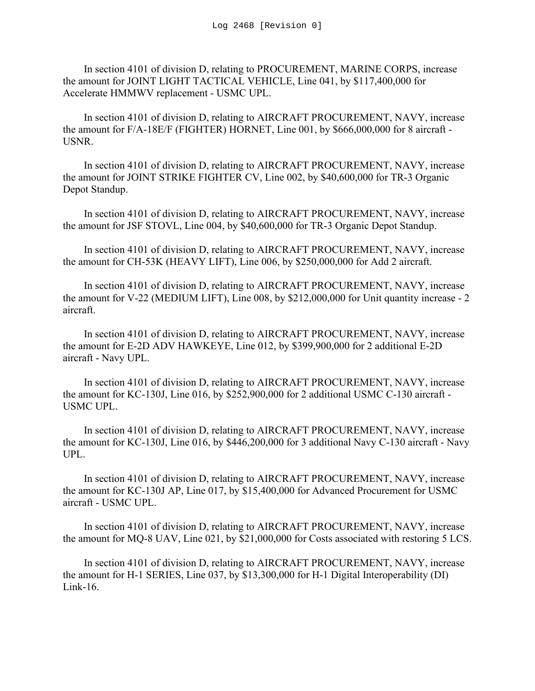In section 4101 of division D, relating to PROCUREMENT, MARINE CORPS, increase the amount for JOINT LIGHT TACTICAL VEHICLE, Line 041, by \$117,400,000 for Accelerate HMMWV replacement - USMC UPL.

In section 4101 of division D, relating to AIRCRAFT PROCUREMENT, NAVY, increase the amount for F/A-18E/F (FIGHTER) HORNET, Line 001, by \$666,000,000 for 8 aircraft - USNR.

In section 4101 of division D, relating to AIRCRAFT PROCUREMENT, NAVY, increase the amount for JOINT STRIKE FIGHTER CV, Line 002, by \$40,600,000 for TR-3 Organic Depot Standup.

In section 4101 of division D, relating to AIRCRAFT PROCUREMENT, NAVY, increase the amount for JSF STOVL, Line 004, by \$40,600,000 for TR-3 Organic Depot Standup.

In section 4101 of division D, relating to AIRCRAFT PROCUREMENT, NAVY, increase the amount for CH-53K (HEAVY LIFT), Line 006, by \$250,000,000 for Add 2 aircraft.

In section 4101 of division D, relating to AIRCRAFT PROCUREMENT, NAVY, increase the amount for V-22 (MEDIUM LIFT), Line 008, by \$212,000,000 for Unit quantity increase - 2 aircraft.

In section 4101 of division D, relating to AIRCRAFT PROCUREMENT, NAVY, increase the amount for E-2D ADV HAWKEYE, Line 012, by \$399,900,000 for 2 additional E-2D aircraft - Navy UPL.

In section 4101 of division D, relating to AIRCRAFT PROCUREMENT, NAVY, increase the amount for KC-130J, Line 016, by \$252,900,000 for 2 additional USMC C-130 aircraft - USMC UPL.

In section 4101 of division D, relating to AIRCRAFT PROCUREMENT, NAVY, increase the amount for KC-130J, Line 016, by \$446,200,000 for 3 additional Navy C-130 aircraft - Navy UPL.

In section 4101 of division D, relating to AIRCRAFT PROCUREMENT, NAVY, increase the amount for KC-130J AP, Line 017, by \$15,400,000 for Advanced Procurement for USMC aircraft - USMC UPL.

In section 4101 of division D, relating to AIRCRAFT PROCUREMENT, NAVY, increase the amount for MQ-8 UAV, Line 021, by \$21,000,000 for Costs associated with restoring 5 LCS.

In section 4101 of division D, relating to AIRCRAFT PROCUREMENT, NAVY, increase the amount for H-1 SERIES, Line 037, by \$13,300,000 for H-1 Digital Interoperability (DI) Link-16.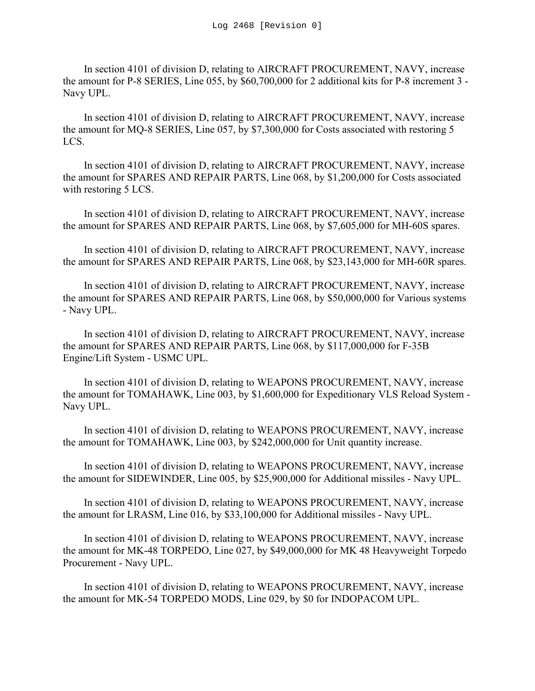In section 4101 of division D, relating to AIRCRAFT PROCUREMENT, NAVY, increase the amount for P-8 SERIES, Line 055, by \$60,700,000 for 2 additional kits for P-8 increment 3 - Navy UPL.

In section 4101 of division D, relating to AIRCRAFT PROCUREMENT, NAVY, increase the amount for MQ-8 SERIES, Line 057, by \$7,300,000 for Costs associated with restoring 5 LCS.

In section 4101 of division D, relating to AIRCRAFT PROCUREMENT, NAVY, increase the amount for SPARES AND REPAIR PARTS, Line 068, by \$1,200,000 for Costs associated with restoring 5 LCS.

In section 4101 of division D, relating to AIRCRAFT PROCUREMENT, NAVY, increase the amount for SPARES AND REPAIR PARTS, Line 068, by \$7,605,000 for MH-60S spares.

In section 4101 of division D, relating to AIRCRAFT PROCUREMENT, NAVY, increase the amount for SPARES AND REPAIR PARTS, Line 068, by \$23,143,000 for MH-60R spares.

In section 4101 of division D, relating to AIRCRAFT PROCUREMENT, NAVY, increase the amount for SPARES AND REPAIR PARTS, Line 068, by \$50,000,000 for Various systems - Navy UPL.

In section 4101 of division D, relating to AIRCRAFT PROCUREMENT, NAVY, increase the amount for SPARES AND REPAIR PARTS, Line 068, by \$117,000,000 for F-35B Engine/Lift System - USMC UPL.

In section 4101 of division D, relating to WEAPONS PROCUREMENT, NAVY, increase the amount for TOMAHAWK, Line 003, by \$1,600,000 for Expeditionary VLS Reload System - Navy UPL.

In section 4101 of division D, relating to WEAPONS PROCUREMENT, NAVY, increase the amount for TOMAHAWK, Line 003, by \$242,000,000 for Unit quantity increase.

In section 4101 of division D, relating to WEAPONS PROCUREMENT, NAVY, increase the amount for SIDEWINDER, Line 005, by \$25,900,000 for Additional missiles - Navy UPL.

In section 4101 of division D, relating to WEAPONS PROCUREMENT, NAVY, increase the amount for LRASM, Line 016, by \$33,100,000 for Additional missiles - Navy UPL.

In section 4101 of division D, relating to WEAPONS PROCUREMENT, NAVY, increase the amount for MK-48 TORPEDO, Line 027, by \$49,000,000 for MK 48 Heavyweight Torpedo Procurement - Navy UPL.

In section 4101 of division D, relating to WEAPONS PROCUREMENT, NAVY, increase the amount for MK-54 TORPEDO MODS, Line 029, by \$0 for INDOPACOM UPL.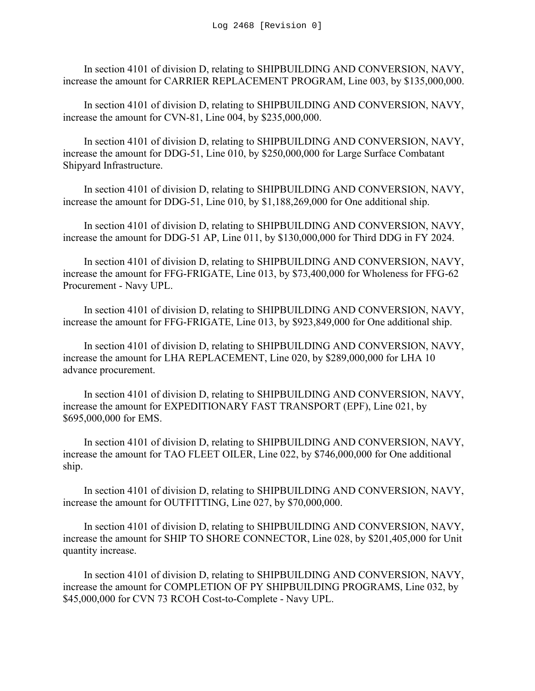In section 4101 of division D, relating to SHIPBUILDING AND CONVERSION, NAVY, increase the amount for CARRIER REPLACEMENT PROGRAM, Line 003, by \$135,000,000.

In section 4101 of division D, relating to SHIPBUILDING AND CONVERSION, NAVY, increase the amount for CVN-81, Line 004, by \$235,000,000.

In section 4101 of division D, relating to SHIPBUILDING AND CONVERSION, NAVY, increase the amount for DDG-51, Line 010, by \$250,000,000 for Large Surface Combatant Shipyard Infrastructure.

In section 4101 of division D, relating to SHIPBUILDING AND CONVERSION, NAVY, increase the amount for DDG-51, Line 010, by \$1,188,269,000 for One additional ship.

In section 4101 of division D, relating to SHIPBUILDING AND CONVERSION, NAVY, increase the amount for DDG-51 AP, Line 011, by \$130,000,000 for Third DDG in FY 2024.

In section 4101 of division D, relating to SHIPBUILDING AND CONVERSION, NAVY, increase the amount for FFG-FRIGATE, Line 013, by \$73,400,000 for Wholeness for FFG-62 Procurement - Navy UPL.

In section 4101 of division D, relating to SHIPBUILDING AND CONVERSION, NAVY, increase the amount for FFG-FRIGATE, Line 013, by \$923,849,000 for One additional ship.

In section 4101 of division D, relating to SHIPBUILDING AND CONVERSION, NAVY, increase the amount for LHA REPLACEMENT, Line 020, by \$289,000,000 for LHA 10 advance procurement.

In section 4101 of division D, relating to SHIPBUILDING AND CONVERSION, NAVY, increase the amount for EXPEDITIONARY FAST TRANSPORT (EPF), Line 021, by \$695,000,000 for EMS.

In section 4101 of division D, relating to SHIPBUILDING AND CONVERSION, NAVY, increase the amount for TAO FLEET OILER, Line 022, by \$746,000,000 for One additional ship.

In section 4101 of division D, relating to SHIPBUILDING AND CONVERSION, NAVY, increase the amount for OUTFITTING, Line 027, by \$70,000,000.

In section 4101 of division D, relating to SHIPBUILDING AND CONVERSION, NAVY, increase the amount for SHIP TO SHORE CONNECTOR, Line 028, by \$201,405,000 for Unit quantity increase.

In section 4101 of division D, relating to SHIPBUILDING AND CONVERSION, NAVY, increase the amount for COMPLETION OF PY SHIPBUILDING PROGRAMS, Line 032, by \$45,000,000 for CVN 73 RCOH Cost-to-Complete - Navy UPL.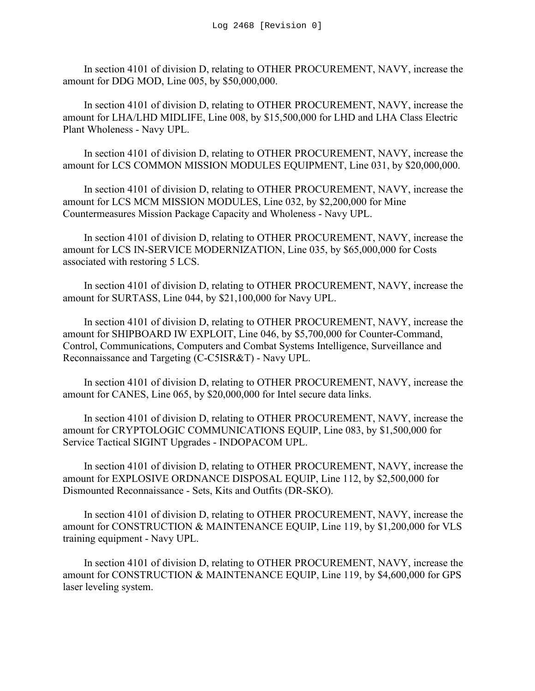In section 4101 of division D, relating to OTHER PROCUREMENT, NAVY, increase the amount for DDG MOD, Line 005, by \$50,000,000.

In section 4101 of division D, relating to OTHER PROCUREMENT, NAVY, increase the amount for LHA/LHD MIDLIFE, Line 008, by \$15,500,000 for LHD and LHA Class Electric Plant Wholeness - Navy UPL.

In section 4101 of division D, relating to OTHER PROCUREMENT, NAVY, increase the amount for LCS COMMON MISSION MODULES EQUIPMENT, Line 031, by \$20,000,000.

In section 4101 of division D, relating to OTHER PROCUREMENT, NAVY, increase the amount for LCS MCM MISSION MODULES, Line 032, by \$2,200,000 for Mine Countermeasures Mission Package Capacity and Wholeness - Navy UPL.

In section 4101 of division D, relating to OTHER PROCUREMENT, NAVY, increase the amount for LCS IN-SERVICE MODERNIZATION, Line 035, by \$65,000,000 for Costs associated with restoring 5 LCS.

In section 4101 of division D, relating to OTHER PROCUREMENT, NAVY, increase the amount for SURTASS, Line 044, by \$21,100,000 for Navy UPL.

In section 4101 of division D, relating to OTHER PROCUREMENT, NAVY, increase the amount for SHIPBOARD IW EXPLOIT, Line 046, by \$5,700,000 for Counter-Command, Control, Communications, Computers and Combat Systems Intelligence, Surveillance and Reconnaissance and Targeting (C-C5ISR&T) - Navy UPL.

In section 4101 of division D, relating to OTHER PROCUREMENT, NAVY, increase the amount for CANES, Line 065, by \$20,000,000 for Intel secure data links.

In section 4101 of division D, relating to OTHER PROCUREMENT, NAVY, increase the amount for CRYPTOLOGIC COMMUNICATIONS EQUIP, Line 083, by \$1,500,000 for Service Tactical SIGINT Upgrades - INDOPACOM UPL.

In section 4101 of division D, relating to OTHER PROCUREMENT, NAVY, increase the amount for EXPLOSIVE ORDNANCE DISPOSAL EQUIP, Line 112, by \$2,500,000 for Dismounted Reconnaissance - Sets, Kits and Outfits (DR-SKO).

In section 4101 of division D, relating to OTHER PROCUREMENT, NAVY, increase the amount for CONSTRUCTION & MAINTENANCE EQUIP, Line 119, by \$1,200,000 for VLS training equipment - Navy UPL.

In section 4101 of division D, relating to OTHER PROCUREMENT, NAVY, increase the amount for CONSTRUCTION & MAINTENANCE EQUIP, Line 119, by \$4,600,000 for GPS laser leveling system.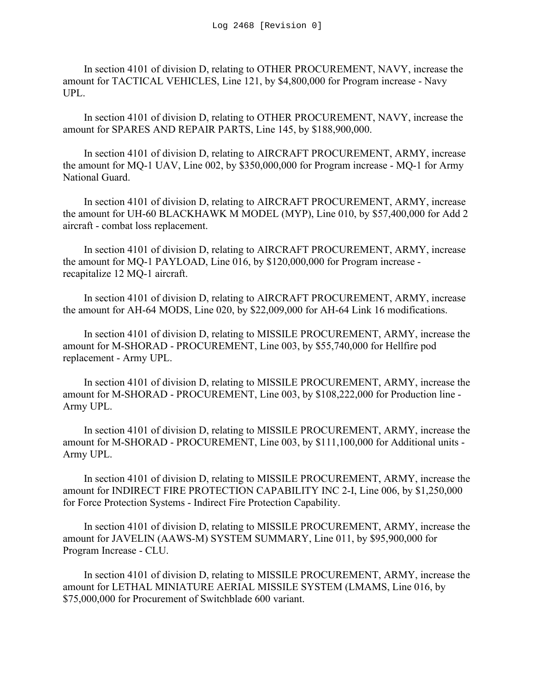In section 4101 of division D, relating to OTHER PROCUREMENT, NAVY, increase the amount for TACTICAL VEHICLES, Line 121, by \$4,800,000 for Program increase - Navy UPL.

In section 4101 of division D, relating to OTHER PROCUREMENT, NAVY, increase the amount for SPARES AND REPAIR PARTS, Line 145, by \$188,900,000.

In section 4101 of division D, relating to AIRCRAFT PROCUREMENT, ARMY, increase the amount for MQ-1 UAV, Line 002, by \$350,000,000 for Program increase - MQ-1 for Army National Guard.

In section 4101 of division D, relating to AIRCRAFT PROCUREMENT, ARMY, increase the amount for UH-60 BLACKHAWK M MODEL (MYP), Line 010, by \$57,400,000 for Add 2 aircraft - combat loss replacement.

In section 4101 of division D, relating to AIRCRAFT PROCUREMENT, ARMY, increase the amount for MQ-1 PAYLOAD, Line 016, by \$120,000,000 for Program increase recapitalize 12 MQ-1 aircraft.

In section 4101 of division D, relating to AIRCRAFT PROCUREMENT, ARMY, increase the amount for AH-64 MODS, Line 020, by \$22,009,000 for AH-64 Link 16 modifications.

In section 4101 of division D, relating to MISSILE PROCUREMENT, ARMY, increase the amount for M-SHORAD - PROCUREMENT, Line 003, by \$55,740,000 for Hellfire pod replacement - Army UPL.

In section 4101 of division D, relating to MISSILE PROCUREMENT, ARMY, increase the amount for M-SHORAD - PROCUREMENT, Line 003, by \$108,222,000 for Production line - Army UPL.

In section 4101 of division D, relating to MISSILE PROCUREMENT, ARMY, increase the amount for M-SHORAD - PROCUREMENT, Line 003, by \$111,100,000 for Additional units - Army UPL.

In section 4101 of division D, relating to MISSILE PROCUREMENT, ARMY, increase the amount for INDIRECT FIRE PROTECTION CAPABILITY INC 2-I, Line 006, by \$1,250,000 for Force Protection Systems - Indirect Fire Protection Capability.

In section 4101 of division D, relating to MISSILE PROCUREMENT, ARMY, increase the amount for JAVELIN (AAWS-M) SYSTEM SUMMARY, Line 011, by \$95,900,000 for Program Increase - CLU.

In section 4101 of division D, relating to MISSILE PROCUREMENT, ARMY, increase the amount for LETHAL MINIATURE AERIAL MISSILE SYSTEM (LMAMS, Line 016, by \$75,000,000 for Procurement of Switchblade 600 variant.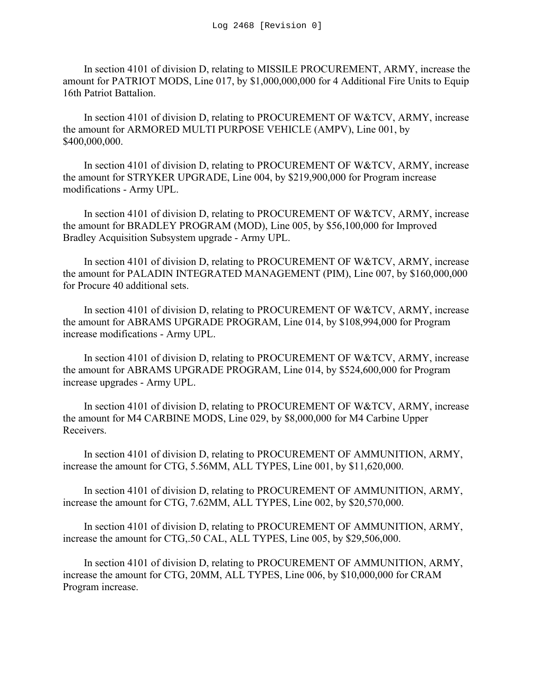In section 4101 of division D, relating to MISSILE PROCUREMENT, ARMY, increase the amount for PATRIOT MODS, Line 017, by \$1,000,000,000 for 4 Additional Fire Units to Equip 16th Patriot Battalion.

In section 4101 of division D, relating to PROCUREMENT OF W&TCV, ARMY, increase the amount for ARMORED MULTI PURPOSE VEHICLE (AMPV), Line 001, by \$400,000,000.

In section 4101 of division D, relating to PROCUREMENT OF W&TCV, ARMY, increase the amount for STRYKER UPGRADE, Line 004, by \$219,900,000 for Program increase modifications - Army UPL.

In section 4101 of division D, relating to PROCUREMENT OF W&TCV, ARMY, increase the amount for BRADLEY PROGRAM (MOD), Line 005, by \$56,100,000 for Improved Bradley Acquisition Subsystem upgrade - Army UPL.

In section 4101 of division D, relating to PROCUREMENT OF W&TCV, ARMY, increase the amount for PALADIN INTEGRATED MANAGEMENT (PIM), Line 007, by \$160,000,000 for Procure 40 additional sets.

In section 4101 of division D, relating to PROCUREMENT OF W&TCV, ARMY, increase the amount for ABRAMS UPGRADE PROGRAM, Line 014, by \$108,994,000 for Program increase modifications - Army UPL.

In section 4101 of division D, relating to PROCUREMENT OF W&TCV, ARMY, increase the amount for ABRAMS UPGRADE PROGRAM, Line 014, by \$524,600,000 for Program increase upgrades - Army UPL.

In section 4101 of division D, relating to PROCUREMENT OF W&TCV, ARMY, increase the amount for M4 CARBINE MODS, Line 029, by \$8,000,000 for M4 Carbine Upper Receivers.

In section 4101 of division D, relating to PROCUREMENT OF AMMUNITION, ARMY, increase the amount for CTG, 5.56MM, ALL TYPES, Line 001, by \$11,620,000.

In section 4101 of division D, relating to PROCUREMENT OF AMMUNITION, ARMY, increase the amount for CTG, 7.62MM, ALL TYPES, Line 002, by \$20,570,000.

In section 4101 of division D, relating to PROCUREMENT OF AMMUNITION, ARMY, increase the amount for CTG,.50 CAL, ALL TYPES, Line 005, by \$29,506,000.

In section 4101 of division D, relating to PROCUREMENT OF AMMUNITION, ARMY, increase the amount for CTG, 20MM, ALL TYPES, Line 006, by \$10,000,000 for CRAM Program increase.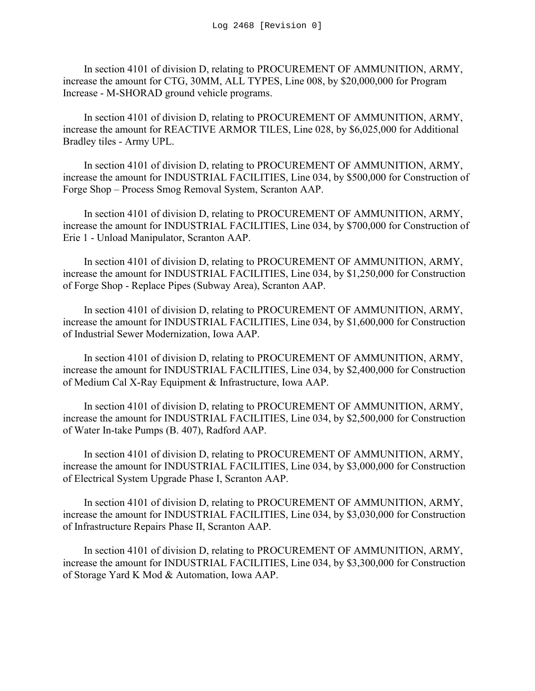In section 4101 of division D, relating to PROCUREMENT OF AMMUNITION, ARMY, increase the amount for CTG, 30MM, ALL TYPES, Line 008, by \$20,000,000 for Program Increase - M-SHORAD ground vehicle programs.

In section 4101 of division D, relating to PROCUREMENT OF AMMUNITION, ARMY, increase the amount for REACTIVE ARMOR TILES, Line 028, by \$6,025,000 for Additional Bradley tiles - Army UPL.

In section 4101 of division D, relating to PROCUREMENT OF AMMUNITION, ARMY, increase the amount for INDUSTRIAL FACILITIES, Line 034, by \$500,000 for Construction of Forge Shop – Process Smog Removal System, Scranton AAP.

In section 4101 of division D, relating to PROCUREMENT OF AMMUNITION, ARMY, increase the amount for INDUSTRIAL FACILITIES, Line 034, by \$700,000 for Construction of Erie 1 - Unload Manipulator, Scranton AAP.

In section 4101 of division D, relating to PROCUREMENT OF AMMUNITION, ARMY, increase the amount for INDUSTRIAL FACILITIES, Line 034, by \$1,250,000 for Construction of Forge Shop - Replace Pipes (Subway Area), Scranton AAP.

In section 4101 of division D, relating to PROCUREMENT OF AMMUNITION, ARMY, increase the amount for INDUSTRIAL FACILITIES, Line 034, by \$1,600,000 for Construction of Industrial Sewer Modernization, Iowa AAP.

In section 4101 of division D, relating to PROCUREMENT OF AMMUNITION, ARMY, increase the amount for INDUSTRIAL FACILITIES, Line 034, by \$2,400,000 for Construction of Medium Cal X-Ray Equipment & Infrastructure, Iowa AAP.

In section 4101 of division D, relating to PROCUREMENT OF AMMUNITION, ARMY, increase the amount for INDUSTRIAL FACILITIES, Line 034, by \$2,500,000 for Construction of Water In-take Pumps (B. 407), Radford AAP.

In section 4101 of division D, relating to PROCUREMENT OF AMMUNITION, ARMY, increase the amount for INDUSTRIAL FACILITIES, Line 034, by \$3,000,000 for Construction of Electrical System Upgrade Phase I, Scranton AAP.

In section 4101 of division D, relating to PROCUREMENT OF AMMUNITION, ARMY, increase the amount for INDUSTRIAL FACILITIES, Line 034, by \$3,030,000 for Construction of Infrastructure Repairs Phase II, Scranton AAP.

In section 4101 of division D, relating to PROCUREMENT OF AMMUNITION, ARMY, increase the amount for INDUSTRIAL FACILITIES, Line 034, by \$3,300,000 for Construction of Storage Yard K Mod & Automation, Iowa AAP.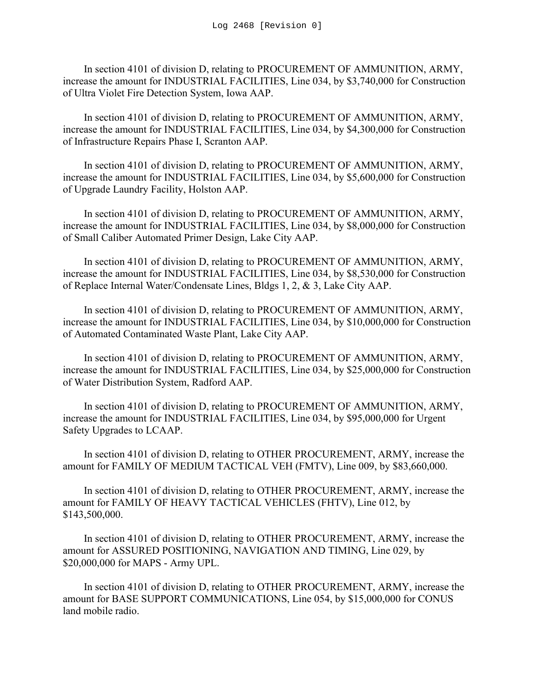In section 4101 of division D, relating to PROCUREMENT OF AMMUNITION, ARMY, increase the amount for INDUSTRIAL FACILITIES, Line 034, by \$3,740,000 for Construction of Ultra Violet Fire Detection System, Iowa AAP.

In section 4101 of division D, relating to PROCUREMENT OF AMMUNITION, ARMY, increase the amount for INDUSTRIAL FACILITIES, Line 034, by \$4,300,000 for Construction of Infrastructure Repairs Phase I, Scranton AAP.

In section 4101 of division D, relating to PROCUREMENT OF AMMUNITION, ARMY, increase the amount for INDUSTRIAL FACILITIES, Line 034, by \$5,600,000 for Construction of Upgrade Laundry Facility, Holston AAP.

In section 4101 of division D, relating to PROCUREMENT OF AMMUNITION, ARMY, increase the amount for INDUSTRIAL FACILITIES, Line 034, by \$8,000,000 for Construction of Small Caliber Automated Primer Design, Lake City AAP.

In section 4101 of division D, relating to PROCUREMENT OF AMMUNITION, ARMY, increase the amount for INDUSTRIAL FACILITIES, Line 034, by \$8,530,000 for Construction of Replace Internal Water/Condensate Lines, Bldgs 1, 2, & 3, Lake City AAP.

In section 4101 of division D, relating to PROCUREMENT OF AMMUNITION, ARMY, increase the amount for INDUSTRIAL FACILITIES, Line 034, by \$10,000,000 for Construction of Automated Contaminated Waste Plant, Lake City AAP.

In section 4101 of division D, relating to PROCUREMENT OF AMMUNITION, ARMY, increase the amount for INDUSTRIAL FACILITIES, Line 034, by \$25,000,000 for Construction of Water Distribution System, Radford AAP.

In section 4101 of division D, relating to PROCUREMENT OF AMMUNITION, ARMY, increase the amount for INDUSTRIAL FACILITIES, Line 034, by \$95,000,000 for Urgent Safety Upgrades to LCAAP.

In section 4101 of division D, relating to OTHER PROCUREMENT, ARMY, increase the amount for FAMILY OF MEDIUM TACTICAL VEH (FMTV), Line 009, by \$83,660,000.

In section 4101 of division D, relating to OTHER PROCUREMENT, ARMY, increase the amount for FAMILY OF HEAVY TACTICAL VEHICLES (FHTV), Line 012, by \$143,500,000.

In section 4101 of division D, relating to OTHER PROCUREMENT, ARMY, increase the amount for ASSURED POSITIONING, NAVIGATION AND TIMING, Line 029, by \$20,000,000 for MAPS - Army UPL.

In section 4101 of division D, relating to OTHER PROCUREMENT, ARMY, increase the amount for BASE SUPPORT COMMUNICATIONS, Line 054, by \$15,000,000 for CONUS land mobile radio.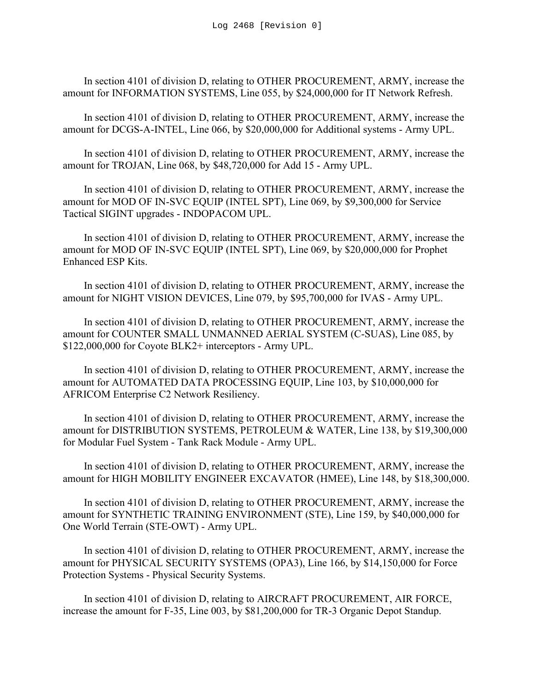In section 4101 of division D, relating to OTHER PROCUREMENT, ARMY, increase the amount for INFORMATION SYSTEMS, Line 055, by \$24,000,000 for IT Network Refresh.

In section 4101 of division D, relating to OTHER PROCUREMENT, ARMY, increase the amount for DCGS-A-INTEL, Line 066, by \$20,000,000 for Additional systems - Army UPL.

In section 4101 of division D, relating to OTHER PROCUREMENT, ARMY, increase the amount for TROJAN, Line 068, by \$48,720,000 for Add 15 - Army UPL.

In section 4101 of division D, relating to OTHER PROCUREMENT, ARMY, increase the amount for MOD OF IN-SVC EQUIP (INTEL SPT), Line 069, by \$9,300,000 for Service Tactical SIGINT upgrades - INDOPACOM UPL.

In section 4101 of division D, relating to OTHER PROCUREMENT, ARMY, increase the amount for MOD OF IN-SVC EQUIP (INTEL SPT), Line 069, by \$20,000,000 for Prophet Enhanced ESP Kits.

In section 4101 of division D, relating to OTHER PROCUREMENT, ARMY, increase the amount for NIGHT VISION DEVICES, Line 079, by \$95,700,000 for IVAS - Army UPL.

In section 4101 of division D, relating to OTHER PROCUREMENT, ARMY, increase the amount for COUNTER SMALL UNMANNED AERIAL SYSTEM (C-SUAS), Line 085, by \$122,000,000 for Coyote BLK2+ interceptors - Army UPL.

In section 4101 of division D, relating to OTHER PROCUREMENT, ARMY, increase the amount for AUTOMATED DATA PROCESSING EQUIP, Line 103, by \$10,000,000 for AFRICOM Enterprise C2 Network Resiliency.

In section 4101 of division D, relating to OTHER PROCUREMENT, ARMY, increase the amount for DISTRIBUTION SYSTEMS, PETROLEUM & WATER, Line 138, by \$19,300,000 for Modular Fuel System - Tank Rack Module - Army UPL.

In section 4101 of division D, relating to OTHER PROCUREMENT, ARMY, increase the amount for HIGH MOBILITY ENGINEER EXCAVATOR (HMEE), Line 148, by \$18,300,000.

In section 4101 of division D, relating to OTHER PROCUREMENT, ARMY, increase the amount for SYNTHETIC TRAINING ENVIRONMENT (STE), Line 159, by \$40,000,000 for One World Terrain (STE-OWT) - Army UPL.

In section 4101 of division D, relating to OTHER PROCUREMENT, ARMY, increase the amount for PHYSICAL SECURITY SYSTEMS (OPA3), Line 166, by \$14,150,000 for Force Protection Systems - Physical Security Systems.

In section 4101 of division D, relating to AIRCRAFT PROCUREMENT, AIR FORCE, increase the amount for F-35, Line 003, by \$81,200,000 for TR-3 Organic Depot Standup.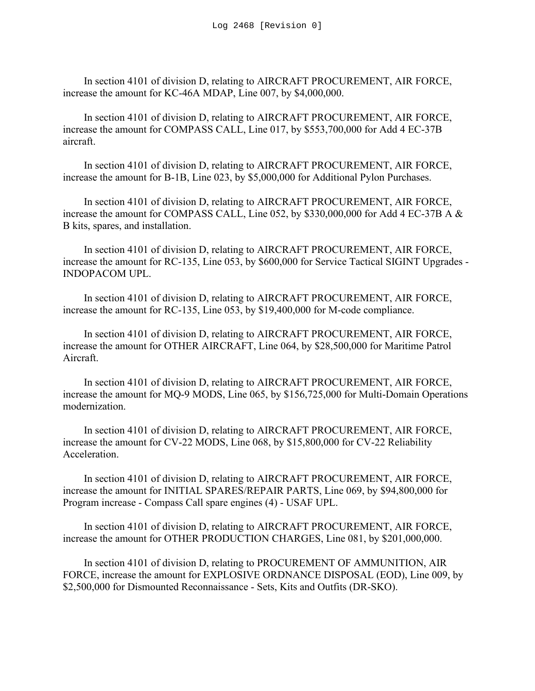In section 4101 of division D, relating to AIRCRAFT PROCUREMENT, AIR FORCE, increase the amount for KC-46A MDAP, Line 007, by \$4,000,000.

In section 4101 of division D, relating to AIRCRAFT PROCUREMENT, AIR FORCE, increase the amount for COMPASS CALL, Line 017, by \$553,700,000 for Add 4 EC-37B aircraft.

In section 4101 of division D, relating to AIRCRAFT PROCUREMENT, AIR FORCE, increase the amount for B-1B, Line 023, by \$5,000,000 for Additional Pylon Purchases.

In section 4101 of division D, relating to AIRCRAFT PROCUREMENT, AIR FORCE, increase the amount for COMPASS CALL, Line 052, by \$330,000,000 for Add 4 EC-37B A & B kits, spares, and installation.

In section 4101 of division D, relating to AIRCRAFT PROCUREMENT, AIR FORCE, increase the amount for RC-135, Line 053, by \$600,000 for Service Tactical SIGINT Upgrades - INDOPACOM UPL.

In section 4101 of division D, relating to AIRCRAFT PROCUREMENT, AIR FORCE, increase the amount for RC-135, Line 053, by \$19,400,000 for M-code compliance.

In section 4101 of division D, relating to AIRCRAFT PROCUREMENT, AIR FORCE, increase the amount for OTHER AIRCRAFT, Line 064, by \$28,500,000 for Maritime Patrol Aircraft.

In section 4101 of division D, relating to AIRCRAFT PROCUREMENT, AIR FORCE, increase the amount for MQ-9 MODS, Line 065, by \$156,725,000 for Multi-Domain Operations modernization.

In section 4101 of division D, relating to AIRCRAFT PROCUREMENT, AIR FORCE, increase the amount for CV-22 MODS, Line 068, by \$15,800,000 for CV-22 Reliability Acceleration.

In section 4101 of division D, relating to AIRCRAFT PROCUREMENT, AIR FORCE, increase the amount for INITIAL SPARES/REPAIR PARTS, Line 069, by \$94,800,000 for Program increase - Compass Call spare engines (4) - USAF UPL.

In section 4101 of division D, relating to AIRCRAFT PROCUREMENT, AIR FORCE, increase the amount for OTHER PRODUCTION CHARGES, Line 081, by \$201,000,000.

In section 4101 of division D, relating to PROCUREMENT OF AMMUNITION, AIR FORCE, increase the amount for EXPLOSIVE ORDNANCE DISPOSAL (EOD), Line 009, by \$2,500,000 for Dismounted Reconnaissance - Sets, Kits and Outfits (DR-SKO).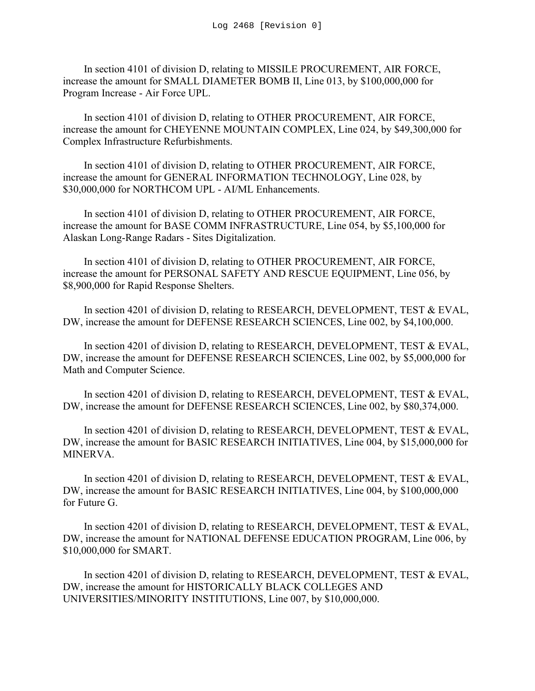In section 4101 of division D, relating to MISSILE PROCUREMENT, AIR FORCE, increase the amount for SMALL DIAMETER BOMB II, Line 013, by \$100,000,000 for Program Increase - Air Force UPL.

In section 4101 of division D, relating to OTHER PROCUREMENT, AIR FORCE, increase the amount for CHEYENNE MOUNTAIN COMPLEX, Line 024, by \$49,300,000 for Complex Infrastructure Refurbishments.

In section 4101 of division D, relating to OTHER PROCUREMENT, AIR FORCE, increase the amount for GENERAL INFORMATION TECHNOLOGY, Line 028, by \$30,000,000 for NORTHCOM UPL - AI/ML Enhancements.

In section 4101 of division D, relating to OTHER PROCUREMENT, AIR FORCE, increase the amount for BASE COMM INFRASTRUCTURE, Line 054, by \$5,100,000 for Alaskan Long-Range Radars - Sites Digitalization.

In section 4101 of division D, relating to OTHER PROCUREMENT, AIR FORCE, increase the amount for PERSONAL SAFETY AND RESCUE EQUIPMENT, Line 056, by \$8,900,000 for Rapid Response Shelters.

In section 4201 of division D, relating to RESEARCH, DEVELOPMENT, TEST & EVAL, DW, increase the amount for DEFENSE RESEARCH SCIENCES, Line 002, by \$4,100,000.

In section 4201 of division D, relating to RESEARCH, DEVELOPMENT, TEST & EVAL, DW, increase the amount for DEFENSE RESEARCH SCIENCES, Line 002, by \$5,000,000 for Math and Computer Science.

In section 4201 of division D, relating to RESEARCH, DEVELOPMENT, TEST & EVAL, DW, increase the amount for DEFENSE RESEARCH SCIENCES, Line 002, by \$80,374,000.

In section 4201 of division D, relating to RESEARCH, DEVELOPMENT, TEST & EVAL, DW, increase the amount for BASIC RESEARCH INITIATIVES, Line 004, by \$15,000,000 for MINERVA.

In section 4201 of division D, relating to RESEARCH, DEVELOPMENT, TEST & EVAL, DW, increase the amount for BASIC RESEARCH INITIATIVES, Line 004, by \$100,000,000 for Future G.

In section 4201 of division D, relating to RESEARCH, DEVELOPMENT, TEST & EVAL, DW, increase the amount for NATIONAL DEFENSE EDUCATION PROGRAM, Line 006, by \$10,000,000 for SMART.

In section 4201 of division D, relating to RESEARCH, DEVELOPMENT, TEST & EVAL, DW, increase the amount for HISTORICALLY BLACK COLLEGES AND UNIVERSITIES/MINORITY INSTITUTIONS, Line 007, by \$10,000,000.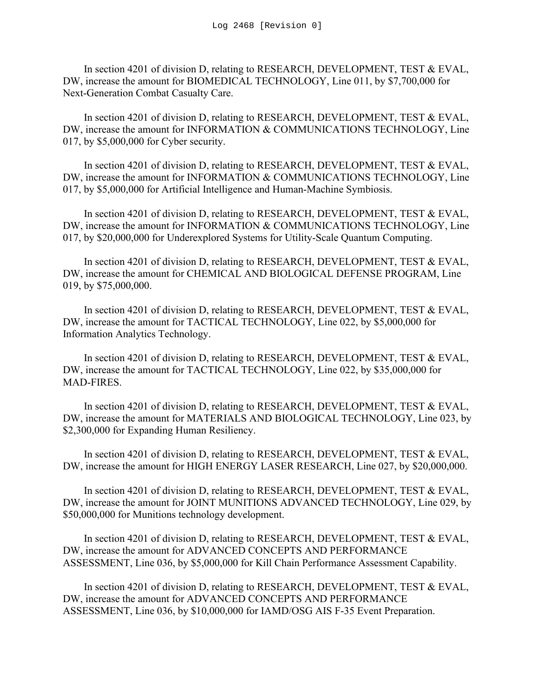In section 4201 of division D, relating to RESEARCH, DEVELOPMENT, TEST & EVAL, DW, increase the amount for BIOMEDICAL TECHNOLOGY, Line 011, by \$7,700,000 for Next-Generation Combat Casualty Care.

In section 4201 of division D, relating to RESEARCH, DEVELOPMENT, TEST & EVAL, DW, increase the amount for INFORMATION & COMMUNICATIONS TECHNOLOGY, Line 017, by \$5,000,000 for Cyber security.

In section 4201 of division D, relating to RESEARCH, DEVELOPMENT, TEST & EVAL, DW, increase the amount for INFORMATION & COMMUNICATIONS TECHNOLOGY, Line 017, by \$5,000,000 for Artificial Intelligence and Human-Machine Symbiosis.

In section 4201 of division D, relating to RESEARCH, DEVELOPMENT, TEST & EVAL, DW, increase the amount for INFORMATION & COMMUNICATIONS TECHNOLOGY, Line 017, by \$20,000,000 for Underexplored Systems for Utility-Scale Quantum Computing.

In section 4201 of division D, relating to RESEARCH, DEVELOPMENT, TEST & EVAL, DW, increase the amount for CHEMICAL AND BIOLOGICAL DEFENSE PROGRAM, Line 019, by \$75,000,000.

In section 4201 of division D, relating to RESEARCH, DEVELOPMENT, TEST & EVAL, DW, increase the amount for TACTICAL TECHNOLOGY, Line 022, by \$5,000,000 for Information Analytics Technology.

In section 4201 of division D, relating to RESEARCH, DEVELOPMENT, TEST & EVAL, DW, increase the amount for TACTICAL TECHNOLOGY, Line 022, by \$35,000,000 for MAD-FIRES.

In section 4201 of division D, relating to RESEARCH, DEVELOPMENT, TEST & EVAL, DW, increase the amount for MATERIALS AND BIOLOGICAL TECHNOLOGY, Line 023, by \$2,300,000 for Expanding Human Resiliency.

In section 4201 of division D, relating to RESEARCH, DEVELOPMENT, TEST & EVAL, DW, increase the amount for HIGH ENERGY LASER RESEARCH, Line 027, by \$20,000,000.

In section 4201 of division D, relating to RESEARCH, DEVELOPMENT, TEST & EVAL, DW, increase the amount for JOINT MUNITIONS ADVANCED TECHNOLOGY, Line 029, by \$50,000,000 for Munitions technology development.

In section 4201 of division D, relating to RESEARCH, DEVELOPMENT, TEST & EVAL, DW, increase the amount for ADVANCED CONCEPTS AND PERFORMANCE ASSESSMENT, Line 036, by \$5,000,000 for Kill Chain Performance Assessment Capability.

In section 4201 of division D, relating to RESEARCH, DEVELOPMENT, TEST & EVAL, DW, increase the amount for ADVANCED CONCEPTS AND PERFORMANCE ASSESSMENT, Line 036, by \$10,000,000 for IAMD/OSG AIS F-35 Event Preparation.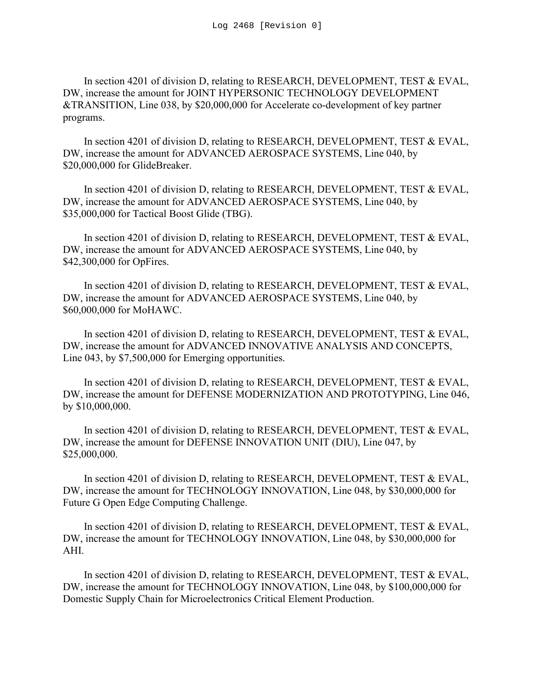In section 4201 of division D, relating to RESEARCH, DEVELOPMENT, TEST & EVAL, DW, increase the amount for JOINT HYPERSONIC TECHNOLOGY DEVELOPMENT &TRANSITION, Line 038, by \$20,000,000 for Accelerate co-development of key partner programs.

In section 4201 of division D, relating to RESEARCH, DEVELOPMENT, TEST & EVAL, DW, increase the amount for ADVANCED AEROSPACE SYSTEMS, Line 040, by \$20,000,000 for GlideBreaker.

In section 4201 of division D, relating to RESEARCH, DEVELOPMENT, TEST & EVAL, DW, increase the amount for ADVANCED AEROSPACE SYSTEMS, Line 040, by \$35,000,000 for Tactical Boost Glide (TBG).

In section 4201 of division D, relating to RESEARCH, DEVELOPMENT, TEST & EVAL, DW, increase the amount for ADVANCED AEROSPACE SYSTEMS, Line 040, by \$42,300,000 for OpFires.

In section 4201 of division D, relating to RESEARCH, DEVELOPMENT, TEST & EVAL, DW, increase the amount for ADVANCED AEROSPACE SYSTEMS, Line 040, by \$60,000,000 for MoHAWC.

In section 4201 of division D, relating to RESEARCH, DEVELOPMENT, TEST & EVAL, DW, increase the amount for ADVANCED INNOVATIVE ANALYSIS AND CONCEPTS, Line 043, by \$7,500,000 for Emerging opportunities.

In section 4201 of division D, relating to RESEARCH, DEVELOPMENT, TEST & EVAL, DW, increase the amount for DEFENSE MODERNIZATION AND PROTOTYPING, Line 046, by \$10,000,000.

In section 4201 of division D, relating to RESEARCH, DEVELOPMENT, TEST & EVAL, DW, increase the amount for DEFENSE INNOVATION UNIT (DIU), Line 047, by \$25,000,000.

In section 4201 of division D, relating to RESEARCH, DEVELOPMENT, TEST & EVAL, DW, increase the amount for TECHNOLOGY INNOVATION, Line 048, by \$30,000,000 for Future G Open Edge Computing Challenge.

In section 4201 of division D, relating to RESEARCH, DEVELOPMENT, TEST & EVAL, DW, increase the amount for TECHNOLOGY INNOVATION, Line 048, by \$30,000,000 for AHI.

In section 4201 of division D, relating to RESEARCH, DEVELOPMENT, TEST & EVAL, DW, increase the amount for TECHNOLOGY INNOVATION, Line 048, by \$100,000,000 for Domestic Supply Chain for Microelectronics Critical Element Production.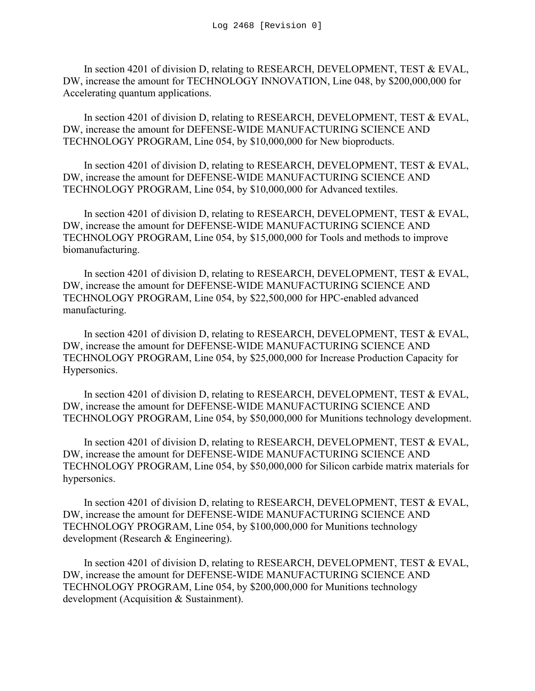In section 4201 of division D, relating to RESEARCH, DEVELOPMENT, TEST & EVAL, DW, increase the amount for TECHNOLOGY INNOVATION, Line 048, by \$200,000,000 for Accelerating quantum applications.

In section 4201 of division D, relating to RESEARCH, DEVELOPMENT, TEST & EVAL, DW, increase the amount for DEFENSE-WIDE MANUFACTURING SCIENCE AND TECHNOLOGY PROGRAM, Line 054, by \$10,000,000 for New bioproducts.

In section 4201 of division D, relating to RESEARCH, DEVELOPMENT, TEST & EVAL, DW, increase the amount for DEFENSE-WIDE MANUFACTURING SCIENCE AND TECHNOLOGY PROGRAM, Line 054, by \$10,000,000 for Advanced textiles.

In section 4201 of division D, relating to RESEARCH, DEVELOPMENT, TEST & EVAL, DW, increase the amount for DEFENSE-WIDE MANUFACTURING SCIENCE AND TECHNOLOGY PROGRAM, Line 054, by \$15,000,000 for Tools and methods to improve biomanufacturing.

In section 4201 of division D, relating to RESEARCH, DEVELOPMENT, TEST & EVAL, DW, increase the amount for DEFENSE-WIDE MANUFACTURING SCIENCE AND TECHNOLOGY PROGRAM, Line 054, by \$22,500,000 for HPC-enabled advanced manufacturing.

In section 4201 of division D, relating to RESEARCH, DEVELOPMENT, TEST & EVAL, DW, increase the amount for DEFENSE-WIDE MANUFACTURING SCIENCE AND TECHNOLOGY PROGRAM, Line 054, by \$25,000,000 for Increase Production Capacity for Hypersonics.

In section 4201 of division D, relating to RESEARCH, DEVELOPMENT, TEST & EVAL, DW, increase the amount for DEFENSE-WIDE MANUFACTURING SCIENCE AND TECHNOLOGY PROGRAM, Line 054, by \$50,000,000 for Munitions technology development.

In section 4201 of division D, relating to RESEARCH, DEVELOPMENT, TEST & EVAL, DW, increase the amount for DEFENSE-WIDE MANUFACTURING SCIENCE AND TECHNOLOGY PROGRAM, Line 054, by \$50,000,000 for Silicon carbide matrix materials for hypersonics.

In section 4201 of division D, relating to RESEARCH, DEVELOPMENT, TEST & EVAL, DW, increase the amount for DEFENSE-WIDE MANUFACTURING SCIENCE AND TECHNOLOGY PROGRAM, Line 054, by \$100,000,000 for Munitions technology development (Research & Engineering).

In section 4201 of division D, relating to RESEARCH, DEVELOPMENT, TEST & EVAL, DW, increase the amount for DEFENSE-WIDE MANUFACTURING SCIENCE AND TECHNOLOGY PROGRAM, Line 054, by \$200,000,000 for Munitions technology development (Acquisition & Sustainment).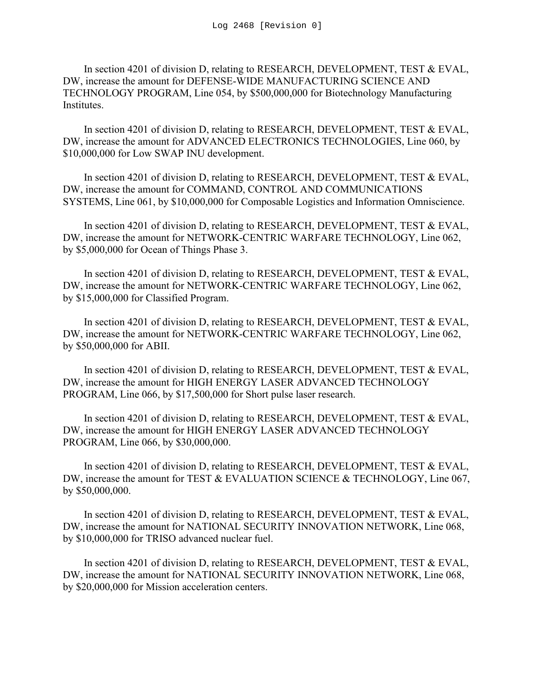In section 4201 of division D, relating to RESEARCH, DEVELOPMENT, TEST & EVAL, DW, increase the amount for DEFENSE-WIDE MANUFACTURING SCIENCE AND TECHNOLOGY PROGRAM, Line 054, by \$500,000,000 for Biotechnology Manufacturing Institutes.

In section 4201 of division D, relating to RESEARCH, DEVELOPMENT, TEST & EVAL, DW, increase the amount for ADVANCED ELECTRONICS TECHNOLOGIES, Line 060, by \$10,000,000 for Low SWAP INU development.

In section 4201 of division D, relating to RESEARCH, DEVELOPMENT, TEST & EVAL, DW, increase the amount for COMMAND, CONTROL AND COMMUNICATIONS SYSTEMS, Line 061, by \$10,000,000 for Composable Logistics and Information Omniscience.

In section 4201 of division D, relating to RESEARCH, DEVELOPMENT, TEST & EVAL, DW, increase the amount for NETWORK-CENTRIC WARFARE TECHNOLOGY, Line 062, by \$5,000,000 for Ocean of Things Phase 3.

In section 4201 of division D, relating to RESEARCH, DEVELOPMENT, TEST & EVAL, DW, increase the amount for NETWORK-CENTRIC WARFARE TECHNOLOGY, Line 062, by \$15,000,000 for Classified Program.

In section 4201 of division D, relating to RESEARCH, DEVELOPMENT, TEST & EVAL, DW, increase the amount for NETWORK-CENTRIC WARFARE TECHNOLOGY, Line 062, by \$50,000,000 for ABII.

In section 4201 of division D, relating to RESEARCH, DEVELOPMENT, TEST & EVAL, DW, increase the amount for HIGH ENERGY LASER ADVANCED TECHNOLOGY PROGRAM, Line 066, by \$17,500,000 for Short pulse laser research.

In section 4201 of division D, relating to RESEARCH, DEVELOPMENT, TEST & EVAL, DW, increase the amount for HIGH ENERGY LASER ADVANCED TECHNOLOGY PROGRAM, Line 066, by \$30,000,000.

In section 4201 of division D, relating to RESEARCH, DEVELOPMENT, TEST & EVAL, DW, increase the amount for TEST & EVALUATION SCIENCE & TECHNOLOGY, Line 067, by \$50,000,000.

In section 4201 of division D, relating to RESEARCH, DEVELOPMENT, TEST & EVAL, DW, increase the amount for NATIONAL SECURITY INNOVATION NETWORK, Line 068, by \$10,000,000 for TRISO advanced nuclear fuel.

In section 4201 of division D, relating to RESEARCH, DEVELOPMENT, TEST & EVAL, DW, increase the amount for NATIONAL SECURITY INNOVATION NETWORK, Line 068, by \$20,000,000 for Mission acceleration centers.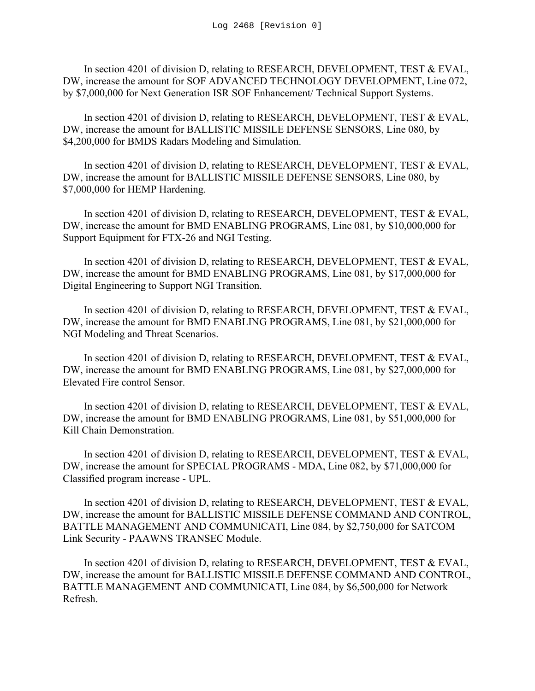In section 4201 of division D, relating to RESEARCH, DEVELOPMENT, TEST & EVAL, DW, increase the amount for SOF ADVANCED TECHNOLOGY DEVELOPMENT, Line 072, by \$7,000,000 for Next Generation ISR SOF Enhancement/ Technical Support Systems.

In section 4201 of division D, relating to RESEARCH, DEVELOPMENT, TEST & EVAL, DW, increase the amount for BALLISTIC MISSILE DEFENSE SENSORS, Line 080, by \$4,200,000 for BMDS Radars Modeling and Simulation.

In section 4201 of division D, relating to RESEARCH, DEVELOPMENT, TEST & EVAL, DW, increase the amount for BALLISTIC MISSILE DEFENSE SENSORS, Line 080, by \$7,000,000 for HEMP Hardening.

In section 4201 of division D, relating to RESEARCH, DEVELOPMENT, TEST & EVAL, DW, increase the amount for BMD ENABLING PROGRAMS, Line 081, by \$10,000,000 for Support Equipment for FTX-26 and NGI Testing.

In section 4201 of division D, relating to RESEARCH, DEVELOPMENT, TEST & EVAL, DW, increase the amount for BMD ENABLING PROGRAMS, Line 081, by \$17,000,000 for Digital Engineering to Support NGI Transition.

In section 4201 of division D, relating to RESEARCH, DEVELOPMENT, TEST & EVAL, DW, increase the amount for BMD ENABLING PROGRAMS, Line 081, by \$21,000,000 for NGI Modeling and Threat Scenarios.

In section 4201 of division D, relating to RESEARCH, DEVELOPMENT, TEST & EVAL, DW, increase the amount for BMD ENABLING PROGRAMS, Line 081, by \$27,000,000 for Elevated Fire control Sensor.

In section 4201 of division D, relating to RESEARCH, DEVELOPMENT, TEST & EVAL, DW, increase the amount for BMD ENABLING PROGRAMS, Line 081, by \$51,000,000 for Kill Chain Demonstration.

In section 4201 of division D, relating to RESEARCH, DEVELOPMENT, TEST & EVAL, DW, increase the amount for SPECIAL PROGRAMS - MDA, Line 082, by \$71,000,000 for Classified program increase - UPL.

In section 4201 of division D, relating to RESEARCH, DEVELOPMENT, TEST & EVAL, DW, increase the amount for BALLISTIC MISSILE DEFENSE COMMAND AND CONTROL, BATTLE MANAGEMENT AND COMMUNICATI, Line 084, by \$2,750,000 for SATCOM Link Security - PAAWNS TRANSEC Module.

In section 4201 of division D, relating to RESEARCH, DEVELOPMENT, TEST & EVAL, DW, increase the amount for BALLISTIC MISSILE DEFENSE COMMAND AND CONTROL, BATTLE MANAGEMENT AND COMMUNICATI, Line 084, by \$6,500,000 for Network Refresh.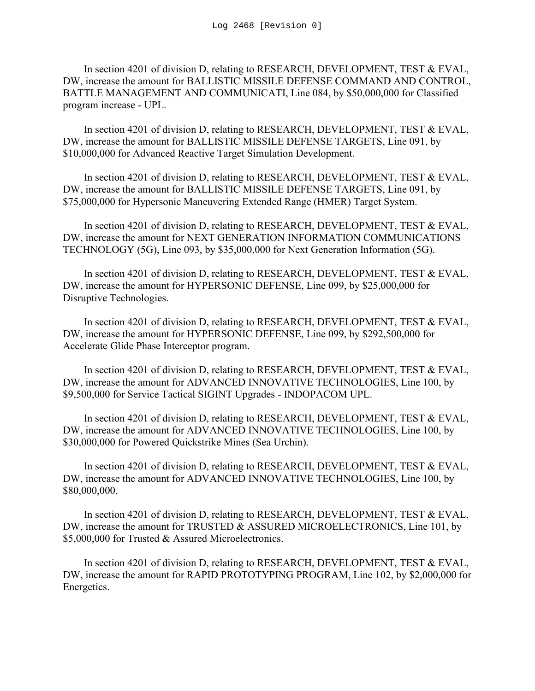In section 4201 of division D, relating to RESEARCH, DEVELOPMENT, TEST & EVAL, DW, increase the amount for BALLISTIC MISSILE DEFENSE COMMAND AND CONTROL, BATTLE MANAGEMENT AND COMMUNICATI, Line 084, by \$50,000,000 for Classified program increase - UPL.

In section 4201 of division D, relating to RESEARCH, DEVELOPMENT, TEST & EVAL, DW, increase the amount for BALLISTIC MISSILE DEFENSE TARGETS, Line 091, by \$10,000,000 for Advanced Reactive Target Simulation Development.

In section 4201 of division D, relating to RESEARCH, DEVELOPMENT, TEST & EVAL, DW, increase the amount for BALLISTIC MISSILE DEFENSE TARGETS, Line 091, by \$75,000,000 for Hypersonic Maneuvering Extended Range (HMER) Target System.

In section 4201 of division D, relating to RESEARCH, DEVELOPMENT, TEST & EVAL, DW, increase the amount for NEXT GENERATION INFORMATION COMMUNICATIONS TECHNOLOGY (5G), Line 093, by \$35,000,000 for Next Generation Information (5G).

In section 4201 of division D, relating to RESEARCH, DEVELOPMENT, TEST & EVAL, DW, increase the amount for HYPERSONIC DEFENSE, Line 099, by \$25,000,000 for Disruptive Technologies.

In section 4201 of division D, relating to RESEARCH, DEVELOPMENT, TEST & EVAL, DW, increase the amount for HYPERSONIC DEFENSE, Line 099, by \$292,500,000 for Accelerate Glide Phase Interceptor program.

In section 4201 of division D, relating to RESEARCH, DEVELOPMENT, TEST & EVAL, DW, increase the amount for ADVANCED INNOVATIVE TECHNOLOGIES, Line 100, by \$9,500,000 for Service Tactical SIGINT Upgrades - INDOPACOM UPL.

In section 4201 of division D, relating to RESEARCH, DEVELOPMENT, TEST & EVAL, DW, increase the amount for ADVANCED INNOVATIVE TECHNOLOGIES, Line 100, by \$30,000,000 for Powered Quickstrike Mines (Sea Urchin).

In section 4201 of division D, relating to RESEARCH, DEVELOPMENT, TEST & EVAL, DW, increase the amount for ADVANCED INNOVATIVE TECHNOLOGIES, Line 100, by \$80,000,000.

In section 4201 of division D, relating to RESEARCH, DEVELOPMENT, TEST & EVAL, DW, increase the amount for TRUSTED & ASSURED MICROELECTRONICS, Line 101, by \$5,000,000 for Trusted & Assured Microelectronics.

In section 4201 of division D, relating to RESEARCH, DEVELOPMENT, TEST & EVAL, DW, increase the amount for RAPID PROTOTYPING PROGRAM, Line 102, by \$2,000,000 for Energetics.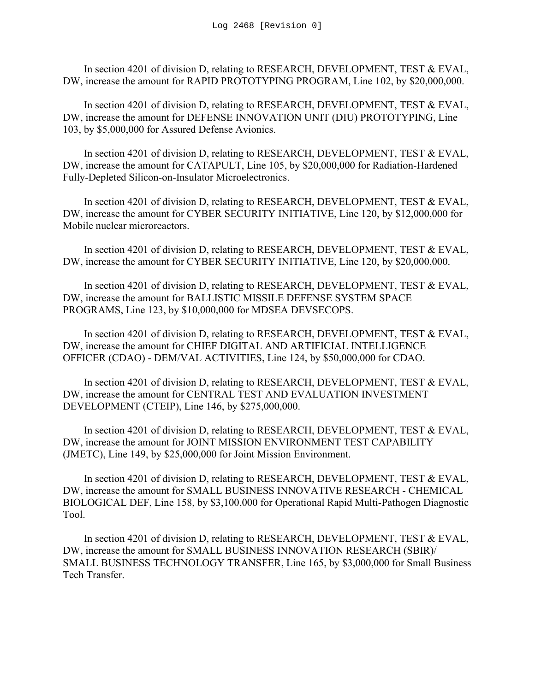In section 4201 of division D, relating to RESEARCH, DEVELOPMENT, TEST & EVAL, DW, increase the amount for RAPID PROTOTYPING PROGRAM, Line 102, by \$20,000,000.

In section 4201 of division D, relating to RESEARCH, DEVELOPMENT, TEST & EVAL, DW, increase the amount for DEFENSE INNOVATION UNIT (DIU) PROTOTYPING, Line 103, by \$5,000,000 for Assured Defense Avionics.

In section 4201 of division D, relating to RESEARCH, DEVELOPMENT, TEST & EVAL, DW, increase the amount for CATAPULT, Line 105, by \$20,000,000 for Radiation-Hardened Fully-Depleted Silicon-on-Insulator Microelectronics.

In section 4201 of division D, relating to RESEARCH, DEVELOPMENT, TEST & EVAL, DW, increase the amount for CYBER SECURITY INITIATIVE, Line 120, by \$12,000,000 for Mobile nuclear microreactors.

In section 4201 of division D, relating to RESEARCH, DEVELOPMENT, TEST & EVAL, DW, increase the amount for CYBER SECURITY INITIATIVE, Line 120, by \$20,000,000.

In section 4201 of division D, relating to RESEARCH, DEVELOPMENT, TEST & EVAL, DW, increase the amount for BALLISTIC MISSILE DEFENSE SYSTEM SPACE PROGRAMS, Line 123, by \$10,000,000 for MDSEA DEVSECOPS.

In section 4201 of division D, relating to RESEARCH, DEVELOPMENT, TEST & EVAL, DW, increase the amount for CHIEF DIGITAL AND ARTIFICIAL INTELLIGENCE OFFICER (CDAO) - DEM/VAL ACTIVITIES, Line 124, by \$50,000,000 for CDAO.

In section 4201 of division D, relating to RESEARCH, DEVELOPMENT, TEST & EVAL, DW, increase the amount for CENTRAL TEST AND EVALUATION INVESTMENT DEVELOPMENT (CTEIP), Line 146, by \$275,000,000.

In section 4201 of division D, relating to RESEARCH, DEVELOPMENT, TEST & EVAL, DW, increase the amount for JOINT MISSION ENVIRONMENT TEST CAPABILITY (JMETC), Line 149, by \$25,000,000 for Joint Mission Environment.

In section 4201 of division D, relating to RESEARCH, DEVELOPMENT, TEST & EVAL, DW, increase the amount for SMALL BUSINESS INNOVATIVE RESEARCH - CHEMICAL BIOLOGICAL DEF, Line 158, by \$3,100,000 for Operational Rapid Multi-Pathogen Diagnostic Tool.

In section 4201 of division D, relating to RESEARCH, DEVELOPMENT, TEST & EVAL, DW, increase the amount for SMALL BUSINESS INNOVATION RESEARCH (SBIR)/ SMALL BUSINESS TECHNOLOGY TRANSFER, Line 165, by \$3,000,000 for Small Business Tech Transfer.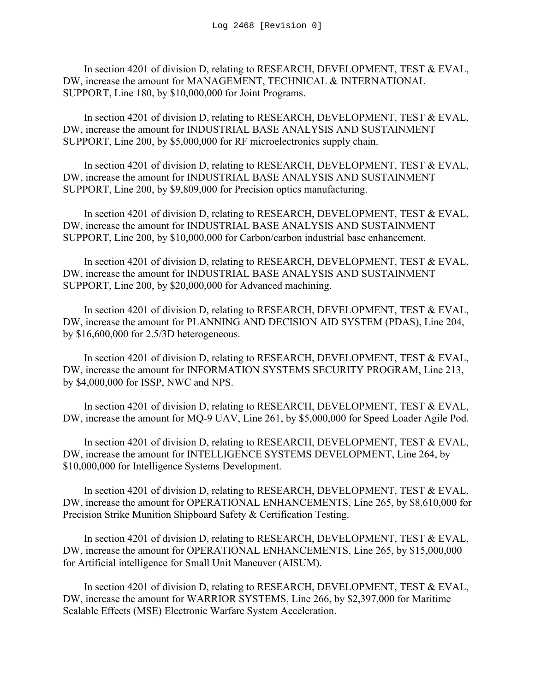In section 4201 of division D, relating to RESEARCH, DEVELOPMENT, TEST & EVAL, DW, increase the amount for MANAGEMENT, TECHNICAL & INTERNATIONAL SUPPORT, Line 180, by \$10,000,000 for Joint Programs.

In section 4201 of division D, relating to RESEARCH, DEVELOPMENT, TEST & EVAL, DW, increase the amount for INDUSTRIAL BASE ANALYSIS AND SUSTAINMENT SUPPORT, Line 200, by \$5,000,000 for RF microelectronics supply chain.

In section 4201 of division D, relating to RESEARCH, DEVELOPMENT, TEST & EVAL, DW, increase the amount for INDUSTRIAL BASE ANALYSIS AND SUSTAINMENT SUPPORT, Line 200, by \$9,809,000 for Precision optics manufacturing.

In section 4201 of division D, relating to RESEARCH, DEVELOPMENT, TEST & EVAL, DW, increase the amount for INDUSTRIAL BASE ANALYSIS AND SUSTAINMENT SUPPORT, Line 200, by \$10,000,000 for Carbon/carbon industrial base enhancement.

In section 4201 of division D, relating to RESEARCH, DEVELOPMENT, TEST & EVAL, DW, increase the amount for INDUSTRIAL BASE ANALYSIS AND SUSTAINMENT SUPPORT, Line 200, by \$20,000,000 for Advanced machining.

In section 4201 of division D, relating to RESEARCH, DEVELOPMENT, TEST & EVAL, DW, increase the amount for PLANNING AND DECISION AID SYSTEM (PDAS), Line 204, by \$16,600,000 for 2.5/3D heterogeneous.

In section 4201 of division D, relating to RESEARCH, DEVELOPMENT, TEST & EVAL, DW, increase the amount for INFORMATION SYSTEMS SECURITY PROGRAM, Line 213, by \$4,000,000 for ISSP, NWC and NPS.

In section 4201 of division D, relating to RESEARCH, DEVELOPMENT, TEST & EVAL, DW, increase the amount for MQ-9 UAV, Line 261, by \$5,000,000 for Speed Loader Agile Pod.

In section 4201 of division D, relating to RESEARCH, DEVELOPMENT, TEST & EVAL, DW, increase the amount for INTELLIGENCE SYSTEMS DEVELOPMENT, Line 264, by \$10,000,000 for Intelligence Systems Development.

In section 4201 of division D, relating to RESEARCH, DEVELOPMENT, TEST & EVAL, DW, increase the amount for OPERATIONAL ENHANCEMENTS, Line 265, by \$8,610,000 for Precision Strike Munition Shipboard Safety & Certification Testing.

In section 4201 of division D, relating to RESEARCH, DEVELOPMENT, TEST & EVAL, DW, increase the amount for OPERATIONAL ENHANCEMENTS, Line 265, by \$15,000,000 for Artificial intelligence for Small Unit Maneuver (AISUM).

In section 4201 of division D, relating to RESEARCH, DEVELOPMENT, TEST & EVAL, DW, increase the amount for WARRIOR SYSTEMS, Line 266, by \$2,397,000 for Maritime Scalable Effects (MSE) Electronic Warfare System Acceleration.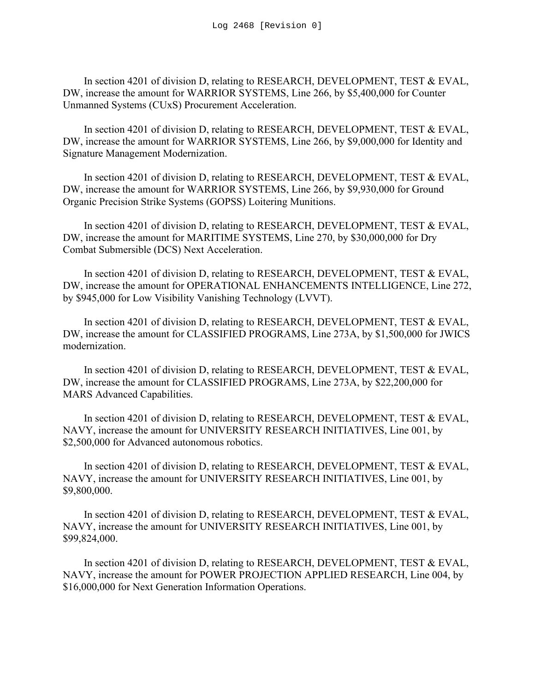In section 4201 of division D, relating to RESEARCH, DEVELOPMENT, TEST & EVAL, DW, increase the amount for WARRIOR SYSTEMS, Line 266, by \$5,400,000 for Counter Unmanned Systems (CUxS) Procurement Acceleration.

In section 4201 of division D, relating to RESEARCH, DEVELOPMENT, TEST & EVAL, DW, increase the amount for WARRIOR SYSTEMS, Line 266, by \$9,000,000 for Identity and Signature Management Modernization.

In section 4201 of division D, relating to RESEARCH, DEVELOPMENT, TEST & EVAL, DW, increase the amount for WARRIOR SYSTEMS, Line 266, by \$9,930,000 for Ground Organic Precision Strike Systems (GOPSS) Loitering Munitions.

In section 4201 of division D, relating to RESEARCH, DEVELOPMENT, TEST & EVAL, DW, increase the amount for MARITIME SYSTEMS, Line 270, by \$30,000,000 for Dry Combat Submersible (DCS) Next Acceleration.

In section 4201 of division D, relating to RESEARCH, DEVELOPMENT, TEST & EVAL, DW, increase the amount for OPERATIONAL ENHANCEMENTS INTELLIGENCE, Line 272, by \$945,000 for Low Visibility Vanishing Technology (LVVT).

In section 4201 of division D, relating to RESEARCH, DEVELOPMENT, TEST & EVAL, DW, increase the amount for CLASSIFIED PROGRAMS, Line 273A, by \$1,500,000 for JWICS modernization.

In section 4201 of division D, relating to RESEARCH, DEVELOPMENT, TEST & EVAL, DW, increase the amount for CLASSIFIED PROGRAMS, Line 273A, by \$22,200,000 for MARS Advanced Capabilities.

In section 4201 of division D, relating to RESEARCH, DEVELOPMENT, TEST & EVAL, NAVY, increase the amount for UNIVERSITY RESEARCH INITIATIVES, Line 001, by \$2,500,000 for Advanced autonomous robotics.

In section 4201 of division D, relating to RESEARCH, DEVELOPMENT, TEST & EVAL, NAVY, increase the amount for UNIVERSITY RESEARCH INITIATIVES, Line 001, by \$9,800,000.

In section 4201 of division D, relating to RESEARCH, DEVELOPMENT, TEST & EVAL, NAVY, increase the amount for UNIVERSITY RESEARCH INITIATIVES, Line 001, by \$99,824,000.

In section 4201 of division D, relating to RESEARCH, DEVELOPMENT, TEST & EVAL, NAVY, increase the amount for POWER PROJECTION APPLIED RESEARCH, Line 004, by \$16,000,000 for Next Generation Information Operations.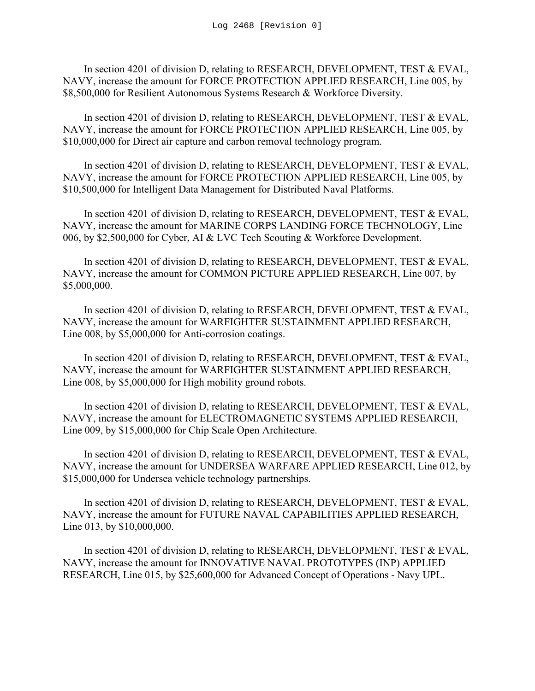In section 4201 of division D, relating to RESEARCH, DEVELOPMENT, TEST & EVAL, NAVY, increase the amount for FORCE PROTECTION APPLIED RESEARCH, Line 005, by \$8,500,000 for Resilient Autonomous Systems Research & Workforce Diversity.

In section 4201 of division D, relating to RESEARCH, DEVELOPMENT, TEST & EVAL, NAVY, increase the amount for FORCE PROTECTION APPLIED RESEARCH, Line 005, by \$10,000,000 for Direct air capture and carbon removal technology program.

In section 4201 of division D, relating to RESEARCH, DEVELOPMENT, TEST & EVAL, NAVY, increase the amount for FORCE PROTECTION APPLIED RESEARCH, Line 005, by \$10,500,000 for Intelligent Data Management for Distributed Naval Platforms.

In section 4201 of division D, relating to RESEARCH, DEVELOPMENT, TEST & EVAL, NAVY, increase the amount for MARINE CORPS LANDING FORCE TECHNOLOGY, Line 006, by \$2,500,000 for Cyber, AI & LVC Tech Scouting & Workforce Development.

In section 4201 of division D, relating to RESEARCH, DEVELOPMENT, TEST & EVAL, NAVY, increase the amount for COMMON PICTURE APPLIED RESEARCH, Line 007, by \$5,000,000.

In section 4201 of division D, relating to RESEARCH, DEVELOPMENT, TEST & EVAL, NAVY, increase the amount for WARFIGHTER SUSTAINMENT APPLIED RESEARCH, Line 008, by \$5,000,000 for Anti-corrosion coatings.

In section 4201 of division D, relating to RESEARCH, DEVELOPMENT, TEST & EVAL, NAVY, increase the amount for WARFIGHTER SUSTAINMENT APPLIED RESEARCH, Line 008, by \$5,000,000 for High mobility ground robots.

In section 4201 of division D, relating to RESEARCH, DEVELOPMENT, TEST & EVAL, NAVY, increase the amount for ELECTROMAGNETIC SYSTEMS APPLIED RESEARCH, Line 009, by \$15,000,000 for Chip Scale Open Architecture.

In section 4201 of division D, relating to RESEARCH, DEVELOPMENT, TEST & EVAL, NAVY, increase the amount for UNDERSEA WARFARE APPLIED RESEARCH, Line 012, by \$15,000,000 for Undersea vehicle technology partnerships.

In section 4201 of division D, relating to RESEARCH, DEVELOPMENT, TEST & EVAL, NAVY, increase the amount for FUTURE NAVAL CAPABILITIES APPLIED RESEARCH, Line 013, by \$10,000,000.

In section 4201 of division D, relating to RESEARCH, DEVELOPMENT, TEST & EVAL, NAVY, increase the amount for INNOVATIVE NAVAL PROTOTYPES (INP) APPLIED RESEARCH, Line 015, by \$25,600,000 for Advanced Concept of Operations - Navy UPL.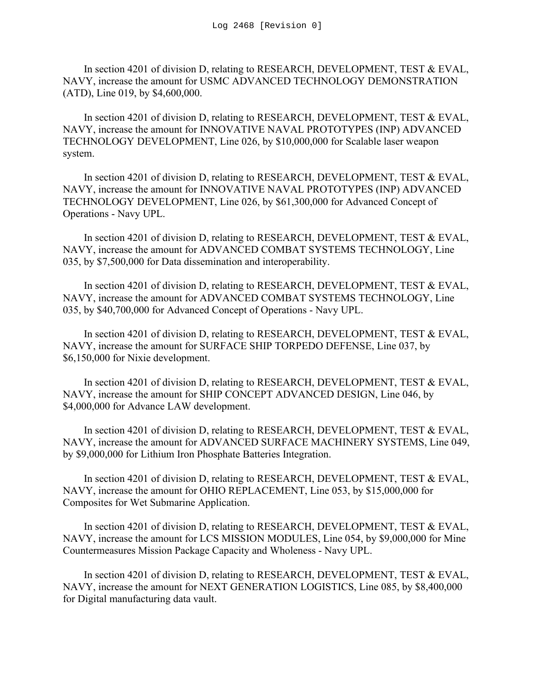In section 4201 of division D, relating to RESEARCH, DEVELOPMENT, TEST & EVAL, NAVY, increase the amount for USMC ADVANCED TECHNOLOGY DEMONSTRATION (ATD), Line 019, by \$4,600,000.

In section 4201 of division D, relating to RESEARCH, DEVELOPMENT, TEST & EVAL, NAVY, increase the amount for INNOVATIVE NAVAL PROTOTYPES (INP) ADVANCED TECHNOLOGY DEVELOPMENT, Line 026, by \$10,000,000 for Scalable laser weapon system.

In section 4201 of division D, relating to RESEARCH, DEVELOPMENT, TEST & EVAL, NAVY, increase the amount for INNOVATIVE NAVAL PROTOTYPES (INP) ADVANCED TECHNOLOGY DEVELOPMENT, Line 026, by \$61,300,000 for Advanced Concept of Operations - Navy UPL.

In section 4201 of division D, relating to RESEARCH, DEVELOPMENT, TEST & EVAL, NAVY, increase the amount for ADVANCED COMBAT SYSTEMS TECHNOLOGY, Line 035, by \$7,500,000 for Data dissemination and interoperability.

In section 4201 of division D, relating to RESEARCH, DEVELOPMENT, TEST & EVAL, NAVY, increase the amount for ADVANCED COMBAT SYSTEMS TECHNOLOGY, Line 035, by \$40,700,000 for Advanced Concept of Operations - Navy UPL.

In section 4201 of division D, relating to RESEARCH, DEVELOPMENT, TEST & EVAL, NAVY, increase the amount for SURFACE SHIP TORPEDO DEFENSE, Line 037, by \$6,150,000 for Nixie development.

In section 4201 of division D, relating to RESEARCH, DEVELOPMENT, TEST & EVAL, NAVY, increase the amount for SHIP CONCEPT ADVANCED DESIGN, Line 046, by \$4,000,000 for Advance LAW development.

In section 4201 of division D, relating to RESEARCH, DEVELOPMENT, TEST & EVAL, NAVY, increase the amount for ADVANCED SURFACE MACHINERY SYSTEMS, Line 049, by \$9,000,000 for Lithium Iron Phosphate Batteries Integration.

In section 4201 of division D, relating to RESEARCH, DEVELOPMENT, TEST & EVAL, NAVY, increase the amount for OHIO REPLACEMENT, Line 053, by \$15,000,000 for Composites for Wet Submarine Application.

In section 4201 of division D, relating to RESEARCH, DEVELOPMENT, TEST & EVAL, NAVY, increase the amount for LCS MISSION MODULES, Line 054, by \$9,000,000 for Mine Countermeasures Mission Package Capacity and Wholeness - Navy UPL.

In section 4201 of division D, relating to RESEARCH, DEVELOPMENT, TEST & EVAL, NAVY, increase the amount for NEXT GENERATION LOGISTICS, Line 085, by \$8,400,000 for Digital manufacturing data vault.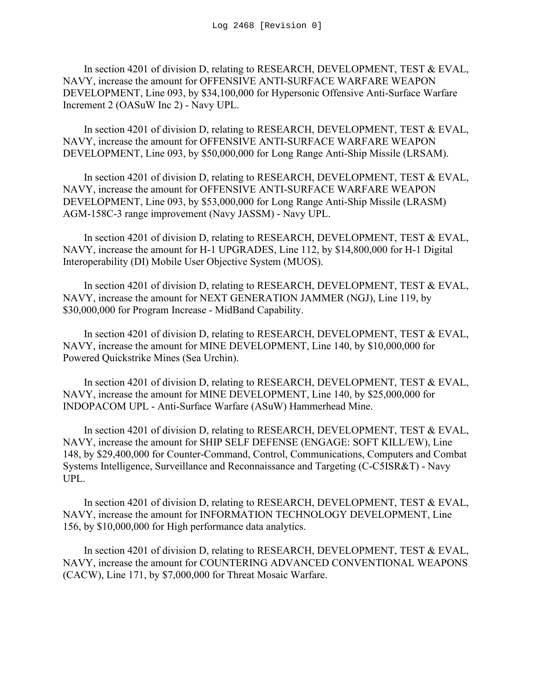In section 4201 of division D, relating to RESEARCH, DEVELOPMENT, TEST & EVAL, NAVY, increase the amount for OFFENSIVE ANTI-SURFACE WARFARE WEAPON DEVELOPMENT, Line 093, by \$34,100,000 for Hypersonic Offensive Anti-Surface Warfare Increment 2 (OASuW Inc 2) - Navy UPL.

In section 4201 of division D, relating to RESEARCH, DEVELOPMENT, TEST & EVAL, NAVY, increase the amount for OFFENSIVE ANTI-SURFACE WARFARE WEAPON DEVELOPMENT, Line 093, by \$50,000,000 for Long Range Anti-Ship Missile (LRSAM).

In section 4201 of division D, relating to RESEARCH, DEVELOPMENT, TEST & EVAL, NAVY, increase the amount for OFFENSIVE ANTI-SURFACE WARFARE WEAPON DEVELOPMENT, Line 093, by \$53,000,000 for Long Range Anti-Ship Missile (LRASM) AGM-158C-3 range improvement (Navy JASSM) - Navy UPL.

In section 4201 of division D, relating to RESEARCH, DEVELOPMENT, TEST & EVAL, NAVY, increase the amount for H-1 UPGRADES, Line 112, by \$14,800,000 for H-1 Digital Interoperability (DI) Mobile User Objective System (MUOS).

In section 4201 of division D, relating to RESEARCH, DEVELOPMENT, TEST & EVAL, NAVY, increase the amount for NEXT GENERATION JAMMER (NGJ), Line 119, by \$30,000,000 for Program Increase - MidBand Capability.

In section 4201 of division D, relating to RESEARCH, DEVELOPMENT, TEST & EVAL, NAVY, increase the amount for MINE DEVELOPMENT, Line 140, by \$10,000,000 for Powered Quickstrike Mines (Sea Urchin).

In section 4201 of division D, relating to RESEARCH, DEVELOPMENT, TEST & EVAL, NAVY, increase the amount for MINE DEVELOPMENT, Line 140, by \$25,000,000 for INDOPACOM UPL - Anti-Surface Warfare (ASuW) Hammerhead Mine.

In section 4201 of division D, relating to RESEARCH, DEVELOPMENT, TEST & EVAL, NAVY, increase the amount for SHIP SELF DEFENSE (ENGAGE: SOFT KILL/EW), Line 148, by \$29,400,000 for Counter-Command, Control, Communications, Computers and Combat Systems Intelligence, Surveillance and Reconnaissance and Targeting (C-C5ISR&T) - Navy UPL.

In section 4201 of division D, relating to RESEARCH, DEVELOPMENT, TEST & EVAL, NAVY, increase the amount for INFORMATION TECHNOLOGY DEVELOPMENT, Line 156, by \$10,000,000 for High performance data analytics.

In section 4201 of division D, relating to RESEARCH, DEVELOPMENT, TEST & EVAL, NAVY, increase the amount for COUNTERING ADVANCED CONVENTIONAL WEAPONS (CACW), Line 171, by \$7,000,000 for Threat Mosaic Warfare.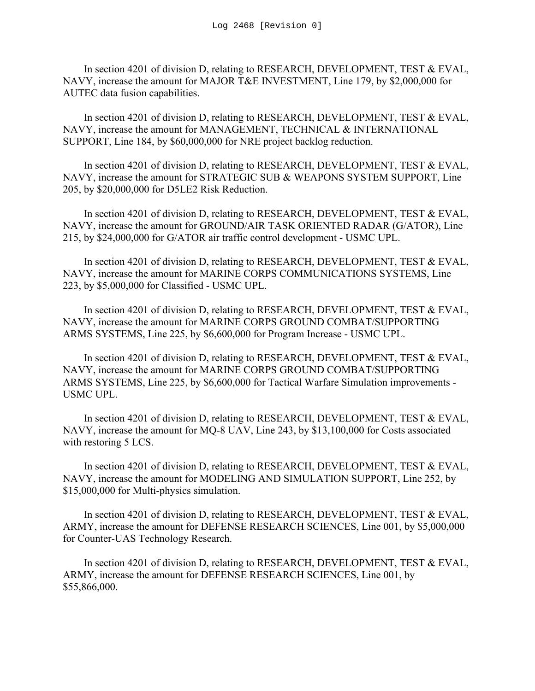In section 4201 of division D, relating to RESEARCH, DEVELOPMENT, TEST & EVAL, NAVY, increase the amount for MAJOR T&E INVESTMENT, Line 179, by \$2,000,000 for AUTEC data fusion capabilities.

In section 4201 of division D, relating to RESEARCH, DEVELOPMENT, TEST & EVAL, NAVY, increase the amount for MANAGEMENT, TECHNICAL & INTERNATIONAL SUPPORT, Line 184, by \$60,000,000 for NRE project backlog reduction.

In section 4201 of division D, relating to RESEARCH, DEVELOPMENT, TEST & EVAL, NAVY, increase the amount for STRATEGIC SUB & WEAPONS SYSTEM SUPPORT, Line 205, by \$20,000,000 for D5LE2 Risk Reduction.

In section 4201 of division D, relating to RESEARCH, DEVELOPMENT, TEST & EVAL, NAVY, increase the amount for GROUND/AIR TASK ORIENTED RADAR (G/ATOR), Line 215, by \$24,000,000 for G/ATOR air traffic control development - USMC UPL.

In section 4201 of division D, relating to RESEARCH, DEVELOPMENT, TEST & EVAL, NAVY, increase the amount for MARINE CORPS COMMUNICATIONS SYSTEMS, Line 223, by \$5,000,000 for Classified - USMC UPL.

In section 4201 of division D, relating to RESEARCH, DEVELOPMENT, TEST & EVAL, NAVY, increase the amount for MARINE CORPS GROUND COMBAT/SUPPORTING ARMS SYSTEMS, Line 225, by \$6,600,000 for Program Increase - USMC UPL.

In section 4201 of division D, relating to RESEARCH, DEVELOPMENT, TEST & EVAL, NAVY, increase the amount for MARINE CORPS GROUND COMBAT/SUPPORTING ARMS SYSTEMS, Line 225, by \$6,600,000 for Tactical Warfare Simulation improvements - USMC UPL.

In section 4201 of division D, relating to RESEARCH, DEVELOPMENT, TEST & EVAL, NAVY, increase the amount for MQ-8 UAV, Line 243, by \$13,100,000 for Costs associated with restoring 5 LCS.

In section 4201 of division D, relating to RESEARCH, DEVELOPMENT, TEST & EVAL, NAVY, increase the amount for MODELING AND SIMULATION SUPPORT, Line 252, by \$15,000,000 for Multi-physics simulation.

In section 4201 of division D, relating to RESEARCH, DEVELOPMENT, TEST & EVAL, ARMY, increase the amount for DEFENSE RESEARCH SCIENCES, Line 001, by \$5,000,000 for Counter-UAS Technology Research.

In section 4201 of division D, relating to RESEARCH, DEVELOPMENT, TEST & EVAL, ARMY, increase the amount for DEFENSE RESEARCH SCIENCES, Line 001, by \$55,866,000.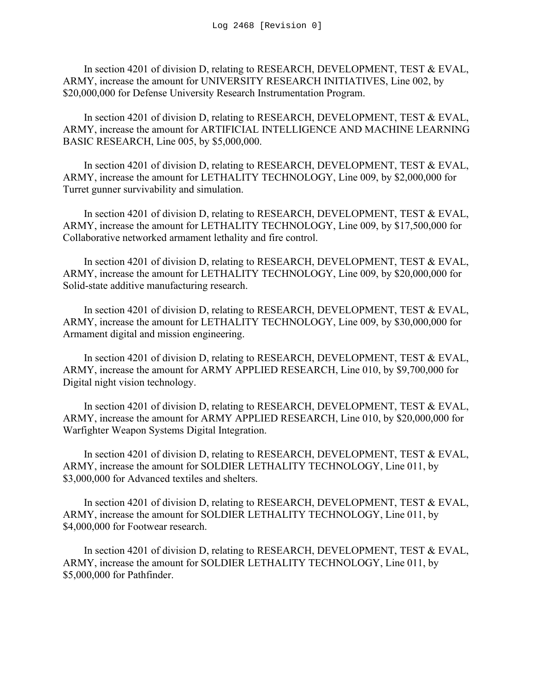In section 4201 of division D, relating to RESEARCH, DEVELOPMENT, TEST & EVAL, ARMY, increase the amount for UNIVERSITY RESEARCH INITIATIVES, Line 002, by \$20,000,000 for Defense University Research Instrumentation Program.

In section 4201 of division D, relating to RESEARCH, DEVELOPMENT, TEST & EVAL, ARMY, increase the amount for ARTIFICIAL INTELLIGENCE AND MACHINE LEARNING BASIC RESEARCH, Line 005, by \$5,000,000.

In section 4201 of division D, relating to RESEARCH, DEVELOPMENT, TEST & EVAL, ARMY, increase the amount for LETHALITY TECHNOLOGY, Line 009, by \$2,000,000 for Turret gunner survivability and simulation.

In section 4201 of division D, relating to RESEARCH, DEVELOPMENT, TEST & EVAL, ARMY, increase the amount for LETHALITY TECHNOLOGY, Line 009, by \$17,500,000 for Collaborative networked armament lethality and fire control.

In section 4201 of division D, relating to RESEARCH, DEVELOPMENT, TEST & EVAL, ARMY, increase the amount for LETHALITY TECHNOLOGY, Line 009, by \$20,000,000 for Solid-state additive manufacturing research.

In section 4201 of division D, relating to RESEARCH, DEVELOPMENT, TEST & EVAL, ARMY, increase the amount for LETHALITY TECHNOLOGY, Line 009, by \$30,000,000 for Armament digital and mission engineering.

In section 4201 of division D, relating to RESEARCH, DEVELOPMENT, TEST & EVAL, ARMY, increase the amount for ARMY APPLIED RESEARCH, Line 010, by \$9,700,000 for Digital night vision technology.

In section 4201 of division D, relating to RESEARCH, DEVELOPMENT, TEST & EVAL, ARMY, increase the amount for ARMY APPLIED RESEARCH, Line 010, by \$20,000,000 for Warfighter Weapon Systems Digital Integration.

In section 4201 of division D, relating to RESEARCH, DEVELOPMENT, TEST & EVAL, ARMY, increase the amount for SOLDIER LETHALITY TECHNOLOGY, Line 011, by \$3,000,000 for Advanced textiles and shelters.

In section 4201 of division D, relating to RESEARCH, DEVELOPMENT, TEST & EVAL, ARMY, increase the amount for SOLDIER LETHALITY TECHNOLOGY, Line 011, by \$4,000,000 for Footwear research.

In section 4201 of division D, relating to RESEARCH, DEVELOPMENT, TEST & EVAL, ARMY, increase the amount for SOLDIER LETHALITY TECHNOLOGY, Line 011, by \$5,000,000 for Pathfinder.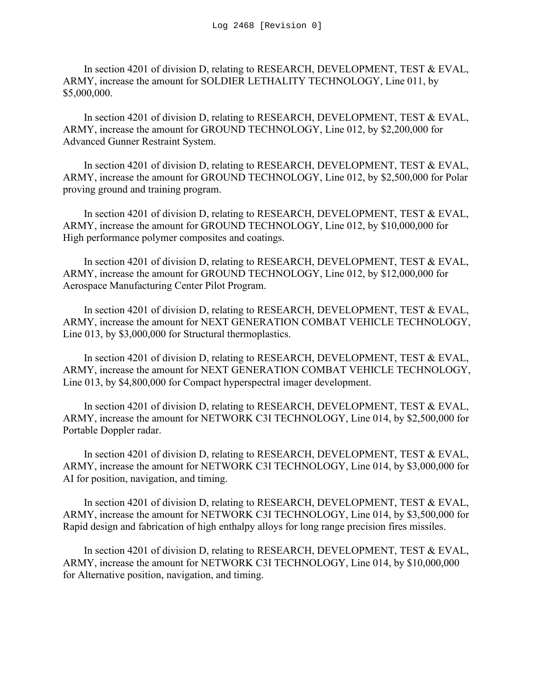In section 4201 of division D, relating to RESEARCH, DEVELOPMENT, TEST & EVAL, ARMY, increase the amount for SOLDIER LETHALITY TECHNOLOGY, Line 011, by \$5,000,000.

In section 4201 of division D, relating to RESEARCH, DEVELOPMENT, TEST & EVAL, ARMY, increase the amount for GROUND TECHNOLOGY, Line 012, by \$2,200,000 for Advanced Gunner Restraint System.

In section 4201 of division D, relating to RESEARCH, DEVELOPMENT, TEST & EVAL, ARMY, increase the amount for GROUND TECHNOLOGY, Line 012, by \$2,500,000 for Polar proving ground and training program.

In section 4201 of division D, relating to RESEARCH, DEVELOPMENT, TEST & EVAL, ARMY, increase the amount for GROUND TECHNOLOGY, Line 012, by \$10,000,000 for High performance polymer composites and coatings.

In section 4201 of division D, relating to RESEARCH, DEVELOPMENT, TEST & EVAL, ARMY, increase the amount for GROUND TECHNOLOGY, Line 012, by \$12,000,000 for Aerospace Manufacturing Center Pilot Program.

In section 4201 of division D, relating to RESEARCH, DEVELOPMENT, TEST & EVAL, ARMY, increase the amount for NEXT GENERATION COMBAT VEHICLE TECHNOLOGY, Line 013, by \$3,000,000 for Structural thermoplastics.

In section 4201 of division D, relating to RESEARCH, DEVELOPMENT, TEST & EVAL, ARMY, increase the amount for NEXT GENERATION COMBAT VEHICLE TECHNOLOGY, Line 013, by \$4,800,000 for Compact hyperspectral imager development.

In section 4201 of division D, relating to RESEARCH, DEVELOPMENT, TEST & EVAL, ARMY, increase the amount for NETWORK C3I TECHNOLOGY, Line 014, by \$2,500,000 for Portable Doppler radar.

In section 4201 of division D, relating to RESEARCH, DEVELOPMENT, TEST & EVAL, ARMY, increase the amount for NETWORK C3I TECHNOLOGY, Line 014, by \$3,000,000 for AI for position, navigation, and timing.

In section 4201 of division D, relating to RESEARCH, DEVELOPMENT, TEST & EVAL, ARMY, increase the amount for NETWORK C3I TECHNOLOGY, Line 014, by \$3,500,000 for Rapid design and fabrication of high enthalpy alloys for long range precision fires missiles.

In section 4201 of division D, relating to RESEARCH, DEVELOPMENT, TEST & EVAL, ARMY, increase the amount for NETWORK C3I TECHNOLOGY, Line 014, by \$10,000,000 for Alternative position, navigation, and timing.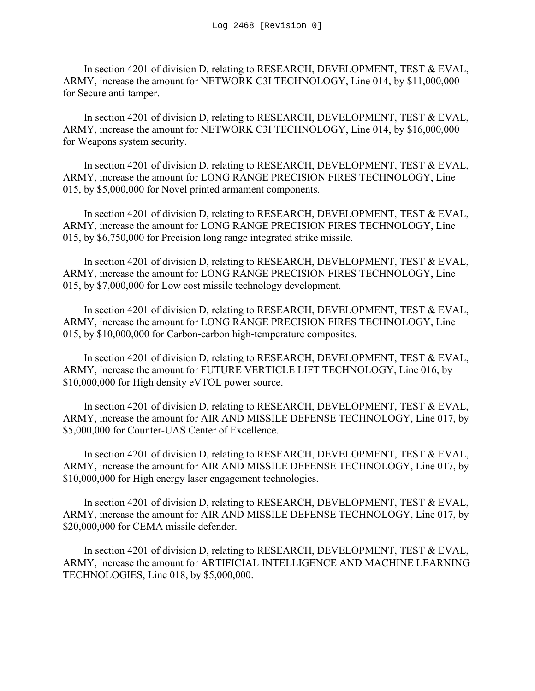In section 4201 of division D, relating to RESEARCH, DEVELOPMENT, TEST & EVAL, ARMY, increase the amount for NETWORK C3I TECHNOLOGY, Line 014, by \$11,000,000 for Secure anti-tamper.

In section 4201 of division D, relating to RESEARCH, DEVELOPMENT, TEST & EVAL, ARMY, increase the amount for NETWORK C3I TECHNOLOGY, Line 014, by \$16,000,000 for Weapons system security.

In section 4201 of division D, relating to RESEARCH, DEVELOPMENT, TEST & EVAL, ARMY, increase the amount for LONG RANGE PRECISION FIRES TECHNOLOGY, Line 015, by \$5,000,000 for Novel printed armament components.

In section 4201 of division D, relating to RESEARCH, DEVELOPMENT, TEST & EVAL, ARMY, increase the amount for LONG RANGE PRECISION FIRES TECHNOLOGY, Line 015, by \$6,750,000 for Precision long range integrated strike missile.

In section 4201 of division D, relating to RESEARCH, DEVELOPMENT, TEST & EVAL, ARMY, increase the amount for LONG RANGE PRECISION FIRES TECHNOLOGY, Line 015, by \$7,000,000 for Low cost missile technology development.

In section 4201 of division D, relating to RESEARCH, DEVELOPMENT, TEST & EVAL, ARMY, increase the amount for LONG RANGE PRECISION FIRES TECHNOLOGY, Line 015, by \$10,000,000 for Carbon-carbon high-temperature composites.

In section 4201 of division D, relating to RESEARCH, DEVELOPMENT, TEST & EVAL, ARMY, increase the amount for FUTURE VERTICLE LIFT TECHNOLOGY, Line 016, by \$10,000,000 for High density eVTOL power source.

In section 4201 of division D, relating to RESEARCH, DEVELOPMENT, TEST & EVAL, ARMY, increase the amount for AIR AND MISSILE DEFENSE TECHNOLOGY, Line 017, by \$5,000,000 for Counter-UAS Center of Excellence.

In section 4201 of division D, relating to RESEARCH, DEVELOPMENT, TEST & EVAL, ARMY, increase the amount for AIR AND MISSILE DEFENSE TECHNOLOGY, Line 017, by \$10,000,000 for High energy laser engagement technologies.

In section 4201 of division D, relating to RESEARCH, DEVELOPMENT, TEST & EVAL, ARMY, increase the amount for AIR AND MISSILE DEFENSE TECHNOLOGY, Line 017, by \$20,000,000 for CEMA missile defender.

In section 4201 of division D, relating to RESEARCH, DEVELOPMENT, TEST & EVAL, ARMY, increase the amount for ARTIFICIAL INTELLIGENCE AND MACHINE LEARNING TECHNOLOGIES, Line 018, by \$5,000,000.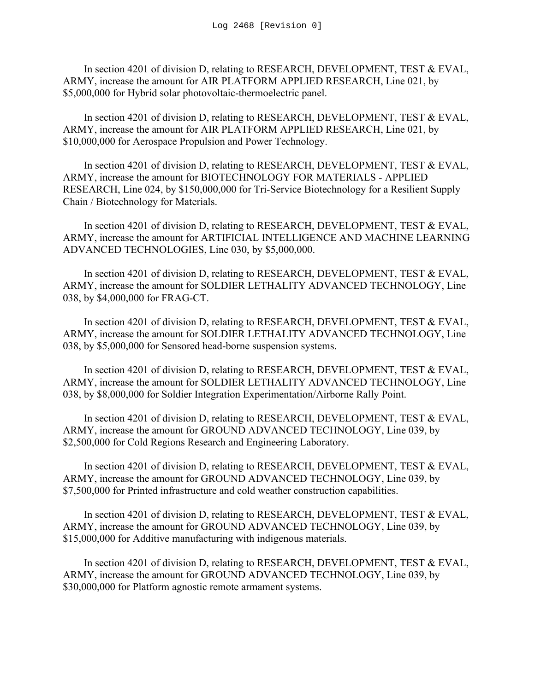In section 4201 of division D, relating to RESEARCH, DEVELOPMENT, TEST & EVAL, ARMY, increase the amount for AIR PLATFORM APPLIED RESEARCH, Line 021, by \$5,000,000 for Hybrid solar photovoltaic-thermoelectric panel.

In section 4201 of division D, relating to RESEARCH, DEVELOPMENT, TEST & EVAL, ARMY, increase the amount for AIR PLATFORM APPLIED RESEARCH, Line 021, by \$10,000,000 for Aerospace Propulsion and Power Technology.

In section 4201 of division D, relating to RESEARCH, DEVELOPMENT, TEST & EVAL, ARMY, increase the amount for BIOTECHNOLOGY FOR MATERIALS - APPLIED RESEARCH, Line 024, by \$150,000,000 for Tri-Service Biotechnology for a Resilient Supply Chain / Biotechnology for Materials.

In section 4201 of division D, relating to RESEARCH, DEVELOPMENT, TEST & EVAL, ARMY, increase the amount for ARTIFICIAL INTELLIGENCE AND MACHINE LEARNING ADVANCED TECHNOLOGIES, Line 030, by \$5,000,000.

In section 4201 of division D, relating to RESEARCH, DEVELOPMENT, TEST & EVAL, ARMY, increase the amount for SOLDIER LETHALITY ADVANCED TECHNOLOGY, Line 038, by \$4,000,000 for FRAG-CT.

In section 4201 of division D, relating to RESEARCH, DEVELOPMENT, TEST & EVAL, ARMY, increase the amount for SOLDIER LETHALITY ADVANCED TECHNOLOGY, Line 038, by \$5,000,000 for Sensored head-borne suspension systems.

In section 4201 of division D, relating to RESEARCH, DEVELOPMENT, TEST & EVAL, ARMY, increase the amount for SOLDIER LETHALITY ADVANCED TECHNOLOGY, Line 038, by \$8,000,000 for Soldier Integration Experimentation/Airborne Rally Point.

In section 4201 of division D, relating to RESEARCH, DEVELOPMENT, TEST & EVAL, ARMY, increase the amount for GROUND ADVANCED TECHNOLOGY, Line 039, by \$2,500,000 for Cold Regions Research and Engineering Laboratory.

In section 4201 of division D, relating to RESEARCH, DEVELOPMENT, TEST & EVAL, ARMY, increase the amount for GROUND ADVANCED TECHNOLOGY, Line 039, by \$7,500,000 for Printed infrastructure and cold weather construction capabilities.

In section 4201 of division D, relating to RESEARCH, DEVELOPMENT, TEST & EVAL, ARMY, increase the amount for GROUND ADVANCED TECHNOLOGY, Line 039, by \$15,000,000 for Additive manufacturing with indigenous materials.

In section 4201 of division D, relating to RESEARCH, DEVELOPMENT, TEST & EVAL, ARMY, increase the amount for GROUND ADVANCED TECHNOLOGY, Line 039, by \$30,000,000 for Platform agnostic remote armament systems.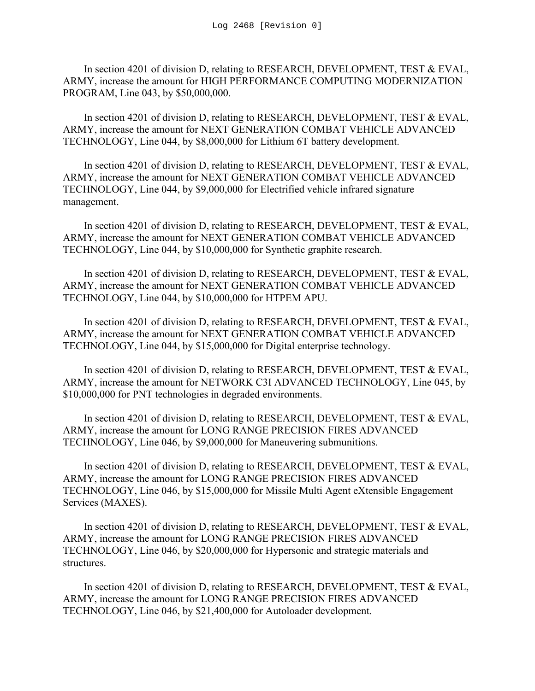In section 4201 of division D, relating to RESEARCH, DEVELOPMENT, TEST & EVAL, ARMY, increase the amount for HIGH PERFORMANCE COMPUTING MODERNIZATION PROGRAM, Line 043, by \$50,000,000.

In section 4201 of division D, relating to RESEARCH, DEVELOPMENT, TEST & EVAL, ARMY, increase the amount for NEXT GENERATION COMBAT VEHICLE ADVANCED TECHNOLOGY, Line 044, by \$8,000,000 for Lithium 6T battery development.

In section 4201 of division D, relating to RESEARCH, DEVELOPMENT, TEST & EVAL, ARMY, increase the amount for NEXT GENERATION COMBAT VEHICLE ADVANCED TECHNOLOGY, Line 044, by \$9,000,000 for Electrified vehicle infrared signature management.

In section 4201 of division D, relating to RESEARCH, DEVELOPMENT, TEST & EVAL, ARMY, increase the amount for NEXT GENERATION COMBAT VEHICLE ADVANCED TECHNOLOGY, Line 044, by \$10,000,000 for Synthetic graphite research.

In section 4201 of division D, relating to RESEARCH, DEVELOPMENT, TEST & EVAL, ARMY, increase the amount for NEXT GENERATION COMBAT VEHICLE ADVANCED TECHNOLOGY, Line 044, by \$10,000,000 for HTPEM APU.

In section 4201 of division D, relating to RESEARCH, DEVELOPMENT, TEST & EVAL, ARMY, increase the amount for NEXT GENERATION COMBAT VEHICLE ADVANCED TECHNOLOGY, Line 044, by \$15,000,000 for Digital enterprise technology.

In section 4201 of division D, relating to RESEARCH, DEVELOPMENT, TEST & EVAL, ARMY, increase the amount for NETWORK C3I ADVANCED TECHNOLOGY, Line 045, by \$10,000,000 for PNT technologies in degraded environments.

In section 4201 of division D, relating to RESEARCH, DEVELOPMENT, TEST & EVAL, ARMY, increase the amount for LONG RANGE PRECISION FIRES ADVANCED TECHNOLOGY, Line 046, by \$9,000,000 for Maneuvering submunitions.

In section 4201 of division D, relating to RESEARCH, DEVELOPMENT, TEST & EVAL, ARMY, increase the amount for LONG RANGE PRECISION FIRES ADVANCED TECHNOLOGY, Line 046, by \$15,000,000 for Missile Multi Agent eXtensible Engagement Services (MAXES).

In section 4201 of division D, relating to RESEARCH, DEVELOPMENT, TEST & EVAL, ARMY, increase the amount for LONG RANGE PRECISION FIRES ADVANCED TECHNOLOGY, Line 046, by \$20,000,000 for Hypersonic and strategic materials and structures.

In section 4201 of division D, relating to RESEARCH, DEVELOPMENT, TEST & EVAL, ARMY, increase the amount for LONG RANGE PRECISION FIRES ADVANCED TECHNOLOGY, Line 046, by \$21,400,000 for Autoloader development.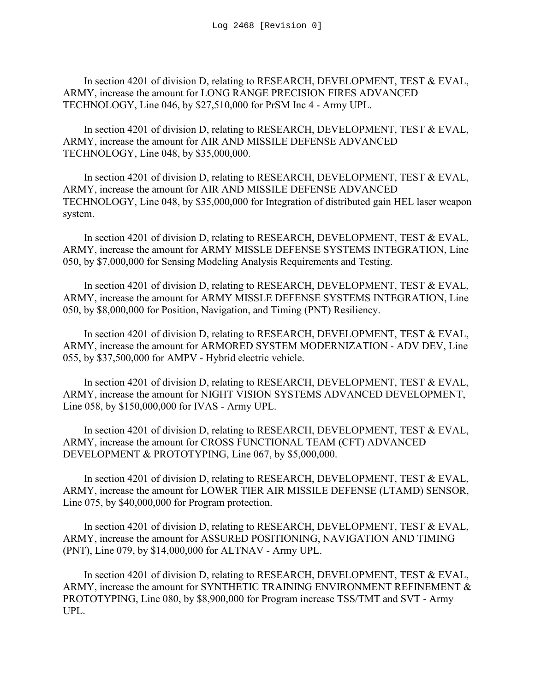In section 4201 of division D, relating to RESEARCH, DEVELOPMENT, TEST & EVAL, ARMY, increase the amount for LONG RANGE PRECISION FIRES ADVANCED TECHNOLOGY, Line 046, by \$27,510,000 for PrSM Inc 4 - Army UPL.

In section 4201 of division D, relating to RESEARCH, DEVELOPMENT, TEST & EVAL, ARMY, increase the amount for AIR AND MISSILE DEFENSE ADVANCED TECHNOLOGY, Line 048, by \$35,000,000.

In section 4201 of division D, relating to RESEARCH, DEVELOPMENT, TEST & EVAL, ARMY, increase the amount for AIR AND MISSILE DEFENSE ADVANCED TECHNOLOGY, Line 048, by \$35,000,000 for Integration of distributed gain HEL laser weapon system.

In section 4201 of division D, relating to RESEARCH, DEVELOPMENT, TEST & EVAL, ARMY, increase the amount for ARMY MISSLE DEFENSE SYSTEMS INTEGRATION, Line 050, by \$7,000,000 for Sensing Modeling Analysis Requirements and Testing.

In section 4201 of division D, relating to RESEARCH, DEVELOPMENT, TEST & EVAL, ARMY, increase the amount for ARMY MISSLE DEFENSE SYSTEMS INTEGRATION, Line 050, by \$8,000,000 for Position, Navigation, and Timing (PNT) Resiliency.

In section 4201 of division D, relating to RESEARCH, DEVELOPMENT, TEST & EVAL, ARMY, increase the amount for ARMORED SYSTEM MODERNIZATION - ADV DEV, Line 055, by \$37,500,000 for AMPV - Hybrid electric vehicle.

In section 4201 of division D, relating to RESEARCH, DEVELOPMENT, TEST & EVAL, ARMY, increase the amount for NIGHT VISION SYSTEMS ADVANCED DEVELOPMENT, Line 058, by \$150,000,000 for IVAS - Army UPL.

In section 4201 of division D, relating to RESEARCH, DEVELOPMENT, TEST & EVAL, ARMY, increase the amount for CROSS FUNCTIONAL TEAM (CFT) ADVANCED DEVELOPMENT & PROTOTYPING, Line 067, by \$5,000,000.

In section 4201 of division D, relating to RESEARCH, DEVELOPMENT, TEST & EVAL, ARMY, increase the amount for LOWER TIER AIR MISSILE DEFENSE (LTAMD) SENSOR, Line 075, by \$40,000,000 for Program protection.

In section 4201 of division D, relating to RESEARCH, DEVELOPMENT, TEST & EVAL, ARMY, increase the amount for ASSURED POSITIONING, NAVIGATION AND TIMING (PNT), Line 079, by \$14,000,000 for ALTNAV - Army UPL.

In section 4201 of division D, relating to RESEARCH, DEVELOPMENT, TEST & EVAL, ARMY, increase the amount for SYNTHETIC TRAINING ENVIRONMENT REFINEMENT & PROTOTYPING, Line 080, by \$8,900,000 for Program increase TSS/TMT and SVT - Army UPL.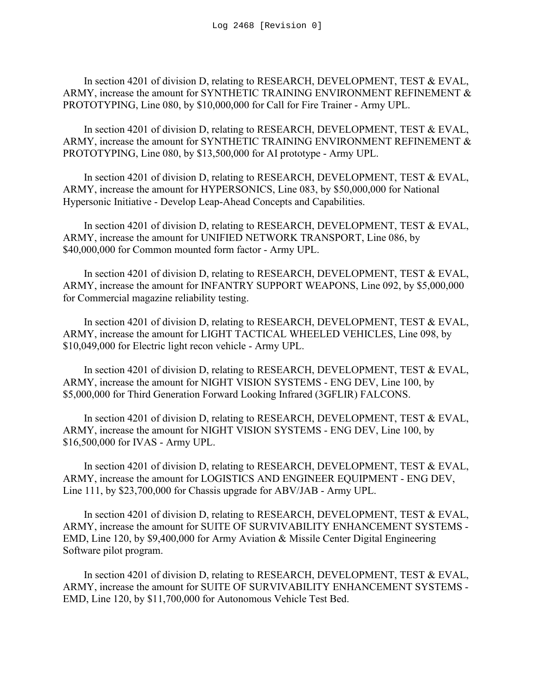In section 4201 of division D, relating to RESEARCH, DEVELOPMENT, TEST & EVAL, ARMY, increase the amount for SYNTHETIC TRAINING ENVIRONMENT REFINEMENT & PROTOTYPING, Line 080, by \$10,000,000 for Call for Fire Trainer - Army UPL.

In section 4201 of division D, relating to RESEARCH, DEVELOPMENT, TEST & EVAL, ARMY, increase the amount for SYNTHETIC TRAINING ENVIRONMENT REFINEMENT & PROTOTYPING, Line 080, by \$13,500,000 for AI prototype - Army UPL.

In section 4201 of division D, relating to RESEARCH, DEVELOPMENT, TEST & EVAL, ARMY, increase the amount for HYPERSONICS, Line 083, by \$50,000,000 for National Hypersonic Initiative - Develop Leap-Ahead Concepts and Capabilities.

In section 4201 of division D, relating to RESEARCH, DEVELOPMENT, TEST & EVAL, ARMY, increase the amount for UNIFIED NETWORK TRANSPORT, Line 086, by \$40,000,000 for Common mounted form factor - Army UPL.

In section 4201 of division D, relating to RESEARCH, DEVELOPMENT, TEST & EVAL, ARMY, increase the amount for INFANTRY SUPPORT WEAPONS, Line 092, by \$5,000,000 for Commercial magazine reliability testing.

In section 4201 of division D, relating to RESEARCH, DEVELOPMENT, TEST & EVAL, ARMY, increase the amount for LIGHT TACTICAL WHEELED VEHICLES, Line 098, by \$10,049,000 for Electric light recon vehicle - Army UPL.

In section 4201 of division D, relating to RESEARCH, DEVELOPMENT, TEST & EVAL, ARMY, increase the amount for NIGHT VISION SYSTEMS - ENG DEV, Line 100, by \$5,000,000 for Third Generation Forward Looking Infrared (3GFLIR) FALCONS.

In section 4201 of division D, relating to RESEARCH, DEVELOPMENT, TEST & EVAL, ARMY, increase the amount for NIGHT VISION SYSTEMS - ENG DEV, Line 100, by \$16,500,000 for IVAS - Army UPL.

In section 4201 of division D, relating to RESEARCH, DEVELOPMENT, TEST & EVAL, ARMY, increase the amount for LOGISTICS AND ENGINEER EQUIPMENT - ENG DEV, Line 111, by \$23,700,000 for Chassis upgrade for ABV/JAB - Army UPL.

In section 4201 of division D, relating to RESEARCH, DEVELOPMENT, TEST & EVAL, ARMY, increase the amount for SUITE OF SURVIVABILITY ENHANCEMENT SYSTEMS - EMD, Line 120, by \$9,400,000 for Army Aviation & Missile Center Digital Engineering Software pilot program.

In section 4201 of division D, relating to RESEARCH, DEVELOPMENT, TEST & EVAL, ARMY, increase the amount for SUITE OF SURVIVABILITY ENHANCEMENT SYSTEMS - EMD, Line 120, by \$11,700,000 for Autonomous Vehicle Test Bed.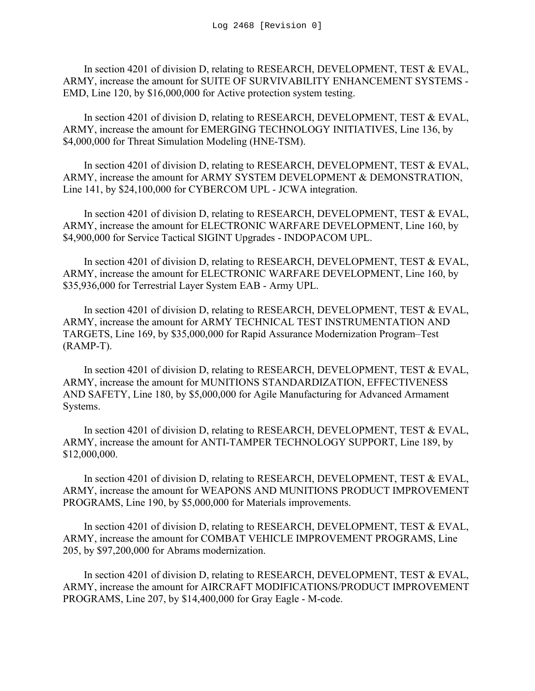In section 4201 of division D, relating to RESEARCH, DEVELOPMENT, TEST & EVAL, ARMY, increase the amount for SUITE OF SURVIVABILITY ENHANCEMENT SYSTEMS - EMD, Line 120, by \$16,000,000 for Active protection system testing.

In section 4201 of division D, relating to RESEARCH, DEVELOPMENT, TEST & EVAL, ARMY, increase the amount for EMERGING TECHNOLOGY INITIATIVES, Line 136, by \$4,000,000 for Threat Simulation Modeling (HNE-TSM).

In section 4201 of division D, relating to RESEARCH, DEVELOPMENT, TEST & EVAL, ARMY, increase the amount for ARMY SYSTEM DEVELOPMENT & DEMONSTRATION, Line 141, by \$24,100,000 for CYBERCOM UPL - JCWA integration.

In section 4201 of division D, relating to RESEARCH, DEVELOPMENT, TEST & EVAL, ARMY, increase the amount for ELECTRONIC WARFARE DEVELOPMENT, Line 160, by \$4,900,000 for Service Tactical SIGINT Upgrades - INDOPACOM UPL.

In section 4201 of division D, relating to RESEARCH, DEVELOPMENT, TEST & EVAL, ARMY, increase the amount for ELECTRONIC WARFARE DEVELOPMENT, Line 160, by \$35,936,000 for Terrestrial Layer System EAB - Army UPL.

In section 4201 of division D, relating to RESEARCH, DEVELOPMENT, TEST & EVAL, ARMY, increase the amount for ARMY TECHNICAL TEST INSTRUMENTATION AND TARGETS, Line 169, by \$35,000,000 for Rapid Assurance Modernization Program–Test (RAMP-T).

In section 4201 of division D, relating to RESEARCH, DEVELOPMENT, TEST & EVAL, ARMY, increase the amount for MUNITIONS STANDARDIZATION, EFFECTIVENESS AND SAFETY, Line 180, by \$5,000,000 for Agile Manufacturing for Advanced Armament Systems.

In section 4201 of division D, relating to RESEARCH, DEVELOPMENT, TEST & EVAL, ARMY, increase the amount for ANTI-TAMPER TECHNOLOGY SUPPORT, Line 189, by \$12,000,000.

In section 4201 of division D, relating to RESEARCH, DEVELOPMENT, TEST & EVAL, ARMY, increase the amount for WEAPONS AND MUNITIONS PRODUCT IMPROVEMENT PROGRAMS, Line 190, by \$5,000,000 for Materials improvements.

In section 4201 of division D, relating to RESEARCH, DEVELOPMENT, TEST & EVAL, ARMY, increase the amount for COMBAT VEHICLE IMPROVEMENT PROGRAMS, Line 205, by \$97,200,000 for Abrams modernization.

In section 4201 of division D, relating to RESEARCH, DEVELOPMENT, TEST & EVAL, ARMY, increase the amount for AIRCRAFT MODIFICATIONS/PRODUCT IMPROVEMENT PROGRAMS, Line 207, by \$14,400,000 for Gray Eagle - M-code.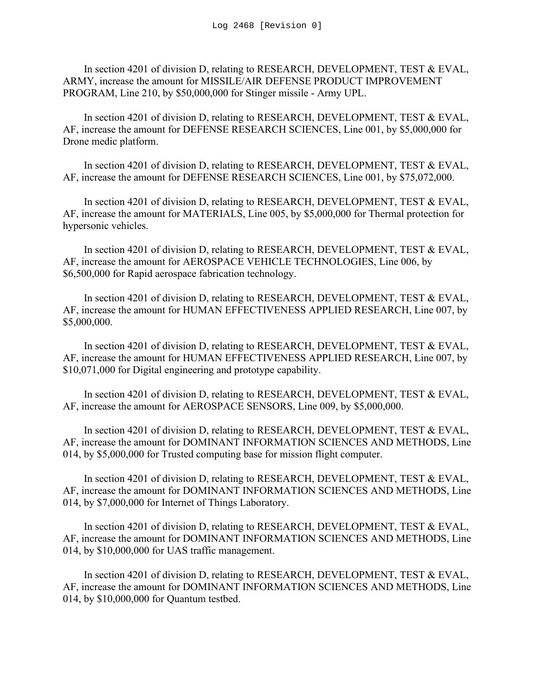In section 4201 of division D, relating to RESEARCH, DEVELOPMENT, TEST & EVAL, ARMY, increase the amount for MISSILE/AIR DEFENSE PRODUCT IMPROVEMENT PROGRAM, Line 210, by \$50,000,000 for Stinger missile - Army UPL.

In section 4201 of division D, relating to RESEARCH, DEVELOPMENT, TEST & EVAL, AF, increase the amount for DEFENSE RESEARCH SCIENCES, Line 001, by \$5,000,000 for Drone medic platform.

In section 4201 of division D, relating to RESEARCH, DEVELOPMENT, TEST & EVAL, AF, increase the amount for DEFENSE RESEARCH SCIENCES, Line 001, by \$75,072,000.

In section 4201 of division D, relating to RESEARCH, DEVELOPMENT, TEST & EVAL, AF, increase the amount for MATERIALS, Line 005, by \$5,000,000 for Thermal protection for hypersonic vehicles.

In section 4201 of division D, relating to RESEARCH, DEVELOPMENT, TEST & EVAL, AF, increase the amount for AEROSPACE VEHICLE TECHNOLOGIES, Line 006, by \$6,500,000 for Rapid aerospace fabrication technology.

In section 4201 of division D, relating to RESEARCH, DEVELOPMENT, TEST & EVAL, AF, increase the amount for HUMAN EFFECTIVENESS APPLIED RESEARCH, Line 007, by \$5,000,000.

In section 4201 of division D, relating to RESEARCH, DEVELOPMENT, TEST & EVAL, AF, increase the amount for HUMAN EFFECTIVENESS APPLIED RESEARCH, Line 007, by \$10,071,000 for Digital engineering and prototype capability.

In section 4201 of division D, relating to RESEARCH, DEVELOPMENT, TEST & EVAL, AF, increase the amount for AEROSPACE SENSORS, Line 009, by \$5,000,000.

In section 4201 of division D, relating to RESEARCH, DEVELOPMENT, TEST & EVAL, AF, increase the amount for DOMINANT INFORMATION SCIENCES AND METHODS, Line 014, by \$5,000,000 for Trusted computing base for mission flight computer.

In section 4201 of division D, relating to RESEARCH, DEVELOPMENT, TEST & EVAL, AF, increase the amount for DOMINANT INFORMATION SCIENCES AND METHODS, Line 014, by \$7,000,000 for Internet of Things Laboratory.

In section 4201 of division D, relating to RESEARCH, DEVELOPMENT, TEST & EVAL, AF, increase the amount for DOMINANT INFORMATION SCIENCES AND METHODS, Line 014, by \$10,000,000 for UAS traffic management.

In section 4201 of division D, relating to RESEARCH, DEVELOPMENT, TEST & EVAL, AF, increase the amount for DOMINANT INFORMATION SCIENCES AND METHODS, Line 014, by \$10,000,000 for Quantum testbed.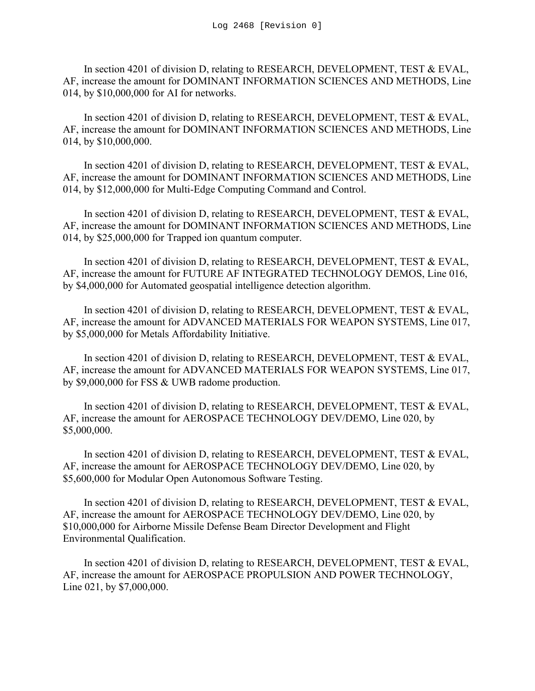In section 4201 of division D, relating to RESEARCH, DEVELOPMENT, TEST & EVAL, AF, increase the amount for DOMINANT INFORMATION SCIENCES AND METHODS, Line 014, by \$10,000,000 for AI for networks.

In section 4201 of division D, relating to RESEARCH, DEVELOPMENT, TEST & EVAL, AF, increase the amount for DOMINANT INFORMATION SCIENCES AND METHODS, Line 014, by \$10,000,000.

In section 4201 of division D, relating to RESEARCH, DEVELOPMENT, TEST & EVAL, AF, increase the amount for DOMINANT INFORMATION SCIENCES AND METHODS, Line 014, by \$12,000,000 for Multi-Edge Computing Command and Control.

In section 4201 of division D, relating to RESEARCH, DEVELOPMENT, TEST & EVAL, AF, increase the amount for DOMINANT INFORMATION SCIENCES AND METHODS, Line 014, by \$25,000,000 for Trapped ion quantum computer.

In section 4201 of division D, relating to RESEARCH, DEVELOPMENT, TEST & EVAL, AF, increase the amount for FUTURE AF INTEGRATED TECHNOLOGY DEMOS, Line 016, by \$4,000,000 for Automated geospatial intelligence detection algorithm.

In section 4201 of division D, relating to RESEARCH, DEVELOPMENT, TEST & EVAL, AF, increase the amount for ADVANCED MATERIALS FOR WEAPON SYSTEMS, Line 017, by \$5,000,000 for Metals Affordability Initiative.

In section 4201 of division D, relating to RESEARCH, DEVELOPMENT, TEST & EVAL, AF, increase the amount for ADVANCED MATERIALS FOR WEAPON SYSTEMS, Line 017, by \$9,000,000 for FSS & UWB radome production.

In section 4201 of division D, relating to RESEARCH, DEVELOPMENT, TEST & EVAL, AF, increase the amount for AEROSPACE TECHNOLOGY DEV/DEMO, Line 020, by \$5,000,000.

In section 4201 of division D, relating to RESEARCH, DEVELOPMENT, TEST & EVAL, AF, increase the amount for AEROSPACE TECHNOLOGY DEV/DEMO, Line 020, by \$5,600,000 for Modular Open Autonomous Software Testing.

In section 4201 of division D, relating to RESEARCH, DEVELOPMENT, TEST & EVAL, AF, increase the amount for AEROSPACE TECHNOLOGY DEV/DEMO, Line 020, by \$10,000,000 for Airborne Missile Defense Beam Director Development and Flight Environmental Qualification.

In section 4201 of division D, relating to RESEARCH, DEVELOPMENT, TEST & EVAL, AF, increase the amount for AEROSPACE PROPULSION AND POWER TECHNOLOGY, Line 021, by \$7,000,000.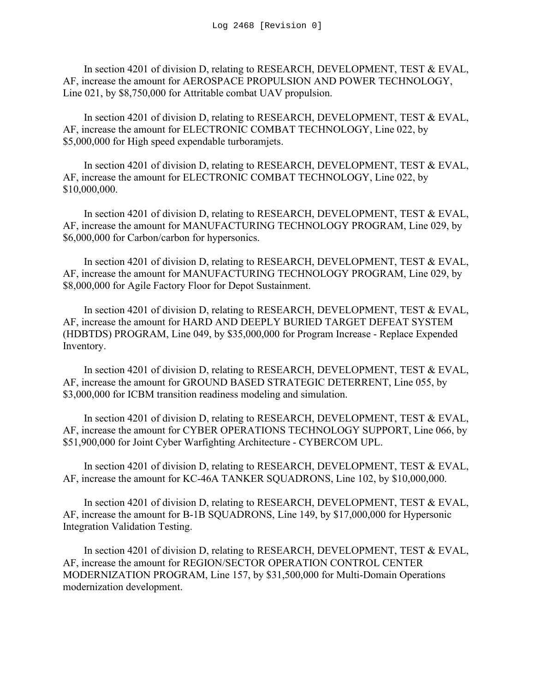In section 4201 of division D, relating to RESEARCH, DEVELOPMENT, TEST & EVAL, AF, increase the amount for AEROSPACE PROPULSION AND POWER TECHNOLOGY, Line 021, by \$8,750,000 for Attritable combat UAV propulsion.

In section 4201 of division D, relating to RESEARCH, DEVELOPMENT, TEST & EVAL, AF, increase the amount for ELECTRONIC COMBAT TECHNOLOGY, Line 022, by \$5,000,000 for High speed expendable turboramjets.

In section 4201 of division D, relating to RESEARCH, DEVELOPMENT, TEST & EVAL, AF, increase the amount for ELECTRONIC COMBAT TECHNOLOGY, Line 022, by \$10,000,000.

In section 4201 of division D, relating to RESEARCH, DEVELOPMENT, TEST & EVAL, AF, increase the amount for MANUFACTURING TECHNOLOGY PROGRAM, Line 029, by \$6,000,000 for Carbon/carbon for hypersonics.

In section 4201 of division D, relating to RESEARCH, DEVELOPMENT, TEST & EVAL, AF, increase the amount for MANUFACTURING TECHNOLOGY PROGRAM, Line 029, by \$8,000,000 for Agile Factory Floor for Depot Sustainment.

In section 4201 of division D, relating to RESEARCH, DEVELOPMENT, TEST & EVAL, AF, increase the amount for HARD AND DEEPLY BURIED TARGET DEFEAT SYSTEM (HDBTDS) PROGRAM, Line 049, by \$35,000,000 for Program Increase - Replace Expended Inventory.

In section 4201 of division D, relating to RESEARCH, DEVELOPMENT, TEST & EVAL, AF, increase the amount for GROUND BASED STRATEGIC DETERRENT, Line 055, by \$3,000,000 for ICBM transition readiness modeling and simulation.

In section 4201 of division D, relating to RESEARCH, DEVELOPMENT, TEST & EVAL, AF, increase the amount for CYBER OPERATIONS TECHNOLOGY SUPPORT, Line 066, by \$51,900,000 for Joint Cyber Warfighting Architecture - CYBERCOM UPL.

In section 4201 of division D, relating to RESEARCH, DEVELOPMENT, TEST & EVAL, AF, increase the amount for KC-46A TANKER SQUADRONS, Line 102, by \$10,000,000.

In section 4201 of division D, relating to RESEARCH, DEVELOPMENT, TEST & EVAL, AF, increase the amount for B-1B SQUADRONS, Line 149, by \$17,000,000 for Hypersonic Integration Validation Testing.

In section 4201 of division D, relating to RESEARCH, DEVELOPMENT, TEST & EVAL, AF, increase the amount for REGION/SECTOR OPERATION CONTROL CENTER MODERNIZATION PROGRAM, Line 157, by \$31,500,000 for Multi-Domain Operations modernization development.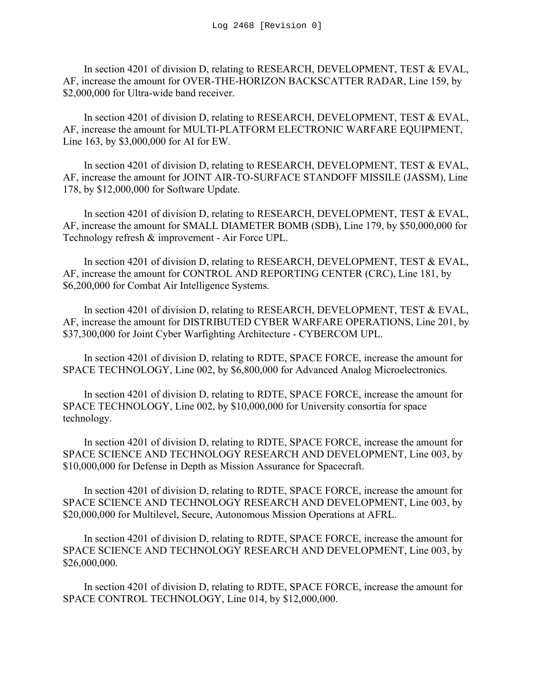In section 4201 of division D, relating to RESEARCH, DEVELOPMENT, TEST & EVAL, AF, increase the amount for OVER-THE-HORIZON BACKSCATTER RADAR, Line 159, by \$2,000,000 for Ultra-wide band receiver.

In section 4201 of division D, relating to RESEARCH, DEVELOPMENT, TEST & EVAL, AF, increase the amount for MULTI-PLATFORM ELECTRONIC WARFARE EQUIPMENT, Line 163, by \$3,000,000 for AI for EW.

In section 4201 of division D, relating to RESEARCH, DEVELOPMENT, TEST & EVAL, AF, increase the amount for JOINT AIR-TO-SURFACE STANDOFF MISSILE (JASSM), Line 178, by \$12,000,000 for Software Update.

In section 4201 of division D, relating to RESEARCH, DEVELOPMENT, TEST & EVAL, AF, increase the amount for SMALL DIAMETER BOMB (SDB), Line 179, by \$50,000,000 for Technology refresh & improvement - Air Force UPL.

In section 4201 of division D, relating to RESEARCH, DEVELOPMENT, TEST & EVAL, AF, increase the amount for CONTROL AND REPORTING CENTER (CRC), Line 181, by \$6,200,000 for Combat Air Intelligence Systems.

In section 4201 of division D, relating to RESEARCH, DEVELOPMENT, TEST & EVAL, AF, increase the amount for DISTRIBUTED CYBER WARFARE OPERATIONS, Line 201, by \$37,300,000 for Joint Cyber Warfighting Architecture - CYBERCOM UPL.

In section 4201 of division D, relating to RDTE, SPACE FORCE, increase the amount for SPACE TECHNOLOGY, Line 002, by \$6,800,000 for Advanced Analog Microelectronics.

In section 4201 of division D, relating to RDTE, SPACE FORCE, increase the amount for SPACE TECHNOLOGY, Line 002, by \$10,000,000 for University consortia for space technology.

In section 4201 of division D, relating to RDTE, SPACE FORCE, increase the amount for SPACE SCIENCE AND TECHNOLOGY RESEARCH AND DEVELOPMENT, Line 003, by \$10,000,000 for Defense in Depth as Mission Assurance for Spacecraft.

In section 4201 of division D, relating to RDTE, SPACE FORCE, increase the amount for SPACE SCIENCE AND TECHNOLOGY RESEARCH AND DEVELOPMENT, Line 003, by \$20,000,000 for Multilevel, Secure, Autonomous Mission Operations at AFRL.

In section 4201 of division D, relating to RDTE, SPACE FORCE, increase the amount for SPACE SCIENCE AND TECHNOLOGY RESEARCH AND DEVELOPMENT, Line 003, by \$26,000,000.

In section 4201 of division D, relating to RDTE, SPACE FORCE, increase the amount for SPACE CONTROL TECHNOLOGY, Line 014, by \$12,000,000.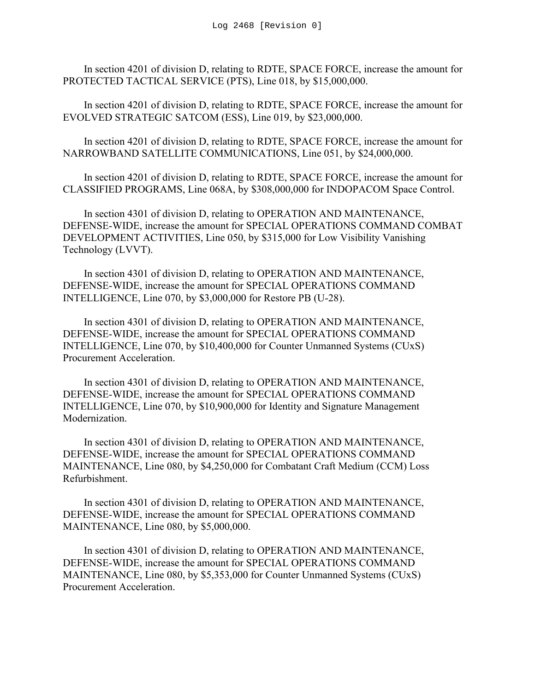In section 4201 of division D, relating to RDTE, SPACE FORCE, increase the amount for PROTECTED TACTICAL SERVICE (PTS), Line 018, by \$15,000,000.

In section 4201 of division D, relating to RDTE, SPACE FORCE, increase the amount for EVOLVED STRATEGIC SATCOM (ESS), Line 019, by \$23,000,000.

In section 4201 of division D, relating to RDTE, SPACE FORCE, increase the amount for NARROWBAND SATELLITE COMMUNICATIONS, Line 051, by \$24,000,000.

In section 4201 of division D, relating to RDTE, SPACE FORCE, increase the amount for CLASSIFIED PROGRAMS, Line 068A, by \$308,000,000 for INDOPACOM Space Control.

In section 4301 of division D, relating to OPERATION AND MAINTENANCE, DEFENSE-WIDE, increase the amount for SPECIAL OPERATIONS COMMAND COMBAT DEVELOPMENT ACTIVITIES, Line 050, by \$315,000 for Low Visibility Vanishing Technology (LVVT).

In section 4301 of division D, relating to OPERATION AND MAINTENANCE, DEFENSE-WIDE, increase the amount for SPECIAL OPERATIONS COMMAND INTELLIGENCE, Line 070, by \$3,000,000 for Restore PB (U-28).

In section 4301 of division D, relating to OPERATION AND MAINTENANCE, DEFENSE-WIDE, increase the amount for SPECIAL OPERATIONS COMMAND INTELLIGENCE, Line 070, by \$10,400,000 for Counter Unmanned Systems (CUxS) Procurement Acceleration.

In section 4301 of division D, relating to OPERATION AND MAINTENANCE, DEFENSE-WIDE, increase the amount for SPECIAL OPERATIONS COMMAND INTELLIGENCE, Line 070, by \$10,900,000 for Identity and Signature Management Modernization.

In section 4301 of division D, relating to OPERATION AND MAINTENANCE, DEFENSE-WIDE, increase the amount for SPECIAL OPERATIONS COMMAND MAINTENANCE, Line 080, by \$4,250,000 for Combatant Craft Medium (CCM) Loss Refurbishment.

In section 4301 of division D, relating to OPERATION AND MAINTENANCE, DEFENSE-WIDE, increase the amount for SPECIAL OPERATIONS COMMAND MAINTENANCE, Line 080, by \$5,000,000.

In section 4301 of division D, relating to OPERATION AND MAINTENANCE, DEFENSE-WIDE, increase the amount for SPECIAL OPERATIONS COMMAND MAINTENANCE, Line 080, by \$5,353,000 for Counter Unmanned Systems (CUxS) Procurement Acceleration.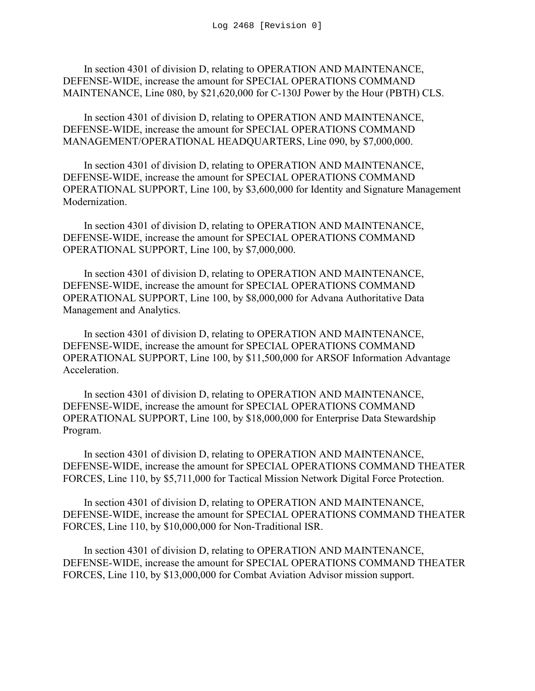In section 4301 of division D, relating to OPERATION AND MAINTENANCE, DEFENSE-WIDE, increase the amount for SPECIAL OPERATIONS COMMAND MAINTENANCE, Line 080, by \$21,620,000 for C-130J Power by the Hour (PBTH) CLS.

In section 4301 of division D, relating to OPERATION AND MAINTENANCE, DEFENSE-WIDE, increase the amount for SPECIAL OPERATIONS COMMAND MANAGEMENT/OPERATIONAL HEADQUARTERS, Line 090, by \$7,000,000.

In section 4301 of division D, relating to OPERATION AND MAINTENANCE, DEFENSE-WIDE, increase the amount for SPECIAL OPERATIONS COMMAND OPERATIONAL SUPPORT, Line 100, by \$3,600,000 for Identity and Signature Management Modernization.

In section 4301 of division D, relating to OPERATION AND MAINTENANCE, DEFENSE-WIDE, increase the amount for SPECIAL OPERATIONS COMMAND OPERATIONAL SUPPORT, Line 100, by \$7,000,000.

In section 4301 of division D, relating to OPERATION AND MAINTENANCE, DEFENSE-WIDE, increase the amount for SPECIAL OPERATIONS COMMAND OPERATIONAL SUPPORT, Line 100, by \$8,000,000 for Advana Authoritative Data Management and Analytics.

In section 4301 of division D, relating to OPERATION AND MAINTENANCE, DEFENSE-WIDE, increase the amount for SPECIAL OPERATIONS COMMAND OPERATIONAL SUPPORT, Line 100, by \$11,500,000 for ARSOF Information Advantage Acceleration.

In section 4301 of division D, relating to OPERATION AND MAINTENANCE, DEFENSE-WIDE, increase the amount for SPECIAL OPERATIONS COMMAND OPERATIONAL SUPPORT, Line 100, by \$18,000,000 for Enterprise Data Stewardship Program.

In section 4301 of division D, relating to OPERATION AND MAINTENANCE, DEFENSE-WIDE, increase the amount for SPECIAL OPERATIONS COMMAND THEATER FORCES, Line 110, by \$5,711,000 for Tactical Mission Network Digital Force Protection.

In section 4301 of division D, relating to OPERATION AND MAINTENANCE, DEFENSE-WIDE, increase the amount for SPECIAL OPERATIONS COMMAND THEATER FORCES, Line 110, by \$10,000,000 for Non-Traditional ISR.

In section 4301 of division D, relating to OPERATION AND MAINTENANCE, DEFENSE-WIDE, increase the amount for SPECIAL OPERATIONS COMMAND THEATER FORCES, Line 110, by \$13,000,000 for Combat Aviation Advisor mission support.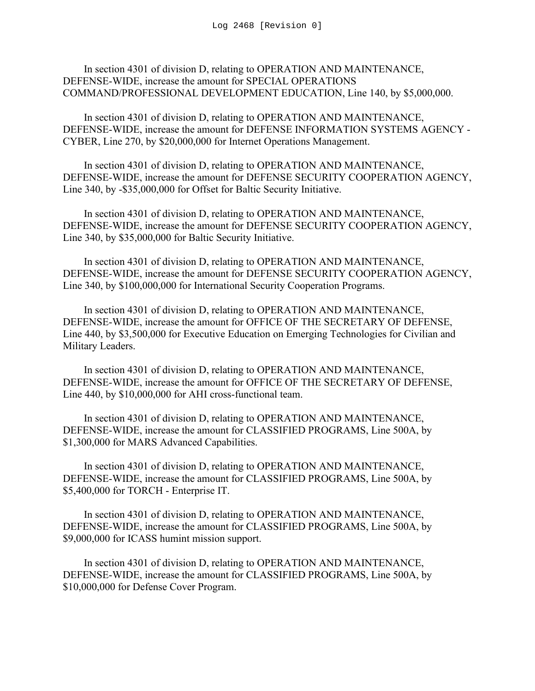In section 4301 of division D, relating to OPERATION AND MAINTENANCE, DEFENSE-WIDE, increase the amount for SPECIAL OPERATIONS COMMAND/PROFESSIONAL DEVELOPMENT EDUCATION, Line 140, by \$5,000,000.

In section 4301 of division D, relating to OPERATION AND MAINTENANCE, DEFENSE-WIDE, increase the amount for DEFENSE INFORMATION SYSTEMS AGENCY - CYBER, Line 270, by \$20,000,000 for Internet Operations Management.

In section 4301 of division D, relating to OPERATION AND MAINTENANCE, DEFENSE-WIDE, increase the amount for DEFENSE SECURITY COOPERATION AGENCY, Line 340, by -\$35,000,000 for Offset for Baltic Security Initiative.

In section 4301 of division D, relating to OPERATION AND MAINTENANCE, DEFENSE-WIDE, increase the amount for DEFENSE SECURITY COOPERATION AGENCY, Line 340, by \$35,000,000 for Baltic Security Initiative.

In section 4301 of division D, relating to OPERATION AND MAINTENANCE, DEFENSE-WIDE, increase the amount for DEFENSE SECURITY COOPERATION AGENCY, Line 340, by \$100,000,000 for International Security Cooperation Programs.

In section 4301 of division D, relating to OPERATION AND MAINTENANCE, DEFENSE-WIDE, increase the amount for OFFICE OF THE SECRETARY OF DEFENSE, Line 440, by \$3,500,000 for Executive Education on Emerging Technologies for Civilian and Military Leaders.

In section 4301 of division D, relating to OPERATION AND MAINTENANCE, DEFENSE-WIDE, increase the amount for OFFICE OF THE SECRETARY OF DEFENSE, Line 440, by \$10,000,000 for AHI cross-functional team.

In section 4301 of division D, relating to OPERATION AND MAINTENANCE, DEFENSE-WIDE, increase the amount for CLASSIFIED PROGRAMS, Line 500A, by \$1,300,000 for MARS Advanced Capabilities.

In section 4301 of division D, relating to OPERATION AND MAINTENANCE, DEFENSE-WIDE, increase the amount for CLASSIFIED PROGRAMS, Line 500A, by \$5,400,000 for TORCH - Enterprise IT.

In section 4301 of division D, relating to OPERATION AND MAINTENANCE, DEFENSE-WIDE, increase the amount for CLASSIFIED PROGRAMS, Line 500A, by \$9,000,000 for ICASS humint mission support.

In section 4301 of division D, relating to OPERATION AND MAINTENANCE, DEFENSE-WIDE, increase the amount for CLASSIFIED PROGRAMS, Line 500A, by \$10,000,000 for Defense Cover Program.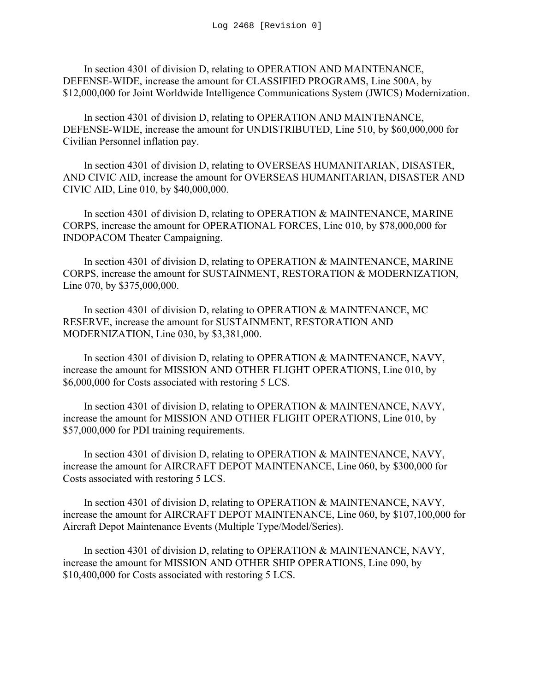In section 4301 of division D, relating to OPERATION AND MAINTENANCE, DEFENSE-WIDE, increase the amount for CLASSIFIED PROGRAMS, Line 500A, by \$12,000,000 for Joint Worldwide Intelligence Communications System (JWICS) Modernization.

In section 4301 of division D, relating to OPERATION AND MAINTENANCE, DEFENSE-WIDE, increase the amount for UNDISTRIBUTED, Line 510, by \$60,000,000 for Civilian Personnel inflation pay.

In section 4301 of division D, relating to OVERSEAS HUMANITARIAN, DISASTER, AND CIVIC AID, increase the amount for OVERSEAS HUMANITARIAN, DISASTER AND CIVIC AID, Line 010, by \$40,000,000.

In section 4301 of division D, relating to OPERATION & MAINTENANCE, MARINE CORPS, increase the amount for OPERATIONAL FORCES, Line 010, by \$78,000,000 for INDOPACOM Theater Campaigning.

In section 4301 of division D, relating to OPERATION & MAINTENANCE, MARINE CORPS, increase the amount for SUSTAINMENT, RESTORATION & MODERNIZATION, Line 070, by \$375,000,000.

In section 4301 of division D, relating to OPERATION & MAINTENANCE, MC RESERVE, increase the amount for SUSTAINMENT, RESTORATION AND MODERNIZATION, Line 030, by \$3,381,000.

In section 4301 of division D, relating to OPERATION & MAINTENANCE, NAVY, increase the amount for MISSION AND OTHER FLIGHT OPERATIONS, Line 010, by \$6,000,000 for Costs associated with restoring 5 LCS.

In section 4301 of division D, relating to OPERATION & MAINTENANCE, NAVY, increase the amount for MISSION AND OTHER FLIGHT OPERATIONS, Line 010, by \$57,000,000 for PDI training requirements.

In section 4301 of division D, relating to OPERATION & MAINTENANCE, NAVY, increase the amount for AIRCRAFT DEPOT MAINTENANCE, Line 060, by \$300,000 for Costs associated with restoring 5 LCS.

In section 4301 of division D, relating to OPERATION & MAINTENANCE, NAVY, increase the amount for AIRCRAFT DEPOT MAINTENANCE, Line 060, by \$107,100,000 for Aircraft Depot Maintenance Events (Multiple Type/Model/Series).

In section 4301 of division D, relating to OPERATION & MAINTENANCE, NAVY, increase the amount for MISSION AND OTHER SHIP OPERATIONS, Line 090, by \$10,400,000 for Costs associated with restoring 5 LCS.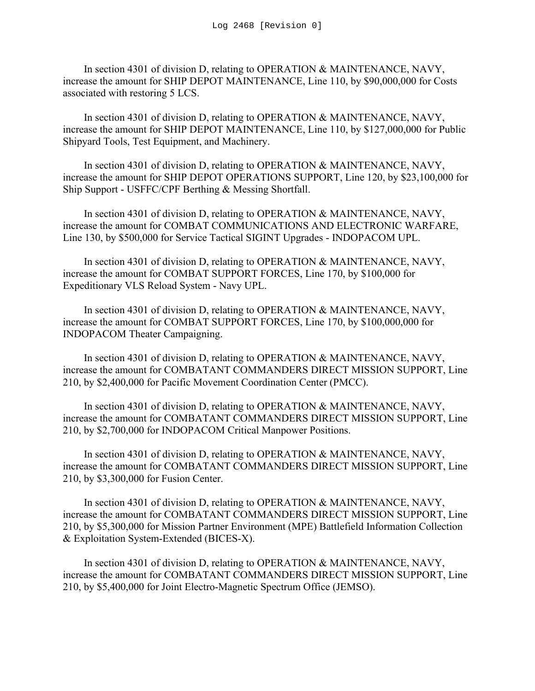In section 4301 of division D, relating to OPERATION & MAINTENANCE, NAVY, increase the amount for SHIP DEPOT MAINTENANCE, Line 110, by \$90,000,000 for Costs associated with restoring 5 LCS.

In section 4301 of division D, relating to OPERATION & MAINTENANCE, NAVY, increase the amount for SHIP DEPOT MAINTENANCE, Line 110, by \$127,000,000 for Public Shipyard Tools, Test Equipment, and Machinery.

In section 4301 of division D, relating to OPERATION & MAINTENANCE, NAVY, increase the amount for SHIP DEPOT OPERATIONS SUPPORT, Line 120, by \$23,100,000 for Ship Support - USFFC/CPF Berthing & Messing Shortfall.

In section 4301 of division D, relating to OPERATION & MAINTENANCE, NAVY, increase the amount for COMBAT COMMUNICATIONS AND ELECTRONIC WARFARE, Line 130, by \$500,000 for Service Tactical SIGINT Upgrades - INDOPACOM UPL.

In section 4301 of division D, relating to OPERATION & MAINTENANCE, NAVY, increase the amount for COMBAT SUPPORT FORCES, Line 170, by \$100,000 for Expeditionary VLS Reload System - Navy UPL.

In section 4301 of division D, relating to OPERATION & MAINTENANCE, NAVY, increase the amount for COMBAT SUPPORT FORCES, Line 170, by \$100,000,000 for INDOPACOM Theater Campaigning.

In section 4301 of division D, relating to OPERATION & MAINTENANCE, NAVY, increase the amount for COMBATANT COMMANDERS DIRECT MISSION SUPPORT, Line 210, by \$2,400,000 for Pacific Movement Coordination Center (PMCC).

In section 4301 of division D, relating to OPERATION & MAINTENANCE, NAVY, increase the amount for COMBATANT COMMANDERS DIRECT MISSION SUPPORT, Line 210, by \$2,700,000 for INDOPACOM Critical Manpower Positions.

In section 4301 of division D, relating to OPERATION & MAINTENANCE, NAVY, increase the amount for COMBATANT COMMANDERS DIRECT MISSION SUPPORT, Line 210, by \$3,300,000 for Fusion Center.

In section 4301 of division D, relating to OPERATION & MAINTENANCE, NAVY, increase the amount for COMBATANT COMMANDERS DIRECT MISSION SUPPORT, Line 210, by \$5,300,000 for Mission Partner Environment (MPE) Battlefield Information Collection & Exploitation System-Extended (BICES-X).

In section 4301 of division D, relating to OPERATION & MAINTENANCE, NAVY, increase the amount for COMBATANT COMMANDERS DIRECT MISSION SUPPORT, Line 210, by \$5,400,000 for Joint Electro-Magnetic Spectrum Office (JEMSO).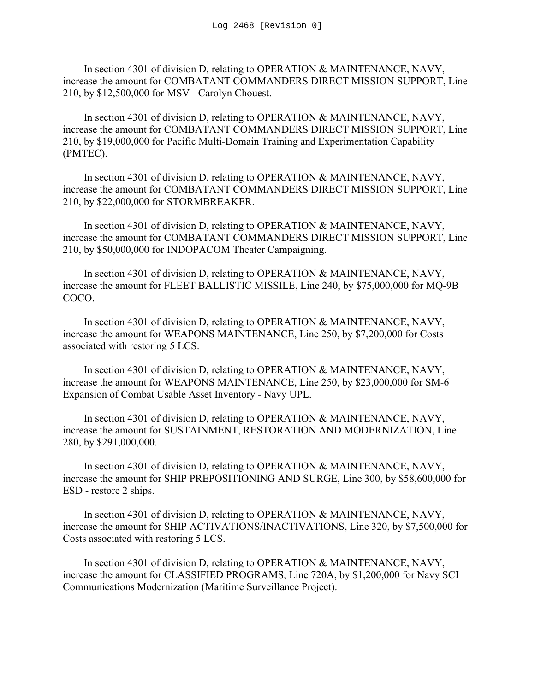In section 4301 of division D, relating to OPERATION & MAINTENANCE, NAVY, increase the amount for COMBATANT COMMANDERS DIRECT MISSION SUPPORT, Line 210, by \$12,500,000 for MSV - Carolyn Chouest.

In section 4301 of division D, relating to OPERATION & MAINTENANCE, NAVY, increase the amount for COMBATANT COMMANDERS DIRECT MISSION SUPPORT, Line 210, by \$19,000,000 for Pacific Multi-Domain Training and Experimentation Capability (PMTEC).

In section 4301 of division D, relating to OPERATION & MAINTENANCE, NAVY, increase the amount for COMBATANT COMMANDERS DIRECT MISSION SUPPORT, Line 210, by \$22,000,000 for STORMBREAKER.

In section 4301 of division D, relating to OPERATION & MAINTENANCE, NAVY, increase the amount for COMBATANT COMMANDERS DIRECT MISSION SUPPORT, Line 210, by \$50,000,000 for INDOPACOM Theater Campaigning.

In section 4301 of division D, relating to OPERATION & MAINTENANCE, NAVY, increase the amount for FLEET BALLISTIC MISSILE, Line 240, by \$75,000,000 for MQ-9B COCO.

In section 4301 of division D, relating to OPERATION & MAINTENANCE, NAVY, increase the amount for WEAPONS MAINTENANCE, Line 250, by \$7,200,000 for Costs associated with restoring 5 LCS.

In section 4301 of division D, relating to OPERATION & MAINTENANCE, NAVY, increase the amount for WEAPONS MAINTENANCE, Line 250, by \$23,000,000 for SM-6 Expansion of Combat Usable Asset Inventory - Navy UPL.

In section 4301 of division D, relating to OPERATION & MAINTENANCE, NAVY, increase the amount for SUSTAINMENT, RESTORATION AND MODERNIZATION, Line 280, by \$291,000,000.

In section 4301 of division D, relating to OPERATION & MAINTENANCE, NAVY, increase the amount for SHIP PREPOSITIONING AND SURGE, Line 300, by \$58,600,000 for ESD - restore 2 ships.

In section 4301 of division D, relating to OPERATION & MAINTENANCE, NAVY, increase the amount for SHIP ACTIVATIONS/INACTIVATIONS, Line 320, by \$7,500,000 for Costs associated with restoring 5 LCS.

In section 4301 of division D, relating to OPERATION & MAINTENANCE, NAVY, increase the amount for CLASSIFIED PROGRAMS, Line 720A, by \$1,200,000 for Navy SCI Communications Modernization (Maritime Surveillance Project).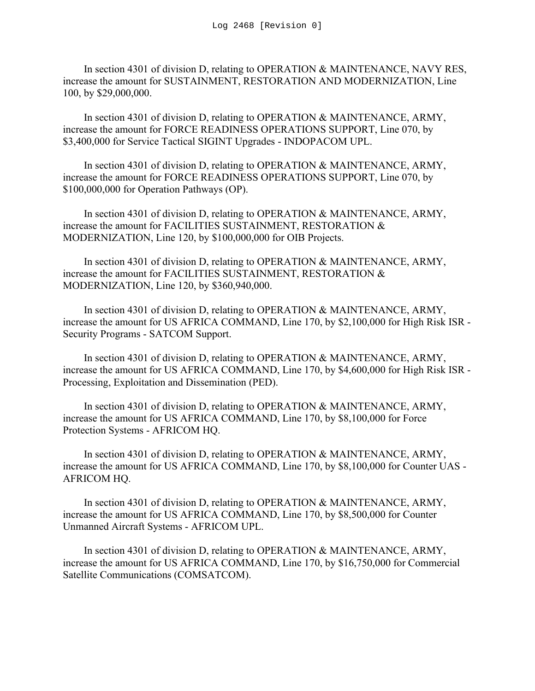In section 4301 of division D, relating to OPERATION & MAINTENANCE, NAVY RES, increase the amount for SUSTAINMENT, RESTORATION AND MODERNIZATION, Line 100, by \$29,000,000.

In section 4301 of division D, relating to OPERATION & MAINTENANCE, ARMY, increase the amount for FORCE READINESS OPERATIONS SUPPORT, Line 070, by \$3,400,000 for Service Tactical SIGINT Upgrades - INDOPACOM UPL.

In section 4301 of division D, relating to OPERATION & MAINTENANCE, ARMY, increase the amount for FORCE READINESS OPERATIONS SUPPORT, Line 070, by \$100,000,000 for Operation Pathways (OP).

In section 4301 of division D, relating to OPERATION & MAINTENANCE, ARMY, increase the amount for FACILITIES SUSTAINMENT, RESTORATION & MODERNIZATION, Line 120, by \$100,000,000 for OIB Projects.

In section 4301 of division D, relating to OPERATION & MAINTENANCE, ARMY, increase the amount for FACILITIES SUSTAINMENT, RESTORATION & MODERNIZATION, Line 120, by \$360,940,000.

In section 4301 of division D, relating to OPERATION & MAINTENANCE, ARMY, increase the amount for US AFRICA COMMAND, Line 170, by \$2,100,000 for High Risk ISR - Security Programs - SATCOM Support.

In section 4301 of division D, relating to OPERATION & MAINTENANCE, ARMY, increase the amount for US AFRICA COMMAND, Line 170, by \$4,600,000 for High Risk ISR - Processing, Exploitation and Dissemination (PED).

In section 4301 of division D, relating to OPERATION & MAINTENANCE, ARMY, increase the amount for US AFRICA COMMAND, Line 170, by \$8,100,000 for Force Protection Systems - AFRICOM HQ.

In section 4301 of division D, relating to OPERATION & MAINTENANCE, ARMY, increase the amount for US AFRICA COMMAND, Line 170, by \$8,100,000 for Counter UAS - AFRICOM HQ.

In section 4301 of division D, relating to OPERATION & MAINTENANCE, ARMY, increase the amount for US AFRICA COMMAND, Line 170, by \$8,500,000 for Counter Unmanned Aircraft Systems - AFRICOM UPL.

In section 4301 of division D, relating to OPERATION & MAINTENANCE, ARMY, increase the amount for US AFRICA COMMAND, Line 170, by \$16,750,000 for Commercial Satellite Communications (COMSATCOM).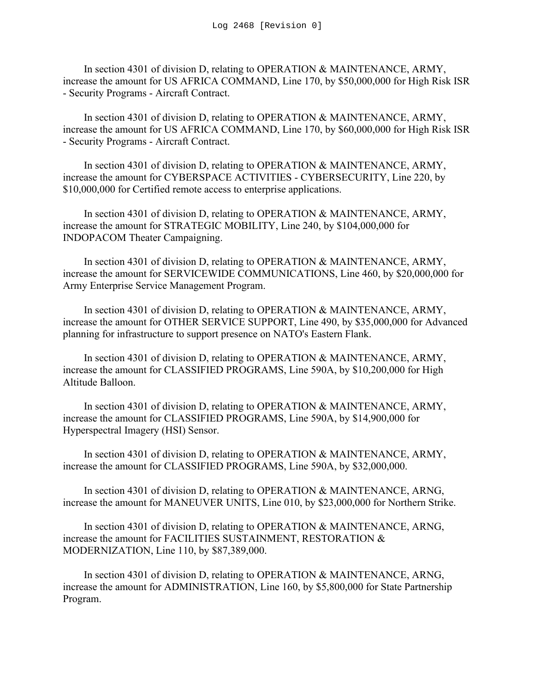In section 4301 of division D, relating to OPERATION & MAINTENANCE, ARMY, increase the amount for US AFRICA COMMAND, Line 170, by \$50,000,000 for High Risk ISR - Security Programs - Aircraft Contract.

In section 4301 of division D, relating to OPERATION & MAINTENANCE, ARMY, increase the amount for US AFRICA COMMAND, Line 170, by \$60,000,000 for High Risk ISR - Security Programs - Aircraft Contract.

In section 4301 of division D, relating to OPERATION & MAINTENANCE, ARMY, increase the amount for CYBERSPACE ACTIVITIES - CYBERSECURITY, Line 220, by \$10,000,000 for Certified remote access to enterprise applications.

In section 4301 of division D, relating to OPERATION & MAINTENANCE, ARMY, increase the amount for STRATEGIC MOBILITY, Line 240, by \$104,000,000 for INDOPACOM Theater Campaigning.

In section 4301 of division D, relating to OPERATION & MAINTENANCE, ARMY, increase the amount for SERVICEWIDE COMMUNICATIONS, Line 460, by \$20,000,000 for Army Enterprise Service Management Program.

In section 4301 of division D, relating to OPERATION & MAINTENANCE, ARMY, increase the amount for OTHER SERVICE SUPPORT, Line 490, by \$35,000,000 for Advanced planning for infrastructure to support presence on NATO's Eastern Flank.

In section 4301 of division D, relating to OPERATION & MAINTENANCE, ARMY, increase the amount for CLASSIFIED PROGRAMS, Line 590A, by \$10,200,000 for High Altitude Balloon.

In section 4301 of division D, relating to OPERATION & MAINTENANCE, ARMY, increase the amount for CLASSIFIED PROGRAMS, Line 590A, by \$14,900,000 for Hyperspectral Imagery (HSI) Sensor.

In section 4301 of division D, relating to OPERATION & MAINTENANCE, ARMY, increase the amount for CLASSIFIED PROGRAMS, Line 590A, by \$32,000,000.

In section 4301 of division D, relating to OPERATION & MAINTENANCE, ARNG, increase the amount for MANEUVER UNITS, Line 010, by \$23,000,000 for Northern Strike.

In section 4301 of division D, relating to OPERATION & MAINTENANCE, ARNG, increase the amount for FACILITIES SUSTAINMENT, RESTORATION & MODERNIZATION, Line 110, by \$87,389,000.

In section 4301 of division D, relating to OPERATION & MAINTENANCE, ARNG, increase the amount for ADMINISTRATION, Line 160, by \$5,800,000 for State Partnership Program.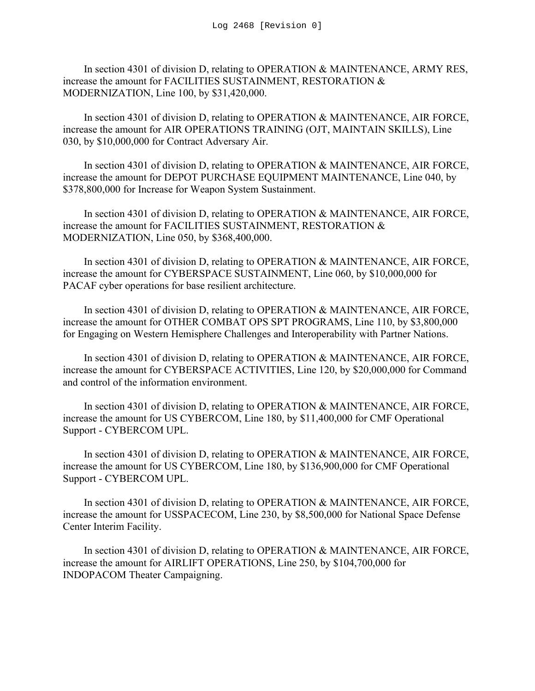In section 4301 of division D, relating to OPERATION & MAINTENANCE, ARMY RES, increase the amount for FACILITIES SUSTAINMENT, RESTORATION & MODERNIZATION, Line 100, by \$31,420,000.

In section 4301 of division D, relating to OPERATION & MAINTENANCE, AIR FORCE, increase the amount for AIR OPERATIONS TRAINING (OJT, MAINTAIN SKILLS), Line 030, by \$10,000,000 for Contract Adversary Air.

In section 4301 of division D, relating to OPERATION & MAINTENANCE, AIR FORCE, increase the amount for DEPOT PURCHASE EQUIPMENT MAINTENANCE, Line 040, by \$378,800,000 for Increase for Weapon System Sustainment.

In section 4301 of division D, relating to OPERATION & MAINTENANCE, AIR FORCE, increase the amount for FACILITIES SUSTAINMENT, RESTORATION & MODERNIZATION, Line 050, by \$368,400,000.

In section 4301 of division D, relating to OPERATION & MAINTENANCE, AIR FORCE, increase the amount for CYBERSPACE SUSTAINMENT, Line 060, by \$10,000,000 for PACAF cyber operations for base resilient architecture.

In section 4301 of division D, relating to OPERATION & MAINTENANCE, AIR FORCE, increase the amount for OTHER COMBAT OPS SPT PROGRAMS, Line 110, by \$3,800,000 for Engaging on Western Hemisphere Challenges and Interoperability with Partner Nations.

In section 4301 of division D, relating to OPERATION & MAINTENANCE, AIR FORCE, increase the amount for CYBERSPACE ACTIVITIES, Line 120, by \$20,000,000 for Command and control of the information environment.

In section 4301 of division D, relating to OPERATION & MAINTENANCE, AIR FORCE, increase the amount for US CYBERCOM, Line 180, by \$11,400,000 for CMF Operational Support - CYBERCOM UPL.

In section 4301 of division D, relating to OPERATION & MAINTENANCE, AIR FORCE, increase the amount for US CYBERCOM, Line 180, by \$136,900,000 for CMF Operational Support - CYBERCOM UPL.

In section 4301 of division D, relating to OPERATION & MAINTENANCE, AIR FORCE, increase the amount for USSPACECOM, Line 230, by \$8,500,000 for National Space Defense Center Interim Facility.

In section 4301 of division D, relating to OPERATION & MAINTENANCE, AIR FORCE, increase the amount for AIRLIFT OPERATIONS, Line 250, by \$104,700,000 for INDOPACOM Theater Campaigning.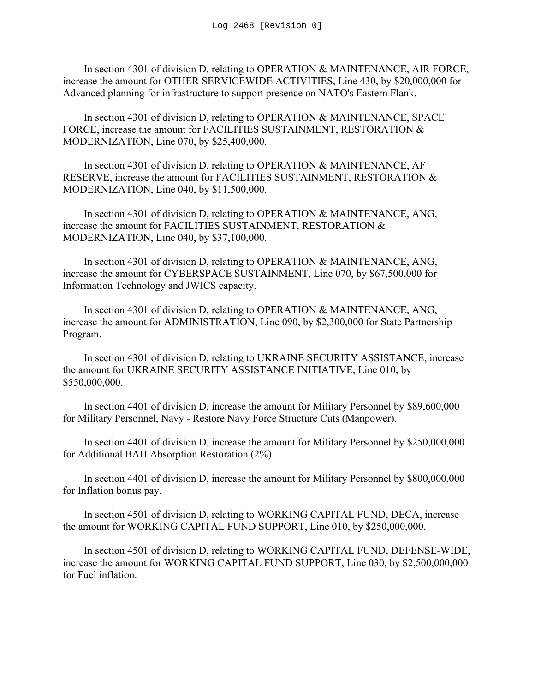In section 4301 of division D, relating to OPERATION & MAINTENANCE, AIR FORCE, increase the amount for OTHER SERVICEWIDE ACTIVITIES, Line 430, by \$20,000,000 for Advanced planning for infrastructure to support presence on NATO's Eastern Flank.

In section 4301 of division D, relating to OPERATION & MAINTENANCE, SPACE FORCE, increase the amount for FACILITIES SUSTAINMENT, RESTORATION & MODERNIZATION, Line 070, by \$25,400,000.

In section 4301 of division D, relating to OPERATION & MAINTENANCE, AF RESERVE, increase the amount for FACILITIES SUSTAINMENT, RESTORATION & MODERNIZATION, Line 040, by \$11,500,000.

In section 4301 of division D, relating to OPERATION & MAINTENANCE, ANG, increase the amount for FACILITIES SUSTAINMENT, RESTORATION & MODERNIZATION, Line 040, by \$37,100,000.

In section 4301 of division D, relating to OPERATION & MAINTENANCE, ANG, increase the amount for CYBERSPACE SUSTAINMENT, Line 070, by \$67,500,000 for Information Technology and JWICS capacity.

In section 4301 of division D, relating to OPERATION & MAINTENANCE, ANG, increase the amount for ADMINISTRATION, Line 090, by \$2,300,000 for State Partnership Program.

In section 4301 of division D, relating to UKRAINE SECURITY ASSISTANCE, increase the amount for UKRAINE SECURITY ASSISTANCE INITIATIVE, Line 010, by \$550,000,000.

In section 4401 of division D, increase the amount for Military Personnel by \$89,600,000 for Military Personnel, Navy - Restore Navy Force Structure Cuts (Manpower).

In section 4401 of division D, increase the amount for Military Personnel by \$250,000,000 for Additional BAH Absorption Restoration (2%).

In section 4401 of division D, increase the amount for Military Personnel by \$800,000,000 for Inflation bonus pay.

In section 4501 of division D, relating to WORKING CAPITAL FUND, DECA, increase the amount for WORKING CAPITAL FUND SUPPORT, Line 010, by \$250,000,000.

In section 4501 of division D, relating to WORKING CAPITAL FUND, DEFENSE-WIDE, increase the amount for WORKING CAPITAL FUND SUPPORT, Line 030, by \$2,500,000,000 for Fuel inflation.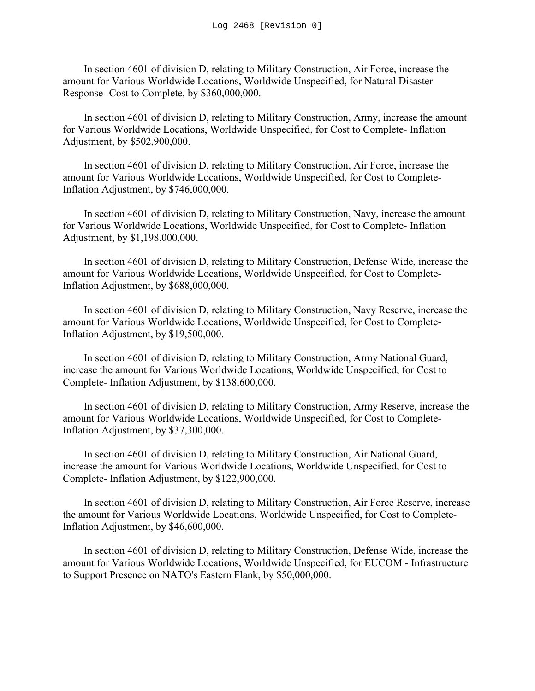In section 4601 of division D, relating to Military Construction, Air Force, increase the amount for Various Worldwide Locations, Worldwide Unspecified, for Natural Disaster Response- Cost to Complete, by \$360,000,000.

In section 4601 of division D, relating to Military Construction, Army, increase the amount for Various Worldwide Locations, Worldwide Unspecified, for Cost to Complete- Inflation Adjustment, by \$502,900,000.

In section 4601 of division D, relating to Military Construction, Air Force, increase the amount for Various Worldwide Locations, Worldwide Unspecified, for Cost to Complete-Inflation Adjustment, by \$746,000,000.

In section 4601 of division D, relating to Military Construction, Navy, increase the amount for Various Worldwide Locations, Worldwide Unspecified, for Cost to Complete- Inflation Adjustment, by \$1,198,000,000.

In section 4601 of division D, relating to Military Construction, Defense Wide, increase the amount for Various Worldwide Locations, Worldwide Unspecified, for Cost to Complete-Inflation Adjustment, by \$688,000,000.

In section 4601 of division D, relating to Military Construction, Navy Reserve, increase the amount for Various Worldwide Locations, Worldwide Unspecified, for Cost to Complete-Inflation Adjustment, by \$19,500,000.

In section 4601 of division D, relating to Military Construction, Army National Guard, increase the amount for Various Worldwide Locations, Worldwide Unspecified, for Cost to Complete- Inflation Adjustment, by \$138,600,000.

In section 4601 of division D, relating to Military Construction, Army Reserve, increase the amount for Various Worldwide Locations, Worldwide Unspecified, for Cost to Complete-Inflation Adjustment, by \$37,300,000.

In section 4601 of division D, relating to Military Construction, Air National Guard, increase the amount for Various Worldwide Locations, Worldwide Unspecified, for Cost to Complete- Inflation Adjustment, by \$122,900,000.

In section 4601 of division D, relating to Military Construction, Air Force Reserve, increase the amount for Various Worldwide Locations, Worldwide Unspecified, for Cost to Complete-Inflation Adjustment, by \$46,600,000.

In section 4601 of division D, relating to Military Construction, Defense Wide, increase the amount for Various Worldwide Locations, Worldwide Unspecified, for EUCOM - Infrastructure to Support Presence on NATO's Eastern Flank, by \$50,000,000.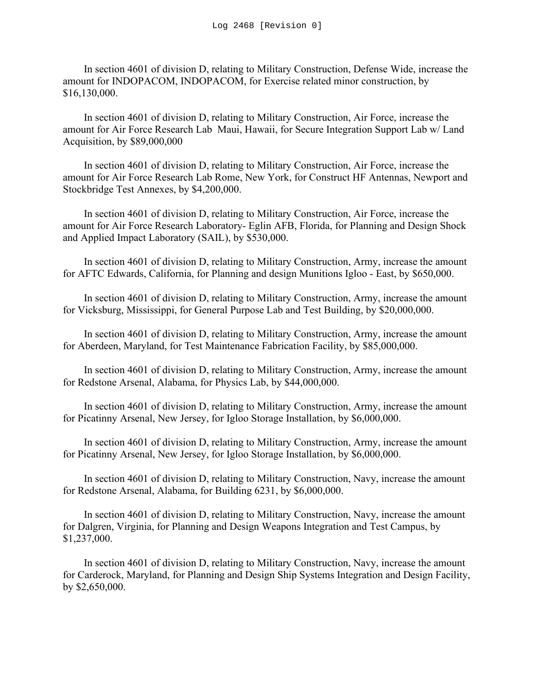In section 4601 of division D, relating to Military Construction, Defense Wide, increase the amount for INDOPACOM, INDOPACOM, for Exercise related minor construction, by \$16,130,000.

In section 4601 of division D, relating to Military Construction, Air Force, increase the amount for Air Force Research Lab Maui, Hawaii, for Secure Integration Support Lab w/ Land Acquisition, by \$89,000,000

In section 4601 of division D, relating to Military Construction, Air Force, increase the amount for Air Force Research Lab Rome, New York, for Construct HF Antennas, Newport and Stockbridge Test Annexes, by \$4,200,000.

In section 4601 of division D, relating to Military Construction, Air Force, increase the amount for Air Force Research Laboratory- Eglin AFB, Florida, for Planning and Design Shock and Applied Impact Laboratory (SAIL), by \$530,000.

In section 4601 of division D, relating to Military Construction, Army, increase the amount for AFTC Edwards, California, for Planning and design Munitions Igloo - East, by \$650,000.

In section 4601 of division D, relating to Military Construction, Army, increase the amount for Vicksburg, Mississippi, for General Purpose Lab and Test Building, by \$20,000,000.

In section 4601 of division D, relating to Military Construction, Army, increase the amount for Aberdeen, Maryland, for Test Maintenance Fabrication Facility, by \$85,000,000.

In section 4601 of division D, relating to Military Construction, Army, increase the amount for Redstone Arsenal, Alabama, for Physics Lab, by \$44,000,000.

In section 4601 of division D, relating to Military Construction, Army, increase the amount for Picatinny Arsenal, New Jersey, for Igloo Storage Installation, by \$6,000,000.

In section 4601 of division D, relating to Military Construction, Army, increase the amount for Picatinny Arsenal, New Jersey, for Igloo Storage Installation, by \$6,000,000.

In section 4601 of division D, relating to Military Construction, Navy, increase the amount for Redstone Arsenal, Alabama, for Building 6231, by \$6,000,000.

In section 4601 of division D, relating to Military Construction, Navy, increase the amount for Dalgren, Virginia, for Planning and Design Weapons Integration and Test Campus, by \$1,237,000.

In section 4601 of division D, relating to Military Construction, Navy, increase the amount for Carderock, Maryland, for Planning and Design Ship Systems Integration and Design Facility, by \$2,650,000.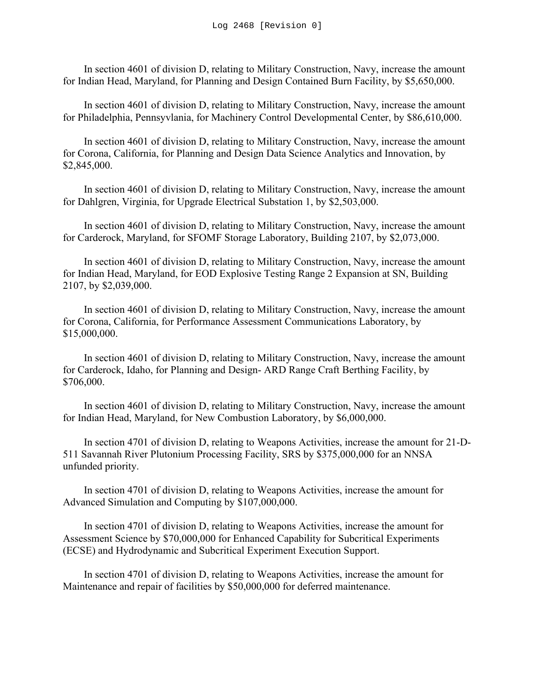In section 4601 of division D, relating to Military Construction, Navy, increase the amount for Indian Head, Maryland, for Planning and Design Contained Burn Facility, by \$5,650,000.

In section 4601 of division D, relating to Military Construction, Navy, increase the amount for Philadelphia, Pennsyvlania, for Machinery Control Developmental Center, by \$86,610,000.

In section 4601 of division D, relating to Military Construction, Navy, increase the amount for Corona, California, for Planning and Design Data Science Analytics and Innovation, by \$2,845,000.

In section 4601 of division D, relating to Military Construction, Navy, increase the amount for Dahlgren, Virginia, for Upgrade Electrical Substation 1, by \$2,503,000.

In section 4601 of division D, relating to Military Construction, Navy, increase the amount for Carderock, Maryland, for SFOMF Storage Laboratory, Building 2107, by \$2,073,000.

In section 4601 of division D, relating to Military Construction, Navy, increase the amount for Indian Head, Maryland, for EOD Explosive Testing Range 2 Expansion at SN, Building 2107, by \$2,039,000.

In section 4601 of division D, relating to Military Construction, Navy, increase the amount for Corona, California, for Performance Assessment Communications Laboratory, by \$15,000,000.

In section 4601 of division D, relating to Military Construction, Navy, increase the amount for Carderock, Idaho, for Planning and Design- ARD Range Craft Berthing Facility, by \$706,000.

In section 4601 of division D, relating to Military Construction, Navy, increase the amount for Indian Head, Maryland, for New Combustion Laboratory, by \$6,000,000.

In section 4701 of division D, relating to Weapons Activities, increase the amount for 21-D-511 Savannah River Plutonium Processing Facility, SRS by \$375,000,000 for an NNSA unfunded priority.

In section 4701 of division D, relating to Weapons Activities, increase the amount for Advanced Simulation and Computing by \$107,000,000.

In section 4701 of division D, relating to Weapons Activities, increase the amount for Assessment Science by \$70,000,000 for Enhanced Capability for Subcritical Experiments (ECSE) and Hydrodynamic and Subcritical Experiment Execution Support.

In section 4701 of division D, relating to Weapons Activities, increase the amount for Maintenance and repair of facilities by \$50,000,000 for deferred maintenance.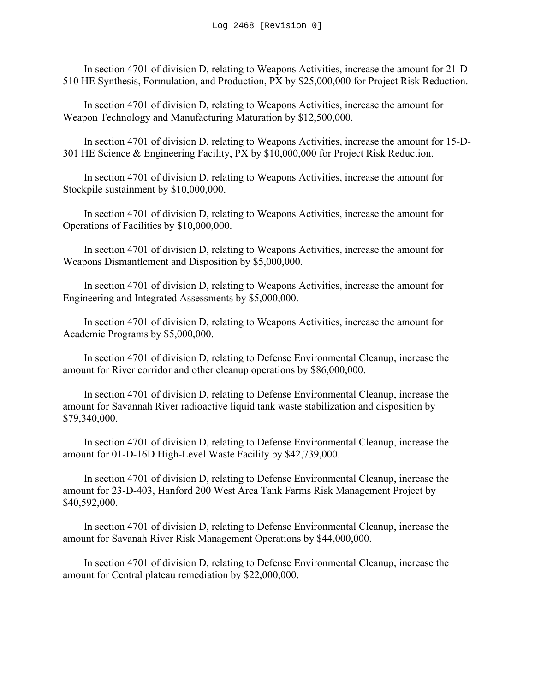In section 4701 of division D, relating to Weapons Activities, increase the amount for 21-D-510 HE Synthesis, Formulation, and Production, PX by \$25,000,000 for Project Risk Reduction.

In section 4701 of division D, relating to Weapons Activities, increase the amount for Weapon Technology and Manufacturing Maturation by \$12,500,000.

In section 4701 of division D, relating to Weapons Activities, increase the amount for 15-D-301 HE Science & Engineering Facility, PX by \$10,000,000 for Project Risk Reduction.

In section 4701 of division D, relating to Weapons Activities, increase the amount for Stockpile sustainment by \$10,000,000.

In section 4701 of division D, relating to Weapons Activities, increase the amount for Operations of Facilities by \$10,000,000.

In section 4701 of division D, relating to Weapons Activities, increase the amount for Weapons Dismantlement and Disposition by \$5,000,000.

In section 4701 of division D, relating to Weapons Activities, increase the amount for Engineering and Integrated Assessments by \$5,000,000.

In section 4701 of division D, relating to Weapons Activities, increase the amount for Academic Programs by \$5,000,000.

In section 4701 of division D, relating to Defense Environmental Cleanup, increase the amount for River corridor and other cleanup operations by \$86,000,000.

In section 4701 of division D, relating to Defense Environmental Cleanup, increase the amount for Savannah River radioactive liquid tank waste stabilization and disposition by \$79,340,000.

In section 4701 of division D, relating to Defense Environmental Cleanup, increase the amount for 01-D-16D High-Level Waste Facility by \$42,739,000.

In section 4701 of division D, relating to Defense Environmental Cleanup, increase the amount for 23-D-403, Hanford 200 West Area Tank Farms Risk Management Project by \$40,592,000.

In section 4701 of division D, relating to Defense Environmental Cleanup, increase the amount for Savanah River Risk Management Operations by \$44,000,000.

In section 4701 of division D, relating to Defense Environmental Cleanup, increase the amount for Central plateau remediation by \$22,000,000.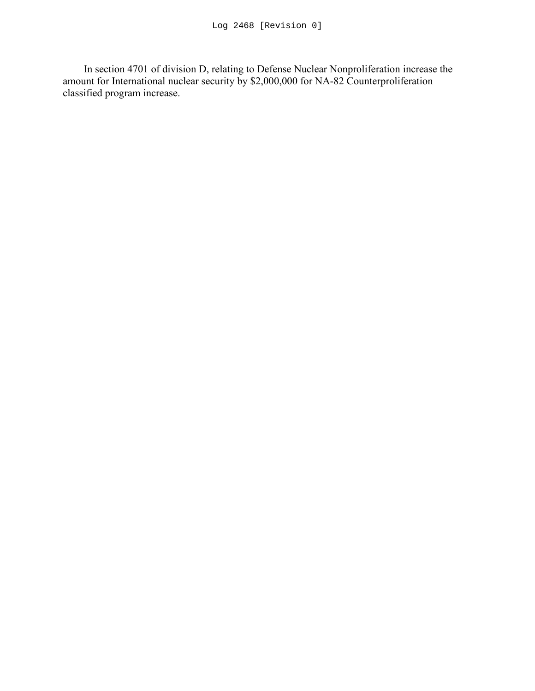In section 4701 of division D, relating to Defense Nuclear Nonproliferation increase the amount for International nuclear security by \$2,000,000 for NA-82 Counterproliferation classified program increase.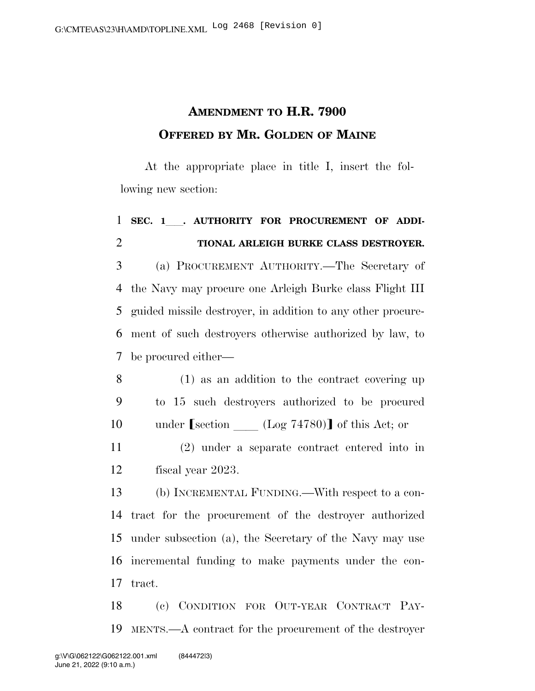### **AMENDMENT TO H.R. 7900 OFFERED BY MR. GOLDEN OF MAINE**

At the appropriate place in title I, insert the following new section:

 **SEC. 1**ll**. AUTHORITY FOR PROCUREMENT OF ADDI- TIONAL ARLEIGH BURKE CLASS DESTROYER.**  (a) PROCUREMENT AUTHORITY.—The Secretary of the Navy may procure one Arleigh Burke class Flight III guided missile destroyer, in addition to any other procure- ment of such destroyers otherwise authorized by law, to be procured either— (1) as an addition to the contract covering up to 15 such destroyers authorized to be procured 10 under  $[section \t(Log 74780)]$  of this Act; or (2) under a separate contract entered into in fiscal year 2023. (b) INCREMENTAL FUNDING.—With respect to a con- tract for the procurement of the destroyer authorized under subsection (a), the Secretary of the Navy may use incremental funding to make payments under the con-

tract.

 (c) CONDITION FOR OUT-YEAR CONTRACT PAY-MENTS.—A contract for the procurement of the destroyer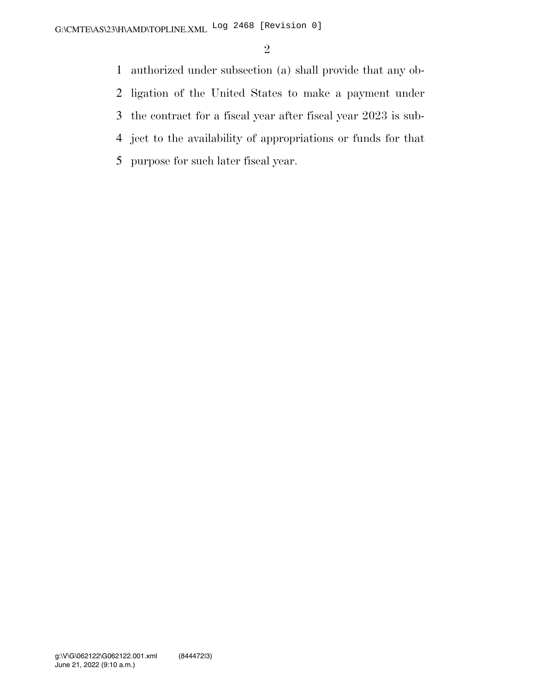authorized under subsection (a) shall provide that any ob-

ligation of the United States to make a payment under

the contract for a fiscal year after fiscal year 2023 is sub-

- ject to the availability of appropriations or funds for that
- purpose for such later fiscal year.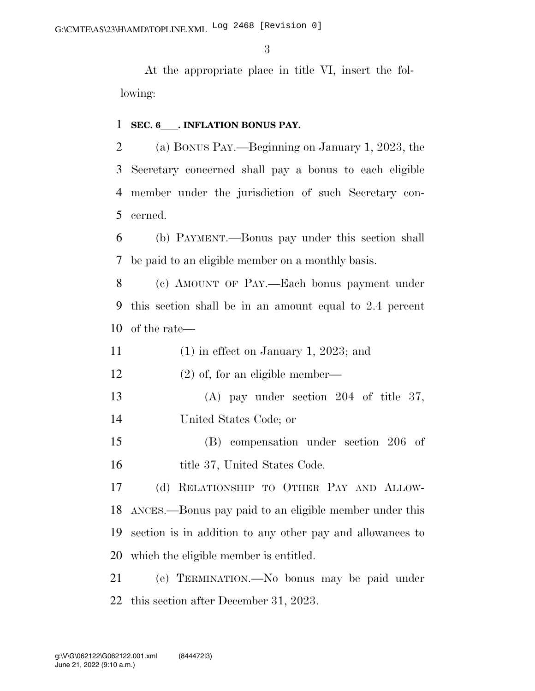At the appropriate place in title VI, insert the following:

### **SEC. 6** . **INFLATION BONUS PAY.**

 (a) BONUS PAY.—Beginning on January 1, 2023, the Secretary concerned shall pay a bonus to each eligible member under the jurisdiction of such Secretary con-cerned.

 (b) PAYMENT.—Bonus pay under this section shall be paid to an eligible member on a monthly basis.

 (c) AMOUNT OF PAY.—Each bonus payment under this section shall be in an amount equal to 2.4 percent of the rate—

- (1) in effect on January 1, 2023; and
- (2) of, for an eligible member—
- (A) pay under section 204 of title 37, United States Code; or

 (B) compensation under section 206 of 16 title 37, United States Code.

 (d) RELATIONSHIP TO OTHER PAY AND ALLOW- ANCES.—Bonus pay paid to an eligible member under this section is in addition to any other pay and allowances to which the eligible member is entitled.

 (e) TERMINATION.—No bonus may be paid under this section after December 31, 2023.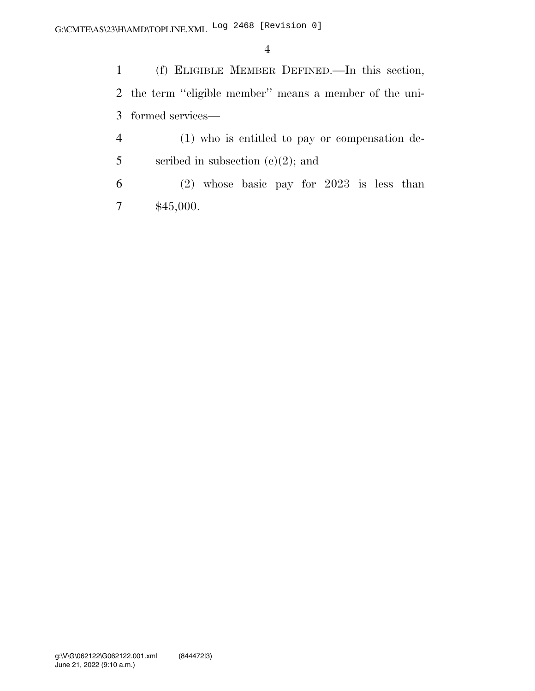(f) ELIGIBLE MEMBER DEFINED.—In this section, the term ''eligible member'' means a member of the uni-formed services—

 (1) who is entitled to pay or compensation de-5 scribed in subsection  $(e)(2)$ ; and

 (2) whose basic pay for 2023 is less than \$45,000.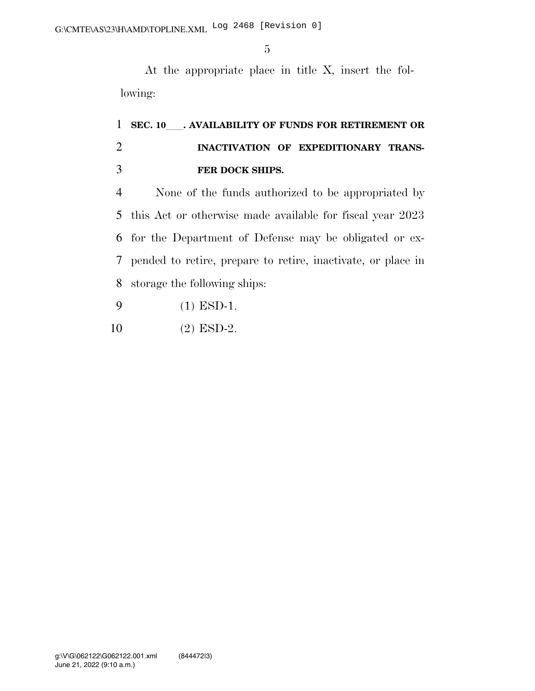At the appropriate place in title X, insert the following:

### **SEC. 10**ll**. AVAILABILITY OF FUNDS FOR RETIREMENT OR INACTIVATION OF EXPEDITIONARY TRANS-FER DOCK SHIPS.**

 None of the funds authorized to be appropriated by this Act or otherwise made available for fiscal year 2023 for the Department of Defense may be obligated or ex- pended to retire, prepare to retire, inactivate, or place in storage the following ships:

- (1) ESD-1.
- (2) ESD-2.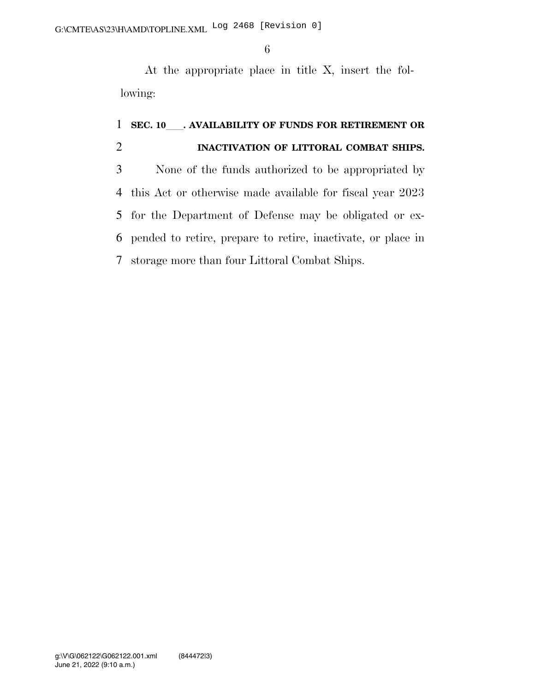At the appropriate place in title X, insert the following:

## **SEC. 10**ll**. AVAILABILITY OF FUNDS FOR RETIREMENT OR INACTIVATION OF LITTORAL COMBAT SHIPS.**

 None of the funds authorized to be appropriated by this Act or otherwise made available for fiscal year 2023 for the Department of Defense may be obligated or ex- pended to retire, prepare to retire, inactivate, or place in storage more than four Littoral Combat Ships.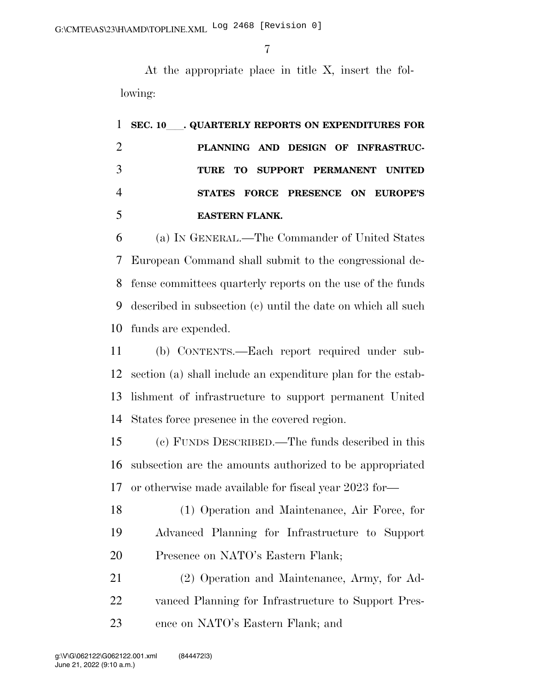At the appropriate place in title X, insert the following:

|                | 1 SEC. 10 . QUARTERLY REPORTS ON EXPENDITURES FOR |
|----------------|---------------------------------------------------|
| $\overline{2}$ | PLANNING AND DESIGN OF INFRASTRUC-                |
| -3             | TURE TO SUPPORT PERMANENT UNITED                  |
|                | STATES FORCE PRESENCE ON EUROPE'S                 |
|                | <b>EASTERN FLANK.</b>                             |

 (a) IN GENERAL.—The Commander of United States European Command shall submit to the congressional de- fense committees quarterly reports on the use of the funds described in subsection (c) until the date on which all such funds are expended.

 (b) CONTENTS.—Each report required under sub- section (a) shall include an expenditure plan for the estab- lishment of infrastructure to support permanent United States force presence in the covered region.

 (c) FUNDS DESCRIBED.—The funds described in this subsection are the amounts authorized to be appropriated or otherwise made available for fiscal year 2023 for—

 (1) Operation and Maintenance, Air Force, for Advanced Planning for Infrastructure to Support Presence on NATO's Eastern Flank;

 (2) Operation and Maintenance, Army, for Ad- vanced Planning for Infrastructure to Support Pres-ence on NATO's Eastern Flank; and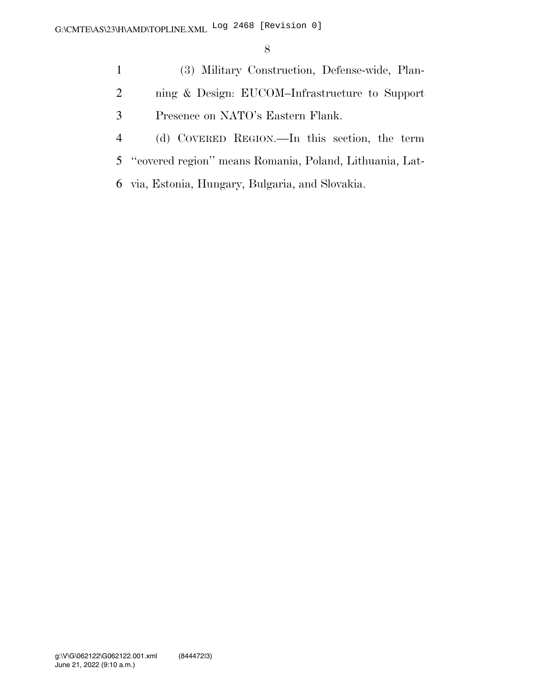(3) Military Construction, Defense-wide, Plan- ning & Design: EUCOM–Infrastructure to Support Presence on NATO's Eastern Flank.

(d) COVERED REGION.—In this section, the term

''covered region'' means Romania, Poland, Lithuania, Lat-

via, Estonia, Hungary, Bulgaria, and Slovakia.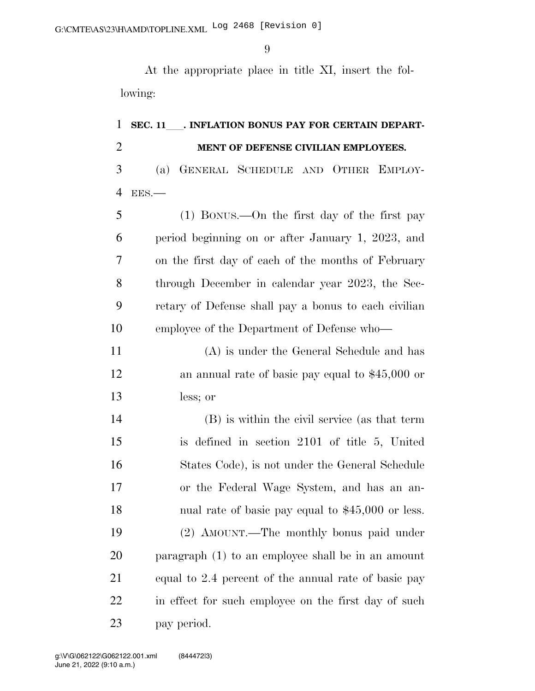At the appropriate place in title XI, insert the following:

# 1 SEC. 11 . INFLATION BONUS PAY FOR CERTAIN DEPART-**MENT OF DEFENSE CIVILIAN EMPLOYEES.**

 (a) GENERAL SCHEDULE AND OTHER EMPLOY-EES.—

 (1) BONUS.—On the first day of the first pay period beginning on or after January 1, 2023, and on the first day of each of the months of February through December in calendar year 2023, the Sec- retary of Defense shall pay a bonus to each civilian employee of the Department of Defense who—

 (A) is under the General Schedule and has an annual rate of basic pay equal to \$45,000 or less; or

 (B) is within the civil service (as that term is defined in section 2101 of title 5, United States Code), is not under the General Schedule or the Federal Wage System, and has an an-18 nual rate of basic pay equal to  $$45,000$  or less. (2) AMOUNT.—The monthly bonus paid under paragraph (1) to an employee shall be in an amount equal to 2.4 percent of the annual rate of basic pay 22 in effect for such employee on the first day of such pay period.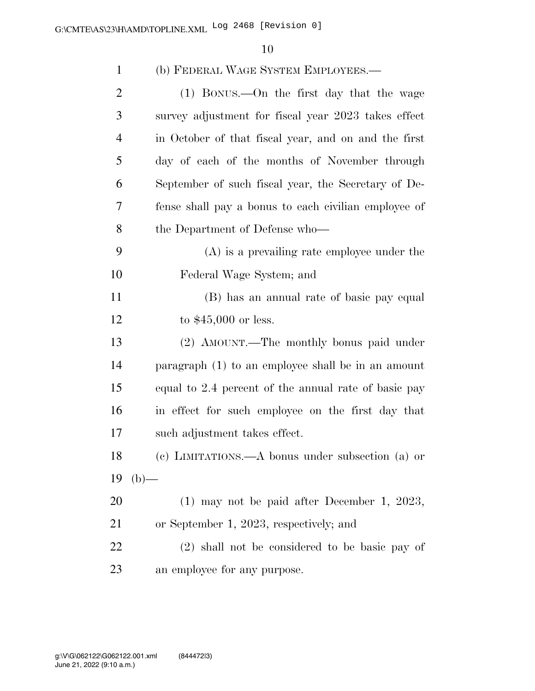| $\mathbf{1}$   | (b) FEDERAL WAGE SYSTEM EMPLOYEES.—                  |
|----------------|------------------------------------------------------|
| $\overline{2}$ | $(1)$ BONUS.—On the first day that the wage          |
| 3              | survey adjustment for fiscal year 2023 takes effect  |
| $\overline{4}$ | in October of that fiscal year, and on and the first |
| 5              | day of each of the months of November through        |
| 6              | September of such fiscal year, the Secretary of De-  |
| 7              | fense shall pay a bonus to each civilian employee of |
| 8              | the Department of Defense who—                       |
| 9              | $(A)$ is a prevailing rate employee under the        |
| 10             | Federal Wage System; and                             |
| 11             | (B) has an annual rate of basic pay equal            |
| 12             | to $$45,000$ or less.                                |
| 13             | (2) AMOUNT.—The monthly bonus paid under             |
| 14             | paragraph $(1)$ to an employee shall be in an amount |
| 15             | equal to 2.4 percent of the annual rate of basic pay |
| 16             | in effect for such employee on the first day that    |
| 17             | such adjustment takes effect.                        |
| 18             | (c) LIMITATIONS.—A bonus under subsection (a) or     |
| 19             | $(b)$ —                                              |
| 20             | $(1)$ may not be paid after December 1, 2023,        |
| 21             | or September 1, 2023, respectively; and              |
| 22             | $(2)$ shall not be considered to be basic pay of     |
| 23             | an employee for any purpose.                         |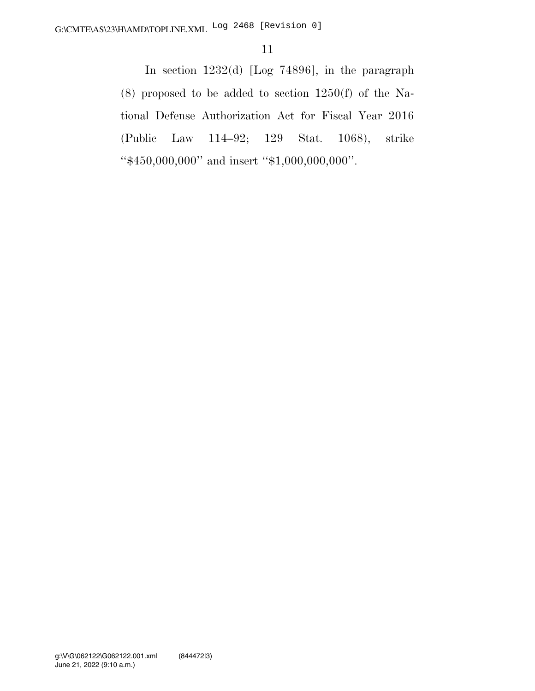In section 1232(d) [Log 74896], in the paragraph (8) proposed to be added to section 1250(f) of the National Defense Authorization Act for Fiscal Year 2016 (Public Law 114–92; 129 Stat. 1068), strike ''\$450,000,000'' and insert ''\$1,000,000,000''.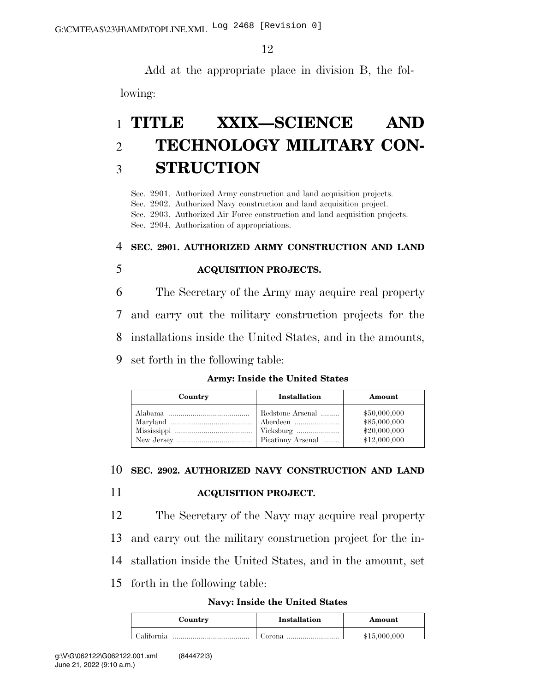Add at the appropriate place in division B, the following:

### 1 **TITLE XXIX—SCIENCE AND**  2 **TECHNOLOGY MILITARY CON-**3 **STRUCTION**

Sec. 2901. Authorized Army construction and land acquisition projects. Sec. 2902. Authorized Navy construction and land acquisition project. Sec. 2903. Authorized Air Force construction and land acquisition projects. Sec. 2904. Authorization of appropriations.

### 4 **SEC. 2901. AUTHORIZED ARMY CONSTRUCTION AND LAND**

5 **ACQUISITION PROJECTS.** 

6 The Secretary of the Army may acquire real property

7 and carry out the military construction projects for the

8 installations inside the United States, and in the amounts,

9 set forth in the following table:

**Army: Inside the United States** 

| Country | <b>Installation</b> | Amount                                                       |
|---------|---------------------|--------------------------------------------------------------|
|         | Redstone Arsenal    | \$50,000,000<br>\$85,000,000<br>\$20,000,000<br>\$12,000,000 |

10 **SEC. 2902. AUTHORIZED NAVY CONSTRUCTION AND LAND** 

### 11 **ACQUISITION PROJECT.**

12 The Secretary of the Navy may acquire real property

13 and carry out the military construction project for the in-

14 stallation inside the United States, and in the amount, set

15 forth in the following table:

### **Navy: Inside the United States**

| Country    | <b>Installation</b> | Amount       |
|------------|---------------------|--------------|
| California | Corona<br>          | \$15,000,000 |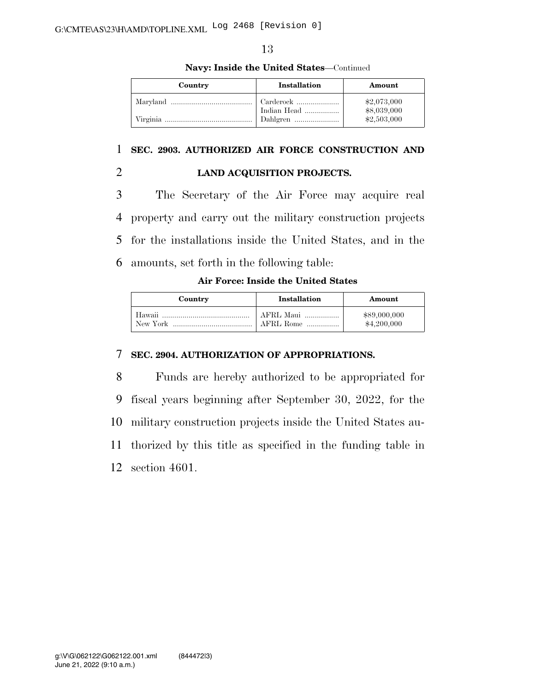**Navy: Inside the United States**—Continued

| Country | Installation | Amount                     |
|---------|--------------|----------------------------|
|         | Indian Head  | \$2,073,000<br>\$8,039,000 |
|         | Dahlgren     | \$2,503,000                |

#### 1 **SEC. 2903. AUTHORIZED AIR FORCE CONSTRUCTION AND**

### 2 **LAND ACQUISITION PROJECTS.**

 The Secretary of the Air Force may acquire real property and carry out the military construction projects for the installations inside the United States, and in the amounts, set forth in the following table:

**Air Force: Inside the United States** 

| Country | <b>Installation</b> | Amount       |
|---------|---------------------|--------------|
|         | AFRL Maui           | \$89,000,000 |
|         | AFRL Rome           | \$4,200,000  |

### 7 **SEC. 2904. AUTHORIZATION OF APPROPRIATIONS.**

 Funds are hereby authorized to be appropriated for fiscal years beginning after September 30, 2022, for the military construction projects inside the United States au- thorized by this title as specified in the funding table in section 4601.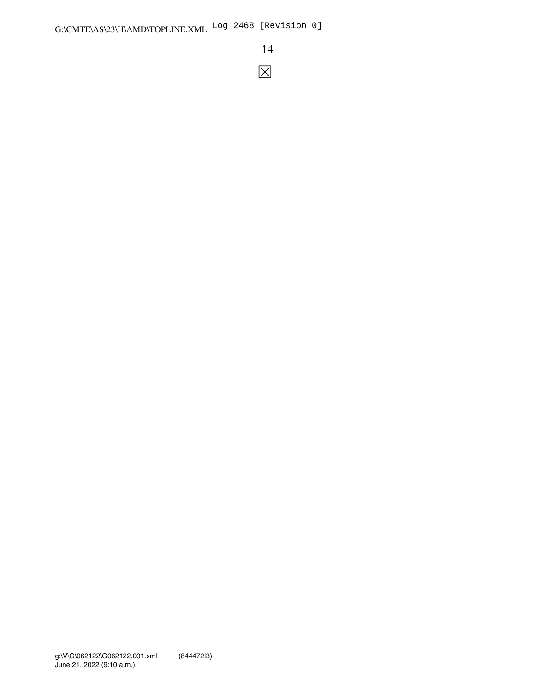**冈**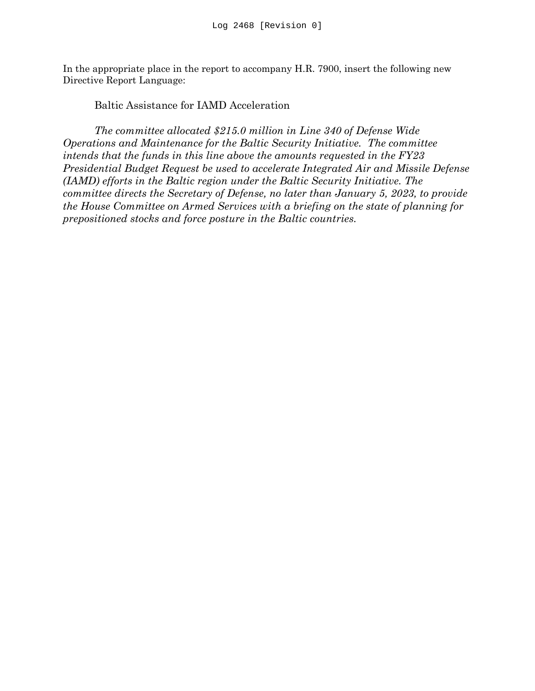In the appropriate place in the report to accompany H.R. 7900, insert the following new Directive Report Language:

Baltic Assistance for IAMD Acceleration

*The committee allocated \$215.0 million in Line 340 of Defense Wide Operations and Maintenance for the Baltic Security Initiative. The committee intends that the funds in this line above the amounts requested in the FY23 Presidential Budget Request be used to accelerate Integrated Air and Missile Defense (IAMD) efforts in the Baltic region under the Baltic Security Initiative. The committee directs the Secretary of Defense, no later than January 5, 2023, to provide the House Committee on Armed Services with a briefing on the state of planning for prepositioned stocks and force posture in the Baltic countries.*